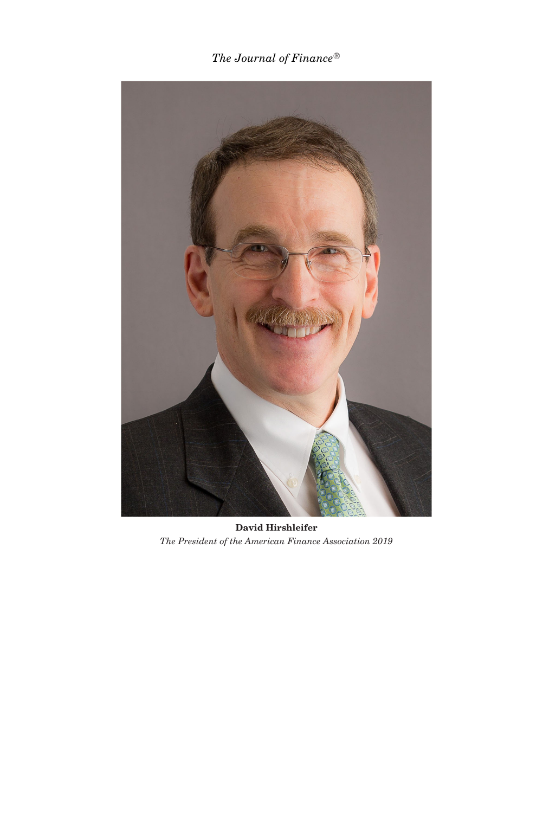*The Journal of Finance*-R



**David Hirshleifer** *The President of the American Finance Association 2019*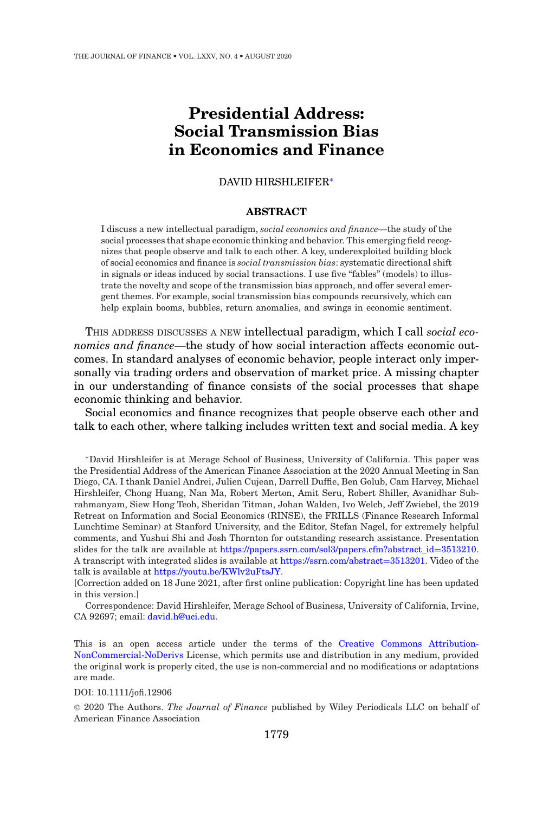# **Presidential Address: Social Transmission Bias in Economics and Finance**

# DAVID HIRSHLEIFER[∗](#page-1-0)

# **ABSTRACT**

I discuss a new intellectual paradigm, *social economics and finance*—the study of the social processes that shape economic thinking and behavior. This emerging field recognizes that people observe and talk to each other. A key, underexploited building block of social economics and finance is *social transmission bias*: systematic directional shift in signals or ideas induced by social transactions. I use five "fables" (models) to illustrate the novelty and scope of the transmission bias approach, and offer several emergent themes. For example, social transmission bias compounds recursively, which can help explain booms, bubbles, return anomalies, and swings in economic sentiment.

THIS ADDRESS DISCUSSES A NEW intellectual paradigm, which I call *social economics and finance*—the study of how social interaction affects economic outcomes. In standard analyses of economic behavior, people interact only impersonally via trading orders and observation of market price. A missing chapter in our understanding of finance consists of the social processes that shape economic thinking and behavior.

Social economics and finance recognizes that people observe each other and talk to each other, where talking includes written text and social media. A key

<span id="page-1-0"></span><sup>∗</sup>David Hirshleifer is at Merage School of Business, University of California. This paper was the Presidential Address of the American Finance Association at the 2020 Annual Meeting in San Diego, CA. I thank Daniel Andrei, Julien Cujean, Darrell Duffie, Ben Golub, Cam Harvey, Michael Hirshleifer, Chong Huang, Nan Ma, Robert Merton, Amit Seru, Robert Shiller, Avanidhar Subrahmanyam, Siew Hong Teoh, Sheridan Titman, Johan Walden, Ivo Welch, Jeff Zwiebel, the 2019 Retreat on Information and Social Economics (RINSE), the FRILLS (Finance Research Informal Lunchtime Seminar) at Stanford University, and the Editor, Stefan Nagel, for extremely helpful comments, and Yushui Shi and Josh Thornton for outstanding research assistance. Presentation slides for the talk are available at [https://papers.ssrn.com/sol3/papers.cfm?abstract\\_id](https://papers.ssrn.com/sol3/papers.cfm?abstract_id=3513210)=3513210. A transcript with integrated slides is available at [https://ssrn.com/abstract](https://ssrn.com/abstract=3513201)=3513201. Video of the talk is available at [https://youtu.be/KWlv2uFtsJY.](https://youtu.be/KWlv2uFtsJY)

[Correction added on 18 June 2021, after first online publication: Copyright line has been updated in this version.]

Correspondence: David Hirshleifer, Merage School of Business, University of California, Irvine, CA 92697; email: [david.h@uci.edu.](mailto:david.h@uci.edu)

This is an open access article under the terms of the [Creative Commons Attribution-](http://creativecommons.org/licenses/by-nc-nd/4.0/)[NonCommercial-NoDerivs](http://creativecommons.org/licenses/by-nc-nd/4.0/) License, which permits use and distribution in any medium, provided the original work is properly cited, the use is non-commercial and no modifications or adaptations are made.

DOI: 10.1111/jofi.12906

-<sup>C</sup> 2020 The Authors. *The Journal of Finance* published by Wiley Periodicals LLC on behalf of American Finance Association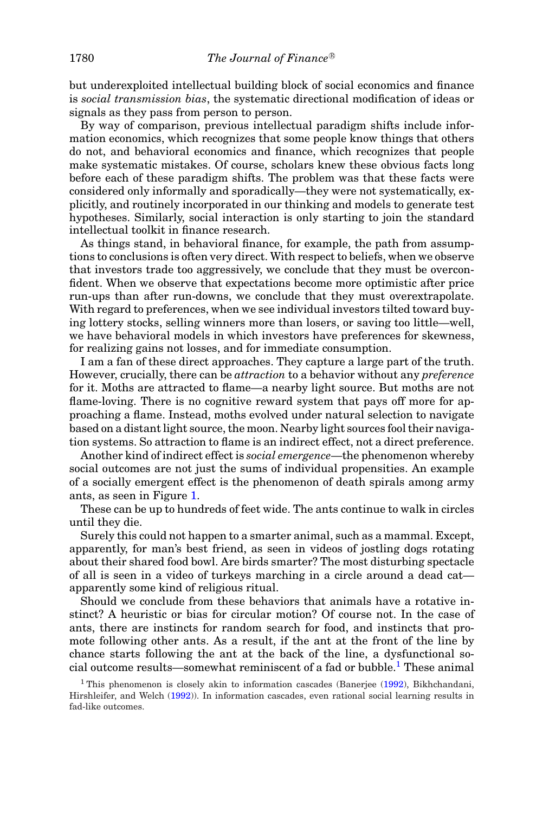but underexploited intellectual building block of social economics and finance is *social transmission bias*, the systematic directional modification of ideas or signals as they pass from person to person.

By way of comparison, previous intellectual paradigm shifts include information economics, which recognizes that some people know things that others do not, and behavioral economics and finance, which recognizes that people make systematic mistakes. Of course, scholars knew these obvious facts long before each of these paradigm shifts. The problem was that these facts were considered only informally and sporadically—they were not systematically, explicitly, and routinely incorporated in our thinking and models to generate test hypotheses. Similarly, social interaction is only starting to join the standard intellectual toolkit in finance research.

As things stand, in behavioral finance, for example, the path from assumptions to conclusions is often very direct. With respect to beliefs, when we observe that investors trade too aggressively, we conclude that they must be overconfident. When we observe that expectations become more optimistic after price run-ups than after run-downs, we conclude that they must overextrapolate. With regard to preferences, when we see individual investors tilted toward buying lottery stocks, selling winners more than losers, or saving too little—well, we have behavioral models in which investors have preferences for skewness, for realizing gains not losses, and for immediate consumption.

I am a fan of these direct approaches. They capture a large part of the truth. However, crucially, there can be *attraction* to a behavior without any *preference* for it. Moths are attracted to flame—a nearby light source. But moths are not flame-loving. There is no cognitive reward system that pays off more for approaching a flame. Instead, moths evolved under natural selection to navigate based on a distant light source, the moon. Nearby light sources fool their navigation systems. So attraction to flame is an indirect effect, not a direct preference.

Another kind of indirect effect is *social emergence*—the phenomenon whereby social outcomes are not just the sums of individual propensities. An example of a socially emergent effect is the phenomenon of death spirals among army ants, as seen in Figure [1.](#page-3-0)

These can be up to hundreds of feet wide. The ants continue to walk in circles until they die.

Surely this could not happen to a smarter animal, such as a mammal. Except, apparently, for man's best friend, as seen in videos of jostling dogs rotating about their shared food bowl. Are birds smarter? The most disturbing spectacle of all is seen in a video of turkeys marching in a circle around a dead cat apparently some kind of religious ritual.

Should we conclude from these behaviors that animals have a rotative instinct? A heuristic or bias for circular motion? Of course not. In the case of ants, there are instincts for random search for food, and instincts that promote following other ants. As a result, if the ant at the front of the line by chance starts following the ant at the back of the line, a dysfunctional social outcome results—somewhat reminiscent of a fad or bubble.<sup>1</sup> These animal

<span id="page-2-0"></span><sup>&</sup>lt;sup>1</sup> This phenomenon is closely akin to information cascades (Banerjee  $(1992)$ , Bikhchandani, Hirshleifer, and Welch [\(1992\)](#page-49-1)). In information cascades, even rational social learning results in fad-like outcomes.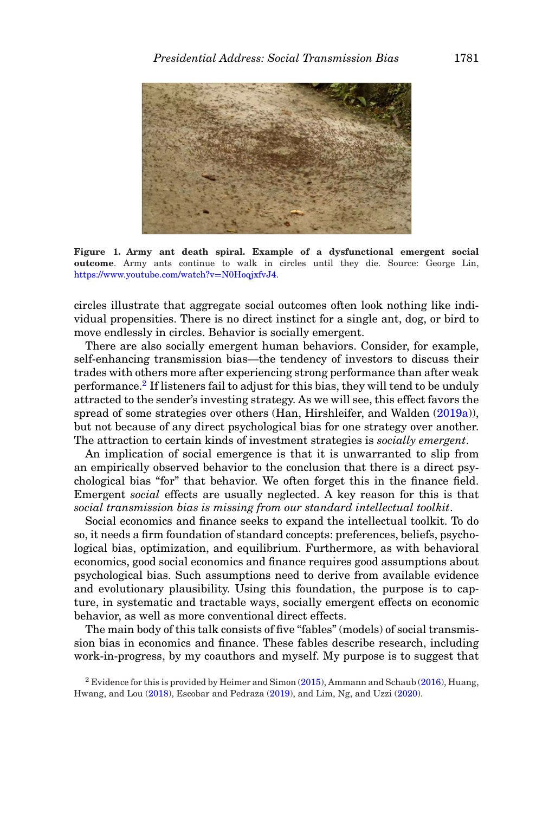<span id="page-3-0"></span>

**Figure 1. Army ant death spiral. Example of a dysfunctional emergent social outcome**. Army ants continue to walk in circles until they die. Source: George Lin, [https://www.youtube.com/watch?v](https://www.youtube.com/watch?v=N0HoqjxfvJ4)=N0HoqjxfvJ4.

circles illustrate that aggregate social outcomes often look nothing like individual propensities. There is no direct instinct for a single ant, dog, or bird to move endlessly in circles. Behavior is socially emergent.

There are also socially emergent human behaviors. Consider, for example, self-enhancing transmission bias—the tendency of investors to discuss their trades with others more after experiencing strong performance than after weak performance.[2](#page-3-1) If listeners fail to adjust for this bias, they will tend to be unduly attracted to the sender's investing strategy. As we will see, this effect favors the spread of some strategies over others (Han, Hirshleifer, and Walden [\(2019a\)](#page-51-0)), but not because of any direct psychological bias for one strategy over another. The attraction to certain kinds of investment strategies is *socially emergent*.

An implication of social emergence is that it is unwarranted to slip from an empirically observed behavior to the conclusion that there is a direct psychological bias "for" that behavior. We often forget this in the finance field. Emergent *social* effects are usually neglected. A key reason for this is that *social transmission bias is missing from our standard intellectual toolkit*.

Social economics and finance seeks to expand the intellectual toolkit. To do so, it needs a firm foundation of standard concepts: preferences, beliefs, psychological bias, optimization, and equilibrium. Furthermore, as with behavioral economics, good social economics and finance requires good assumptions about psychological bias. Such assumptions need to derive from available evidence and evolutionary plausibility. Using this foundation, the purpose is to capture, in systematic and tractable ways, socially emergent effects on economic behavior, as well as more conventional direct effects.

The main body of this talk consists of five "fables" (models) of social transmission bias in economics and finance. These fables describe research, including work-in-progress, by my coauthors and myself. My purpose is to suggest that

<span id="page-3-1"></span><sup>2</sup> Evidence for this is provided by Heimer and Simon [\(2015\)](#page-51-1), Ammann and Schaub [\(2016\)](#page-48-0), Huang, Hwang, and Lou [\(2018\)](#page-51-2), Escobar and Pedraza [\(2019\)](#page-50-0), and Lim, Ng, and Uzzi [\(2020\)](#page-52-0).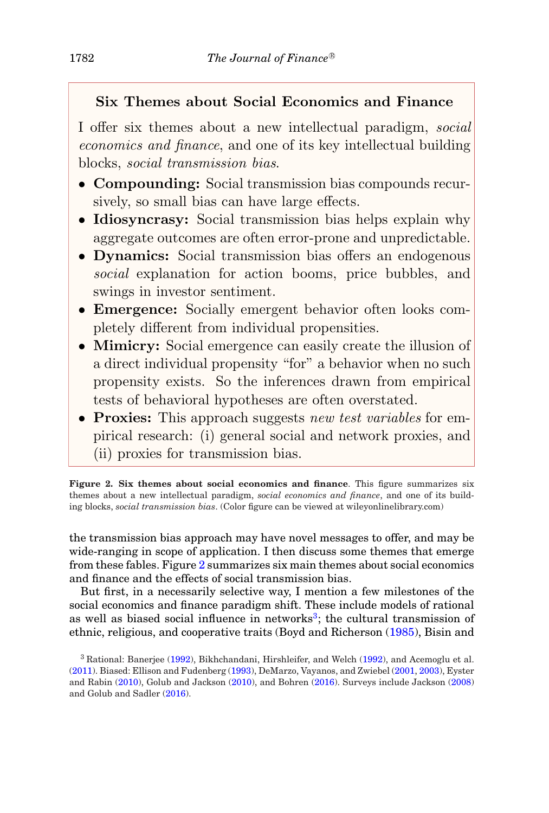# <span id="page-4-0"></span>**Six Themes about Social Economics and Finance**

I offer six themes about a new intellectual paradigm, *social economics and finance*, and one of its key intellectual building blocks, *social transmission bias*.

- *•* **Compounding:** Social transmission bias compounds recursively, so small bias can have large effects.
- *•* **Idiosyncrasy:** Social transmission bias helps explain why aggregate outcomes are often error-prone and unpredictable.
- *•* **Dynamics:** Social transmission bias offers an endogenous *social* explanation for action booms, price bubbles, and swings in investor sentiment.
- *•* **Emergence:** Socially emergent behavior often looks completely different from individual propensities.
- *•* **Mimicry:** Social emergence can easily create the illusion of a direct individual propensity "for" a behavior when no such propensity exists. So the inferences drawn from empirical tests of behavioral hypotheses are often overstated.
- *•* **Proxies:** This approach suggests *new test variables* for empirical research: (i) general social and network proxies, and (ii) proxies for transmission bias.

**Figure 2. Six themes about social economics and finance**. This figure summarizes six themes about a new intellectual paradigm, *social economics and finance*, and one of its building blocks, *social transmission bias*. (Color figure can be viewed at wileyonlinelibrary.com)

the transmission bias approach may have novel messages to offer, and may be wide-ranging in scope of application. I then discuss some themes that emerge from these fables. Figure  $2$  summarizes six main themes about social economics and finance and the effects of social transmission bias.

But first, in a necessarily selective way, I mention a few milestones of the social economics and finance paradigm shift. These include models of rational as well as biased social influence in networks<sup>3</sup>; the cultural transmission of ethnic, religious, and cooperative traits (Boyd and Richerson [\(1985\)](#page-49-2), Bisin and

<span id="page-4-1"></span><sup>3</sup> Rational: Banerjee [\(1992\)](#page-49-0), Bikhchandani, Hirshleifer, and Welch [\(1992\)](#page-49-1), and Acemoglu et al. [\(2011\)](#page-48-1). Biased: Ellison and Fudenberg [\(1993\)](#page-50-1), DeMarzo, Vayanos, and Zwiebel [\(2001,](#page-50-2) [2003\)](#page-50-3), Eyster and Rabin [\(2010\)](#page-50-4), Golub and Jackson [\(2010\)](#page-50-5), and Bohren [\(2016\)](#page-49-3). Surveys include Jackson [\(2008\)](#page-51-3) and Golub and Sadler [\(2016\)](#page-50-6).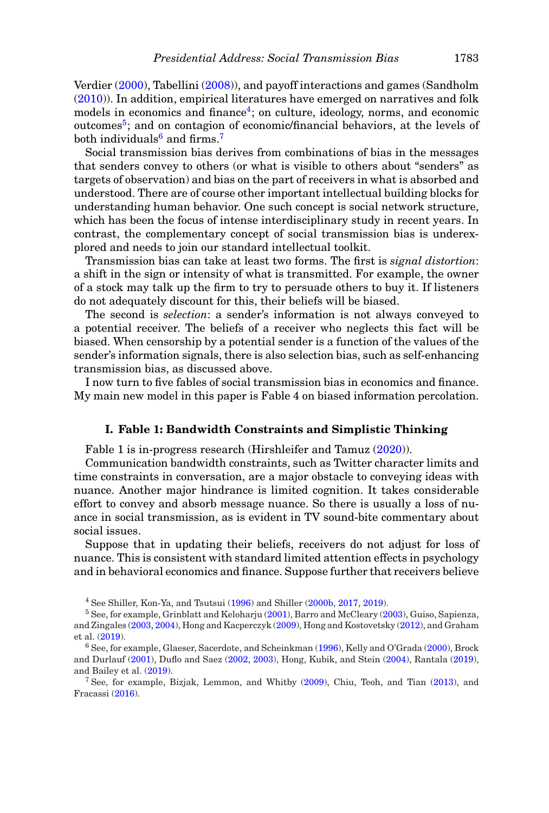Verdier [\(2000\)](#page-49-4), Tabellini [\(2008\)](#page-52-1)), and payoff interactions and games (Sandholm [\(2010\)](#page-52-2)). In addition, empirical literatures have emerged on narratives and folk models in economics and finance<sup>4</sup>; on culture, ideology, norms, and economic outcomes<sup>5</sup>; and on contagion of economic/financial behaviors, at the levels of both individuals  $6$  and firms.<sup>7</sup>

Social transmission bias derives from combinations of bias in the messages that senders convey to others (or what is visible to others about "senders" as targets of observation) and bias on the part of receivers in what is absorbed and understood. There are of course other important intellectual building blocks for understanding human behavior. One such concept is social network structure, which has been the focus of intense interdisciplinary study in recent years. In contrast, the complementary concept of social transmission bias is underexplored and needs to join our standard intellectual toolkit.

Transmission bias can take at least two forms. The first is *signal distortion*: a shift in the sign or intensity of what is transmitted. For example, the owner of a stock may talk up the firm to try to persuade others to buy it. If listeners do not adequately discount for this, their beliefs will be biased.

The second is *selection*: a sender's information is not always conveyed to a potential receiver. The beliefs of a receiver who neglects this fact will be biased. When censorship by a potential sender is a function of the values of the sender's information signals, there is also selection bias, such as self-enhancing transmission bias, as discussed above.

I now turn to five fables of social transmission bias in economics and finance. My main new model in this paper is Fable 4 on biased information percolation.

# **I. Fable 1: Bandwidth Constraints and Simplistic Thinking**

Fable 1 is in-progress research (Hirshleifer and Tamuz  $(2020)$ ).

Communication bandwidth constraints, such as Twitter character limits and time constraints in conversation, are a major obstacle to conveying ideas with nuance. Another major hindrance is limited cognition. It takes considerable effort to convey and absorb message nuance. So there is usually a loss of nuance in social transmission, as is evident in TV sound-bite commentary about social issues.

Suppose that in updating their beliefs, receivers do not adjust for loss of nuance. This is consistent with standard limited attention effects in psychology and in behavioral economics and finance. Suppose further that receivers believe

<span id="page-5-1"></span><span id="page-5-0"></span> $4$  See Shiller, Kon-Ya, and Tsutsui [\(1996\)](#page-52-3) and Shiller [\(2000b,](#page-52-4) [2017,](#page-52-5) [2019\)](#page-52-6).

<sup>5</sup> See, for example, Grinblatt and Keloharju [\(2001\)](#page-51-5), Barro and McCleary [\(2003\)](#page-49-5), Guiso, Sapienza, and Zingales [\(2003,](#page-51-6) [2004\)](#page-51-7), Hong and Kacperczyk [\(2009\)](#page-51-8), Hong and Kostovetsky [\(2012\)](#page-51-9), and Graham et al. [\(2019\)](#page-50-7).

<span id="page-5-3"></span><sup>7</sup> See, for example, Bizjak, Lemmon, and Whitby [\(2009\)](#page-49-7), Chiu, Teoh, and Tian [\(2013\)](#page-49-8), and Fracassi [\(2016\)](#page-50-11).

<span id="page-5-2"></span><sup>6</sup> See, for example, Glaeser, Sacerdote, and Scheinkman [\(1996\)](#page-50-8), Kelly and O'Grada [\(2000\)](#page-52-7), Brock and Durlauf [\(2001\)](#page-49-6), Duflo and Saez [\(2002,](#page-50-9) [2003\)](#page-50-10), Hong, Kubik, and Stein [\(2004\)](#page-51-10), Rantala [\(2019\)](#page-52-8), and Bailey et al. [\(2019\)](#page-48-2).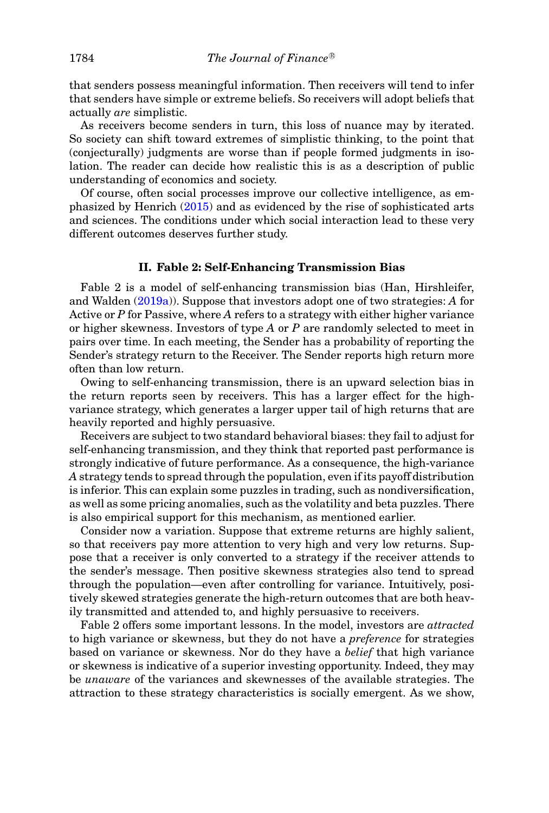that senders possess meaningful information. Then receivers will tend to infer that senders have simple or extreme beliefs. So receivers will adopt beliefs that actually *are* simplistic.

As receivers become senders in turn, this loss of nuance may by iterated. So society can shift toward extremes of simplistic thinking, to the point that (conjecturally) judgments are worse than if people formed judgments in isolation. The reader can decide how realistic this is as a description of public understanding of economics and society.

Of course, often social processes improve our collective intelligence, as emphasized by Henrich [\(2015\)](#page-51-11) and as evidenced by the rise of sophisticated arts and sciences. The conditions under which social interaction lead to these very different outcomes deserves further study.

# **II. Fable 2: Self-Enhancing Transmission Bias**

Fable 2 is a model of self-enhancing transmission bias (Han, Hirshleifer, and Walden [\(2019a\)](#page-51-0)). Suppose that investors adopt one of two strategies: *A* for Active or *P* for Passive, where *A* refers to a strategy with either higher variance or higher skewness. Investors of type *A* or *P* are randomly selected to meet in pairs over time. In each meeting, the Sender has a probability of reporting the Sender's strategy return to the Receiver. The Sender reports high return more often than low return.

Owing to self-enhancing transmission, there is an upward selection bias in the return reports seen by receivers. This has a larger effect for the highvariance strategy, which generates a larger upper tail of high returns that are heavily reported and highly persuasive.

Receivers are subject to two standard behavioral biases: they fail to adjust for self-enhancing transmission, and they think that reported past performance is strongly indicative of future performance. As a consequence, the high-variance *A* strategy tends to spread through the population, even if its payoff distribution is inferior. This can explain some puzzles in trading, such as nondiversification, as well as some pricing anomalies, such as the volatility and beta puzzles. There is also empirical support for this mechanism, as mentioned earlier.

Consider now a variation. Suppose that extreme returns are highly salient, so that receivers pay more attention to very high and very low returns. Suppose that a receiver is only converted to a strategy if the receiver attends to the sender's message. Then positive skewness strategies also tend to spread through the population—even after controlling for variance. Intuitively, positively skewed strategies generate the high-return outcomes that are both heavily transmitted and attended to, and highly persuasive to receivers.

Fable 2 offers some important lessons. In the model, investors are *attracted* to high variance or skewness, but they do not have a *preference* for strategies based on variance or skewness. Nor do they have a *belief* that high variance or skewness is indicative of a superior investing opportunity. Indeed, they may be *unaware* of the variances and skewnesses of the available strategies. The attraction to these strategy characteristics is socially emergent. As we show,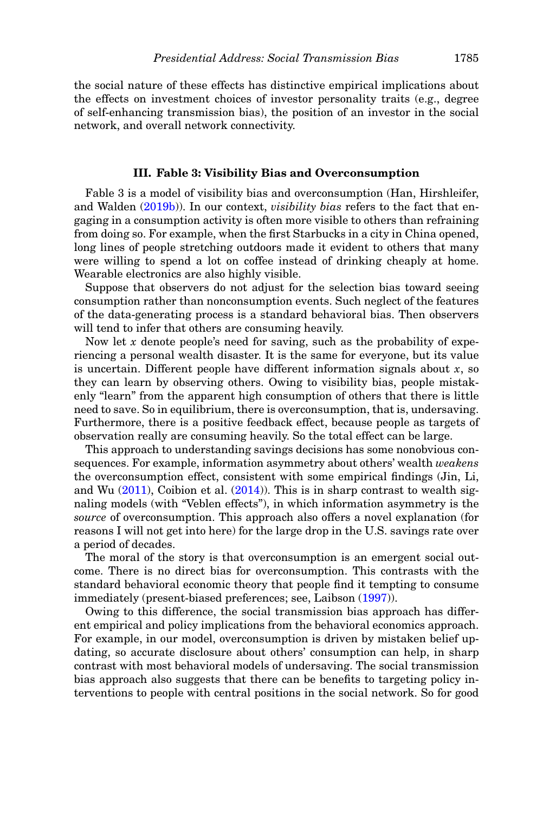the social nature of these effects has distinctive empirical implications about the effects on investment choices of investor personality traits (e.g., degree of self-enhancing transmission bias), the position of an investor in the social network, and overall network connectivity.

## **III. Fable 3: Visibility Bias and Overconsumption**

Fable 3 is a model of visibility bias and overconsumption (Han, Hirshleifer, and Walden [\(2019b\)](#page-51-12)). In our context, *visibility bias* refers to the fact that engaging in a consumption activity is often more visible to others than refraining from doing so. For example, when the first Starbucks in a city in China opened, long lines of people stretching outdoors made it evident to others that many were willing to spend a lot on coffee instead of drinking cheaply at home. Wearable electronics are also highly visible.

Suppose that observers do not adjust for the selection bias toward seeing consumption rather than nonconsumption events. Such neglect of the features of the data-generating process is a standard behavioral bias. Then observers will tend to infer that others are consuming heavily.

Now let *x* denote people's need for saving, such as the probability of experiencing a personal wealth disaster. It is the same for everyone, but its value is uncertain. Different people have different information signals about *x*, so they can learn by observing others. Owing to visibility bias, people mistakenly "learn" from the apparent high consumption of others that there is little need to save. So in equilibrium, there is overconsumption, that is, undersaving. Furthermore, there is a positive feedback effect, because people as targets of observation really are consuming heavily. So the total effect can be large.

This approach to understanding savings decisions has some nonobvious consequences. For example, information asymmetry about others' wealth *weakens* the overconsumption effect, consistent with some empirical findings (Jin, Li, and Wu  $(2011)$ , Coibion et al.  $(2014)$ ). This is in sharp contrast to wealth signaling models (with "Veblen effects"), in which information asymmetry is the *source* of overconsumption. This approach also offers a novel explanation (for reasons I will not get into here) for the large drop in the U.S. savings rate over a period of decades.

The moral of the story is that overconsumption is an emergent social outcome. There is no direct bias for overconsumption. This contrasts with the standard behavioral economic theory that people find it tempting to consume immediately (present-biased preferences; see, Laibson [\(1997\)](#page-52-10)).

Owing to this difference, the social transmission bias approach has different empirical and policy implications from the behavioral economics approach. For example, in our model, overconsumption is driven by mistaken belief updating, so accurate disclosure about others' consumption can help, in sharp contrast with most behavioral models of undersaving. The social transmission bias approach also suggests that there can be benefits to targeting policy interventions to people with central positions in the social network. So for good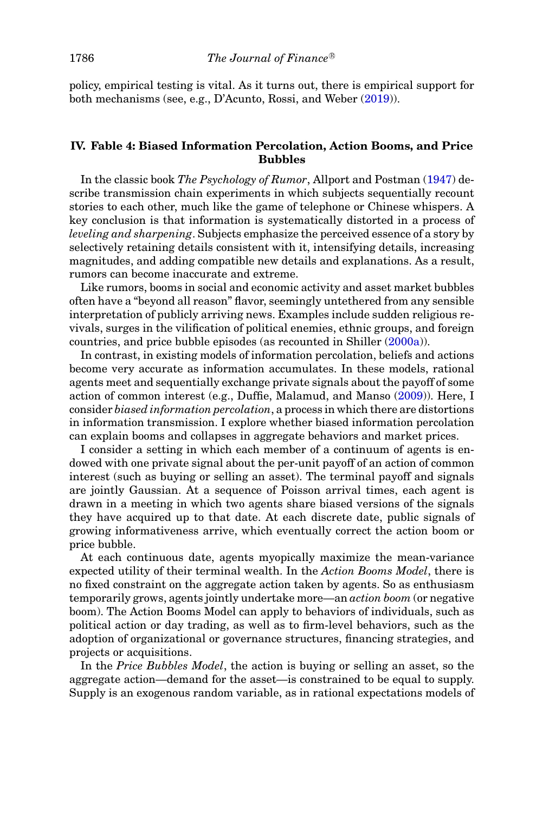policy, empirical testing is vital. As it turns out, there is empirical support for both mechanisms (see, e.g., D'Acunto, Rossi, and Weber [\(2019\)](#page-50-13)).

# **IV. Fable 4: Biased Information Percolation, Action Booms, and Price Bubbles**

In the classic book *The Psychology of Rumor*, Allport and Postman [\(1947\)](#page-48-3) describe transmission chain experiments in which subjects sequentially recount stories to each other, much like the game of telephone or Chinese whispers. A key conclusion is that information is systematically distorted in a process of *leveling and sharpening*. Subjects emphasize the perceived essence of a story by selectively retaining details consistent with it, intensifying details, increasing magnitudes, and adding compatible new details and explanations. As a result, rumors can become inaccurate and extreme.

Like rumors, booms in social and economic activity and asset market bubbles often have a "beyond all reason" flavor, seemingly untethered from any sensible interpretation of publicly arriving news. Examples include sudden religious revivals, surges in the vilification of political enemies, ethnic groups, and foreign countries, and price bubble episodes (as recounted in Shiller [\(2000a\)](#page-52-11)).

In contrast, in existing models of information percolation, beliefs and actions become very accurate as information accumulates. In these models, rational agents meet and sequentially exchange private signals about the payoff of some action of common interest (e.g., Duffie, Malamud, and Manso  $(2009)$ ). Here, I consider *biased information percolation*, a process in which there are distortions in information transmission. I explore whether biased information percolation can explain booms and collapses in aggregate behaviors and market prices.

I consider a setting in which each member of a continuum of agents is endowed with one private signal about the per-unit payoff of an action of common interest (such as buying or selling an asset). The terminal payoff and signals are jointly Gaussian. At a sequence of Poisson arrival times, each agent is drawn in a meeting in which two agents share biased versions of the signals they have acquired up to that date. At each discrete date, public signals of growing informativeness arrive, which eventually correct the action boom or price bubble.

At each continuous date, agents myopically maximize the mean-variance expected utility of their terminal wealth. In the *Action Booms Model*, there is no fixed constraint on the aggregate action taken by agents. So as enthusiasm temporarily grows, agents jointly undertake more—an *action boom* (or negative boom). The Action Booms Model can apply to behaviors of individuals, such as political action or day trading, as well as to firm-level behaviors, such as the adoption of organizational or governance structures, financing strategies, and projects or acquisitions.

In the *Price Bubbles Model*, the action is buying or selling an asset, so the aggregate action—demand for the asset—is constrained to be equal to supply. Supply is an exogenous random variable, as in rational expectations models of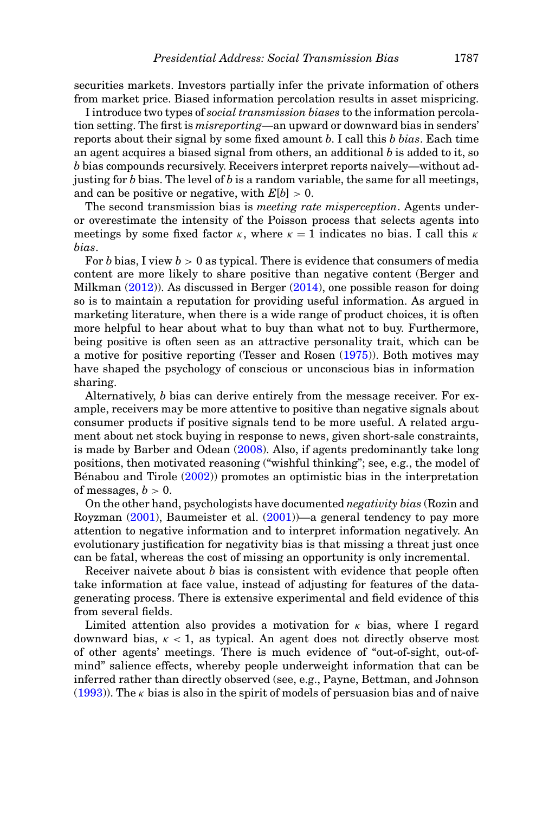securities markets. Investors partially infer the private information of others from market price. Biased information percolation results in asset mispricing.

I introduce two types of *social transmission biases* to the information percolation setting. The first is *misreporting*—an upward or downward bias in senders' reports about their signal by some fixed amount *b*. I call this *b bias*. Each time an agent acquires a biased signal from others, an additional *b* is added to it, so *b* bias compounds recursively. Receivers interpret reports naively—without adjusting for *b* bias. The level of *b* is a random variable, the same for all meetings, and can be positive or negative, with  $E[b] > 0$ .

The second transmission bias is *meeting rate misperception*. Agents underor overestimate the intensity of the Poisson process that selects agents into meetings by some fixed factor  $\kappa$ , where  $\kappa = 1$  indicates no bias. I call this  $\kappa$ *bias*.

For *b* bias, I view *b* > 0 as typical. There is evidence that consumers of media content are more likely to share positive than negative content (Berger and Milkman [\(2012\)](#page-49-9)). As discussed in Berger [\(2014\)](#page-49-10), one possible reason for doing so is to maintain a reputation for providing useful information. As argued in marketing literature, when there is a wide range of product choices, it is often more helpful to hear about what to buy than what not to buy. Furthermore, being positive is often seen as an attractive personality trait, which can be a motive for positive reporting (Tesser and Rosen [\(1975\)](#page-52-12)). Both motives may have shaped the psychology of conscious or unconscious bias in information sharing.

Alternatively, *b* bias can derive entirely from the message receiver. For example, receivers may be more attentive to positive than negative signals about consumer products if positive signals tend to be more useful. A related argument about net stock buying in response to news, given short-sale constraints, is made by Barber and Odean [\(2008\)](#page-49-11). Also, if agents predominantly take long positions, then motivated reasoning ("wishful thinking"; see, e.g., the model of Bénabou and Tirole  $(2002)$  $(2002)$  promotes an optimistic bias in the interpretation of messages,  $b > 0$ .

On the other hand, psychologists have documented *negativity bias* (Rozin and Royzman [\(2001\)](#page-52-13), Baumeister et al. [\(2001\)](#page-49-13))—a general tendency to pay more attention to negative information and to interpret information negatively. An evolutionary justification for negativity bias is that missing a threat just once can be fatal, whereas the cost of missing an opportunity is only incremental.

Receiver naivete about *b* bias is consistent with evidence that people often take information at face value, instead of adjusting for features of the datagenerating process. There is extensive experimental and field evidence of this from several fields.

Limited attention also provides a motivation for  $\kappa$  bias, where I regard downward bias,  $\kappa$  < 1, as typical. An agent does not directly observe most of other agents' meetings. There is much evidence of "out-of-sight, out-ofmind" salience effects, whereby people underweight information that can be inferred rather than directly observed (see, e.g., Payne, Bettman, and Johnson [\(1993\)](#page-52-14)). The  $\kappa$  bias is also in the spirit of models of persuasion bias and of naive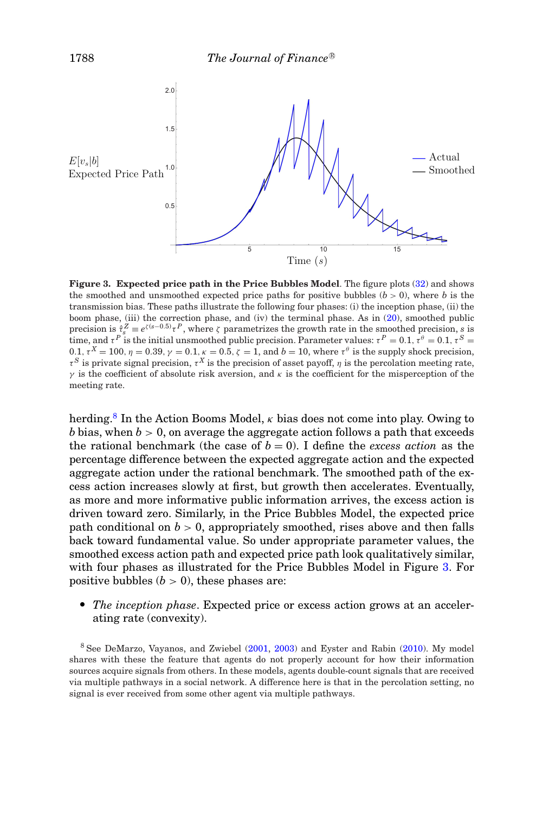<span id="page-10-1"></span>

**Figure 3. Expected price path in the Price Bubbles Model**. The figure plots (32) and shows the smoothed and unsmoothed expected price paths for positive bubbles  $(b > 0)$ , where *b* is the transmission bias. These paths illustrate the following four phases: (i) the inception phase, (ii) the boom phase, (iii) the correction phase, and (iv) the terminal phase. As in (20), smoothed public precision is  $\hat{\tau}_s^Z = e^{\zeta(s-0.5)}\tau^P$ , where  $\zeta$  parametrizes the growth rate in the smoothed precision, *s* is time, and  $\tau^P$  is the initial unsmoothed public precision. Parameter values:  $\tau^P = 0.1$ ,  $\tau^{\theta} = 0.1$ ,  $\tau^S = 0$ 0.1,  $\tau^X = 100$ ,  $\eta = 0.39$ ,  $\gamma = 0.1$ ,  $\kappa = 0.5$ ,  $\zeta = 1$ , and  $b = 10$ , where  $\tau^{\theta}$  is the supply shock precision,  $\tau^{S}$  is private signal precision,  $\tau^{X}$  is the precision of asset payoff,  $\eta$  is the percolation meeting rate,  $\gamma$  is the coefficient of absolute risk aversion, and  $\kappa$  is the coefficient for the misperception of the meeting rate.

herding.<sup>[8](#page-10-0)</sup> In the Action Booms Model,  $\kappa$  bias does not come into play. Owing to *b* bias, when  $b > 0$ , on average the aggregate action follows a path that exceeds the rational benchmark (the case of  $b = 0$ ). I define the *excess action* as the percentage difference between the expected aggregate action and the expected aggregate action under the rational benchmark. The smoothed path of the excess action increases slowly at first, but growth then accelerates. Eventually, as more and more informative public information arrives, the excess action is driven toward zero. Similarly, in the Price Bubbles Model, the expected price path conditional on  $b > 0$ , appropriately smoothed, rises above and then falls back toward fundamental value. So under appropriate parameter values, the smoothed excess action path and expected price path look qualitatively similar, with four phases as illustrated for the Price Bubbles Model in Figure [3.](#page-10-1) For positive bubbles  $(b > 0)$ , these phases are:

 $\bullet$  *The inception phase*. Expected price or excess action grows at an accelerating rate (convexity).

<span id="page-10-0"></span><sup>8</sup> See DeMarzo, Vayanos, and Zwiebel [\(2001,](#page-50-2) [2003\)](#page-50-3) and Eyster and Rabin [\(2010\)](#page-50-4). My model shares with these the feature that agents do not properly account for how their information sources acquire signals from others. In these models, agents double-count signals that are received via multiple pathways in a social network. A difference here is that in the percolation setting, no signal is ever received from some other agent via multiple pathways.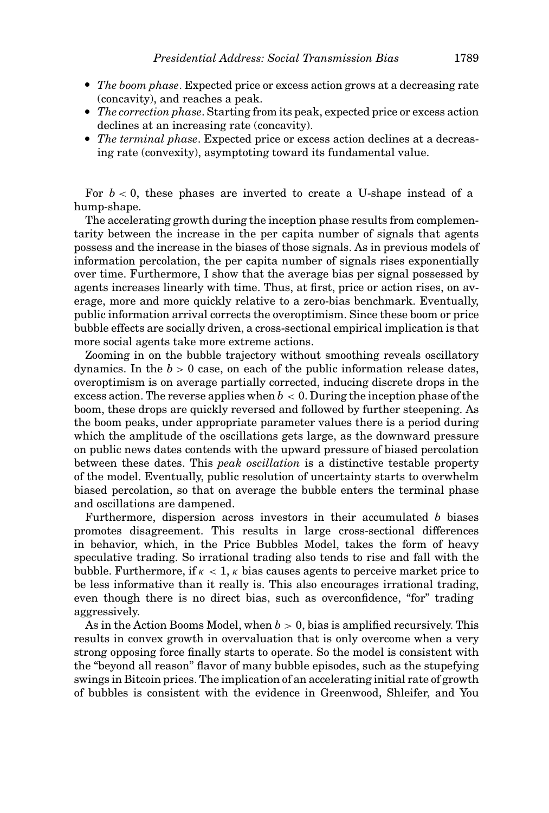- *The boom phase*. Expected price or excess action grows at a decreasing rate
- (concavity), and reaches a peak.<br> *The correction phase*. Starting from its peak, expected price or excess action
- declines at an increasing rate (concavity).<br>The terminal phase. Expected price or excess action declines at a decreasing rate (convexity), asymptoting toward its fundamental value.

For  $b < 0$ , these phases are inverted to create a U-shape instead of a hump-shape.

The accelerating growth during the inception phase results from complementarity between the increase in the per capita number of signals that agents possess and the increase in the biases of those signals. As in previous models of information percolation, the per capita number of signals rises exponentially over time. Furthermore, I show that the average bias per signal possessed by agents increases linearly with time. Thus, at first, price or action rises, on average, more and more quickly relative to a zero-bias benchmark. Eventually, public information arrival corrects the overoptimism. Since these boom or price bubble effects are socially driven, a cross-sectional empirical implication is that more social agents take more extreme actions.

Zooming in on the bubble trajectory without smoothing reveals oscillatory dynamics. In the  $b > 0$  case, on each of the public information release dates, overoptimism is on average partially corrected, inducing discrete drops in the excess action. The reverse applies when  $b < 0$ . During the inception phase of the boom, these drops are quickly reversed and followed by further steepening. As the boom peaks, under appropriate parameter values there is a period during which the amplitude of the oscillations gets large, as the downward pressure on public news dates contends with the upward pressure of biased percolation between these dates. This *peak oscillation* is a distinctive testable property of the model. Eventually, public resolution of uncertainty starts to overwhelm biased percolation, so that on average the bubble enters the terminal phase and oscillations are dampened.

Furthermore, dispersion across investors in their accumulated *b* biases promotes disagreement. This results in large cross-sectional differences in behavior, which, in the Price Bubbles Model, takes the form of heavy speculative trading. So irrational trading also tends to rise and fall with the bubble. Furthermore, if  $\kappa < 1$ ,  $\kappa$  bias causes agents to perceive market price to be less informative than it really is. This also encourages irrational trading, even though there is no direct bias, such as overconfidence, "for" trading aggressively.

As in the Action Booms Model, when *b* > 0, bias is amplified recursively. This results in convex growth in overvaluation that is only overcome when a very strong opposing force finally starts to operate. So the model is consistent with the "beyond all reason" flavor of many bubble episodes, such as the stupefying swings in Bitcoin prices. The implication of an accelerating initial rate of growth of bubbles is consistent with the evidence in Greenwood, Shleifer, and You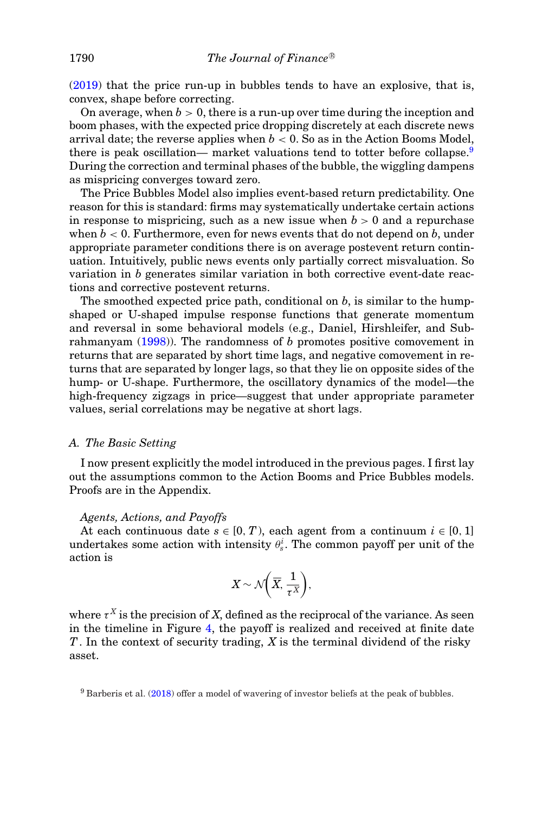[\(2019\)](#page-51-13) that the price run-up in bubbles tends to have an explosive, that is, convex, shape before correcting.

On average, when  $b > 0$ , there is a run-up over time during the inception and boom phases, with the expected price dropping discretely at each discrete news arrival date; the reverse applies when  $b < 0$ . So as in the Action Booms Model, there is peak oscillation— market valuations tend to totter before collapse.<sup>[9](#page-12-0)</sup> During the correction and terminal phases of the bubble, the wiggling dampens as mispricing converges toward zero.

The Price Bubbles Model also implies event-based return predictability. One reason for this is standard: firms may systematically undertake certain actions in response to mispricing, such as a new issue when  $b > 0$  and a repurchase when  $b < 0$ . Furthermore, even for news events that do not depend on  $b$ , under appropriate parameter conditions there is on average postevent return continuation. Intuitively, public news events only partially correct misvaluation. So variation in *b* generates similar variation in both corrective event-date reactions and corrective postevent returns.

The smoothed expected price path, conditional on *b*, is similar to the humpshaped or U-shaped impulse response functions that generate momentum and reversal in some behavioral models (e.g., Daniel, Hirshleifer, and Subrahmanyam [\(1998\)](#page-50-15)). The randomness of *b* promotes positive comovement in returns that are separated by short time lags, and negative comovement in returns that are separated by longer lags, so that they lie on opposite sides of the hump- or U-shape. Furthermore, the oscillatory dynamics of the model—the high-frequency zigzags in price—suggest that under appropriate parameter values, serial correlations may be negative at short lags.

# *A. The Basic Setting*

I now present explicitly the model introduced in the previous pages. I first lay out the assumptions common to the Action Booms and Price Bubbles models. Proofs are in the Appendix.

## *Agents, Actions, and Payoffs*

At each continuous date  $s \in [0, T)$ , each agent from a continuum  $i \in [0, 1]$ undertakes some action with intensity  $\theta_s^i$ . The common payoff per unit of the action is

$$
X \sim \mathcal{N}\left(\overline{X}, \frac{1}{\tau^X}\right),
$$

where  $\tau^X$  is the precision of *X*, defined as the reciprocal of the variance. As seen in the timeline in Figure [4,](#page-13-0) the payoff is realized and received at finite date *T*. In the context of security trading, *X* is the terminal dividend of the risky asset.

<span id="page-12-0"></span><sup>9</sup> Barberis et al. [\(2018\)](#page-49-14) offer a model of wavering of investor beliefs at the peak of bubbles.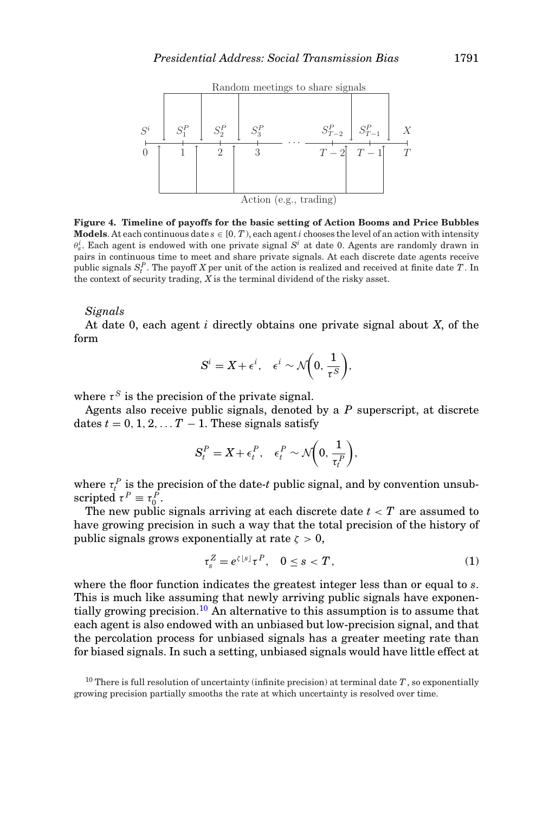<span id="page-13-0"></span>

**Figure 4. Timeline of payoffs for the basic setting of Action Booms and Price Bubbles Models**. At each continuous date  $s \in [0, T)$ , each agent *i* chooses the level of an action with intensity  $\theta_s^i$ . Each agent is endowed with one private signal  $S^i$  at date 0. Agents are randomly drawn in pairs in continuous time to meet and share private signals. At each discrete date agents receive public signals  $S_t^P$ . The payoff *X* per unit of the action is realized and received at finite date *T*. In the context of security trading, *X* is the terminal dividend of the risky asset.

*Signals*

At date 0, each agent *i* directly obtains one private signal about *X*, of the form

$$
S^i = X + \epsilon^i, \quad \epsilon^i \sim \mathcal{N}\left(0, \frac{1}{\tau^S}\right),
$$

where  $\tau^{S}$  is the precision of the private signal.

Agents also receive public signals, denoted by a *P* superscript, at discrete dates  $t = 0, 1, 2, \ldots T - 1$ . These signals satisfy

$$
S_t^P = X + \epsilon_t^P, \quad \epsilon_t^P \sim \mathcal{N}\left(0, \frac{1}{\tau_t^P}\right),
$$

where  $\tau_t^P$  is the precision of the date-*t* public signal, and by convention unsubscripted  $\tau^P \equiv \tau_0^P$ .

The new public signals arriving at each discrete date  $t < T$  are assumed to have growing precision in such a way that the total precision of the history of public signals grows exponentially at rate  $\zeta > 0$ ,

$$
\tau_s^Z = e^{\zeta \lfloor s \rfloor} \tau^P, \quad 0 \le s < T,\tag{1}
$$

where the floor function indicates the greatest integer less than or equal to *s*. This is much like assuming that newly arriving public signals have exponen-tially growing precision.<sup>[10](#page-13-1)</sup> An alternative to this assumption is to assume that each agent is also endowed with an unbiased but low-precision signal, and that the percolation process for unbiased signals has a greater meeting rate than for biased signals. In such a setting, unbiased signals would have little effect at

<span id="page-13-1"></span><sup>10</sup> There is full resolution of uncertainty (infinite precision) at terminal date *T*, so exponentially growing precision partially smooths the rate at which uncertainty is resolved over time.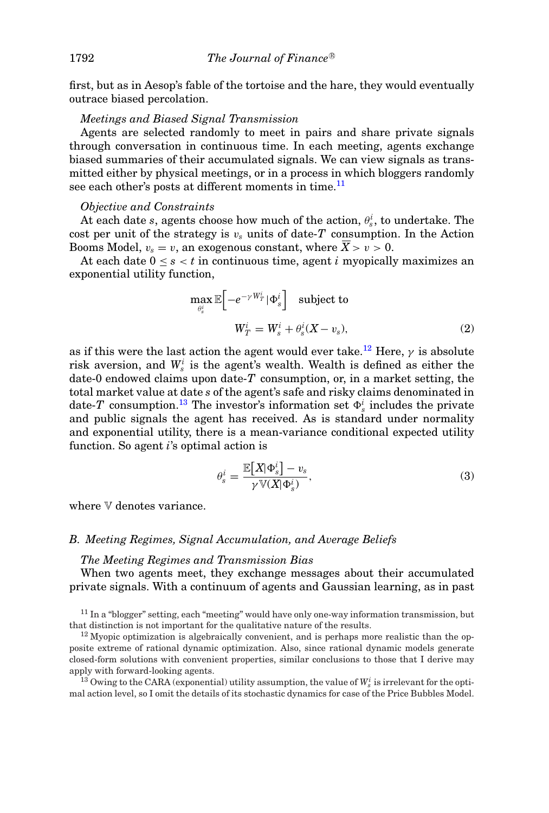first, but as in Aesop's fable of the tortoise and the hare, they would eventually outrace biased percolation.

# *Meetings and Biased Signal Transmission*

Agents are selected randomly to meet in pairs and share private signals through conversation in continuous time. In each meeting, agents exchange biased summaries of their accumulated signals. We can view signals as transmitted either by physical meetings, or in a process in which bloggers randomly see each other's posts at different moments in time.<sup>11</sup>

# *Objective and Constraints*

At each date *s*, agents choose how much of the action,  $\theta_s^i$ , to undertake. The cost per unit of the strategy is  $v_s$  units of date-*T* consumption. In the Action Booms Model,  $v_s = v$ , an exogenous constant, where  $\overline{X} > v > 0$ .

At each date  $0 \leq s < t$  in continuous time, agent *i* myopically maximizes an exponential utility function,

$$
\max_{\theta_s^i} \mathbb{E}\Big[-e^{-\gamma W_T^i}|\Phi_s^i\Big] \quad \text{subject to}
$$
  

$$
W_T^i = W_s^i + \theta_s^i (X - v_s), \tag{2}
$$

as if this were the last action the agent would ever take.<sup>[12](#page-14-1)</sup> Here,  $\gamma$  is absolute risk aversion, and  $W^i_s$  is the agent's wealth. Wealth is defined as either the date-0 endowed claims upon date-*T* consumption, or, in a market setting, the total market value at date *s* of the agent's safe and risky claims denominated in date-*T* consumption.<sup>13</sup> The investor's information set  $\Phi_s^i$  includes the private and public signals the agent has received. As is standard under normality and exponential utility, there is a mean-variance conditional expected utility function. So agent *i*'s optimal action is

$$
\theta_s^i = \frac{\mathbb{E}[X] \Phi_s^i] - v_s}{\gamma \mathbb{V}(X] \Phi_s^i},\tag{3}
$$

where V denotes variance.

### *B. Meeting Regimes, Signal Accumulation, and Average Beliefs*

#### *The Meeting Regimes and Transmission Bias*

When two agents meet, they exchange messages about their accumulated private signals. With a continuum of agents and Gaussian learning, as in past

<span id="page-14-0"></span><sup>11</sup> In a "blogger" setting, each "meeting" would have only one-way information transmission, but that distinction is not important for the qualitative nature of the results.

<span id="page-14-1"></span> $12$  Myopic optimization is algebraically convenient, and is perhaps more realistic than the opposite extreme of rational dynamic optimization. Also, since rational dynamic models generate closed-form solutions with convenient properties, similar conclusions to those that I derive may apply with forward-looking agents.

<span id="page-14-2"></span> $^{13}$  Owing to the CARA (exponential) utility assumption, the value of  $W^i_s$  is irrelevant for the optimal action level, so I omit the details of its stochastic dynamics for case of the Price Bubbles Model.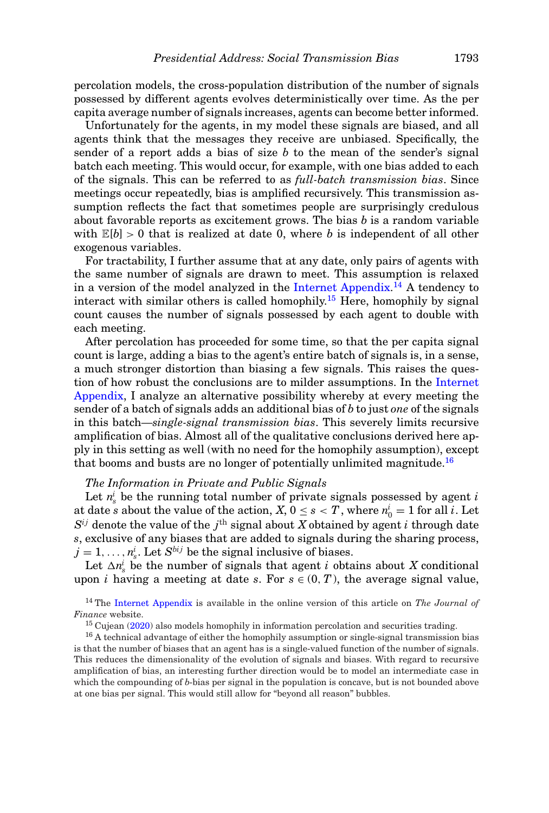percolation models, the cross-population distribution of the number of signals possessed by different agents evolves deterministically over time. As the per capita average number of signals increases, agents can become better informed.

Unfortunately for the agents, in my model these signals are biased, and all agents think that the messages they receive are unbiased. Specifically, the sender of a report adds a bias of size *b* to the mean of the sender's signal batch each meeting. This would occur, for example, with one bias added to each of the signals. This can be referred to as *full-batch transmission bias*. Since meetings occur repeatedly, bias is amplified recursively. This transmission assumption reflects the fact that sometimes people are surprisingly credulous about favorable reports as excitement grows. The bias *b* is a random variable with  $\mathbb{E}[b] > 0$  that is realized at date 0, where *b* is independent of all other exogenous variables.

For tractability, I further assume that at any date, only pairs of agents with the same number of signals are drawn to meet. This assumption is relaxed in a version of the model analyzed in the Internet Appendix.<sup>[14](#page-15-0)</sup> A tendency to interact with similar others is called homophily.<sup>15</sup> Here, homophily by signal count causes the number of signals possessed by each agent to double with each meeting.

After percolation has proceeded for some time, so that the per capita signal count is large, adding a bias to the agent's entire batch of signals is, in a sense, a much stronger distortion than biasing a few signals. This raises the question of how robust the conclusions are to milder assumptions. In the Internet Appendix, I analyze an alternative possibility whereby at every meeting the sender of a batch of signals adds an additional bias of *b* to just *one* of the signals in this batch—*single-signal transmission bias*. This severely limits recursive amplification of bias. Almost all of the qualitative conclusions derived here apply in this setting as well (with no need for the homophily assumption), except that booms and busts are no longer of potentially unlimited magnitude.<sup>16</sup>

#### *The Information in Private and Public Signals*

Let  $n_s^i$  be the running total number of private signals possessed by agent  $i$ at date  $s$  about the value of the action,  $X$ ,  $0 \leq s < T$  , where  $n_0^i = 1$  for all  $i$ . Let  $S^{ij}$  denote the value of the  $j^{\text{th}}$  signal about *X* obtained by agent *i* through date *s*, exclusive of any biases that are added to signals during the sharing process,  $j = 1, \ldots, n_s^i$ . Let  $S^{bij}$  be the signal inclusive of biases.

Let  $\Delta n_s^i$  be the number of signals that agent *i* obtains about *X* conditional upon *i* having a meeting at date *s*. For  $s \in (0, T)$ , the average signal value,

<span id="page-15-0"></span><sup>14</sup> The Internet Appendix is available in the online version of this article on *The Journal of Finance* website.

<span id="page-15-2"></span><span id="page-15-1"></span><sup>15</sup> Cujean [\(2020\)](#page-50-16) also models homophily in information percolation and securities trading.

<sup>16</sup> A technical advantage of either the homophily assumption or single-signal transmission bias is that the number of biases that an agent has is a single-valued function of the number of signals. This reduces the dimensionality of the evolution of signals and biases. With regard to recursive amplification of bias, an interesting further direction would be to model an intermediate case in which the compounding of *b*-bias per signal in the population is concave, but is not bounded above at one bias per signal. This would still allow for "beyond all reason" bubbles.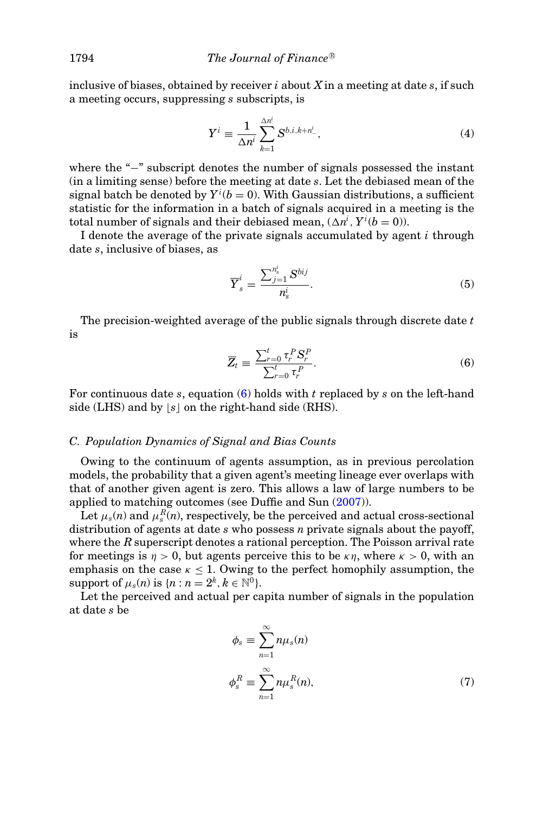inclusive of biases, obtained by receiver *i* about *X* in a meeting at date *s*, if such a meeting occurs, suppressing *s* subscripts, is

$$
Y^{i} \equiv \frac{1}{\Delta n^{i}} \sum_{k=1}^{\Delta n^{i}} S^{b,i,k+n^{i}} , \qquad (4)
$$

where the "−" subscript denotes the number of signals possessed the instant (in a limiting sense) before the meeting at date *s*. Let the debiased mean of the signal batch be denoted by  $Y^{i}(b=0)$ . With Gaussian distributions, a sufficient statistic for the information in a batch of signals acquired in a meeting is the total number of signals and their debiased mean,  $(\Delta n^i, Y^i(b=0))$ .

I denote the average of the private signals accumulated by agent *i* through date *s*, inclusive of biases, as

$$
\overline{Y}_{s}^{i} = \frac{\sum_{j=1}^{n_{s}^{i}} S^{bij}}{n_{s}^{i}}.
$$
\n
$$
(5)
$$

The precision-weighted average of the public signals through discrete date *t* is

$$
\overline{Z}_t \equiv \frac{\sum_{r=0}^t \tau_r^P S_r^P}{\sum_{r=0}^t \tau_r^P}.
$$
\n(6)

For continuous date *s*, equation (6) holds with *t* replaced by *s* on the left-hand side (LHS) and by  $\lfloor s \rfloor$  on the right-hand side (RHS).

# *C. Population Dynamics of Signal and Bias Counts*

Owing to the continuum of agents assumption, as in previous percolation models, the probability that a given agent's meeting lineage ever overlaps with that of another given agent is zero. This allows a law of large numbers to be applied to matching outcomes (see Duffie and Sun [\(2007\)](#page-50-17)).

Let  $\mu_s(n)$  and  $\mu_s^R(n)$ , respectively, be the perceived and actual cross-sectional distribution of agents at date *s* who possess *n* private signals about the payoff, where the *R* superscript denotes a rational perception. The Poisson arrival rate for meetings is  $\eta > 0$ , but agents perceive this to be  $\kappa \eta$ , where  $\kappa > 0$ , with an emphasis on the case  $\kappa \leq 1$ . Owing to the perfect homophily assumption, the support of  $\mu_s(n)$  is  $\{n : n = 2^k, k \in \mathbb{N}^0\}.$ 

Let the perceived and actual per capita number of signals in the population at date *s* be

$$
\phi_s \equiv \sum_{n=1}^{\infty} n\mu_s(n)
$$
  

$$
\phi_s^R \equiv \sum_{n=1}^{\infty} n\mu_s^R(n),
$$
 (7)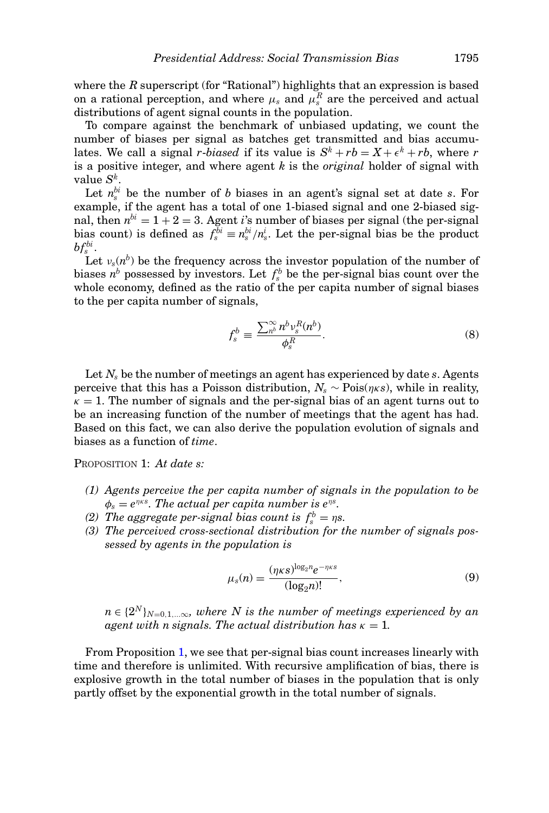where the *R* superscript (for "Rational") highlights that an expression is based on a rational perception, and where  $\mu_s$  and  $\mu_s^R$  are the perceived and actual distributions of agent signal counts in the population.

To compare against the benchmark of unbiased updating, we count the number of biases per signal as batches get transmitted and bias accumulates. We call a signal *r*-biased if its value is  $S^k + rb = X + \epsilon^k + rb$ , where *r* is a positive integer, and where agent *k* is the *original* holder of signal with value *Sk*.

Let  $n_s^{bi}$  be the number of *b* biases in an agent's signal set at date *s*. For example, if the agent has a total of one 1-biased signal and one 2-biased signal, then  $n^{bi} = 1 + 2 = 3$ . Agent *i*'s number of biases per signal (the per-signal bias count) is defined as  $f_s^{bi} \equiv n_s^{bi}/n_s^i$ . Let the per-signal bias be the product  $bf_{s}^{bi}.$ 

Let  $\nu_s(n^b)$  be the frequency across the investor population of the number of biases  $n^b$  possessed by investors. Let  $f_s^b$  be the per-signal bias count over the whole economy, defined as the ratio of the per capita number of signal biases to the per capita number of signals,

$$
f_s^b \equiv \frac{\sum_{n^b}^{\infty} n^b v_s^R(n^b)}{\phi_s^R}.
$$
 (8)

Let  $N_s$  be the number of meetings an agent has experienced by date  $s$ . Agents perceive that this has a Poisson distribution,  $N_s \sim \text{Pois}(\eta \kappa s)$ , while in reality,  $\kappa = 1$ . The number of signals and the per-signal bias of an agent turns out to be an increasing function of the number of meetings that the agent has had. Based on this fact, we can also derive the population evolution of signals and biases as a function of *time*.

PROPOSITION 1: *At date s:*

- <span id="page-17-0"></span>*(1) Agents perceive the per capita number of signals in the population to be*  $\phi_s = e^{\eta \kappa s}$ . The actual per capita number is  $e^{\eta s}$ .
- *(2)* The aggregate per-signal bias count is  $f_s^b = \eta s$ .
- *(3) The perceived cross-sectional distribution for the number of signals possessed by agents in the population is*

$$
\mu_s(n) = \frac{(\eta \kappa s)^{\log_2 n} e^{-\eta \kappa s}}{(\log_2 n)!},\tag{9}
$$

 $n \in \{2^N\}_{N=0,1,\dots,\infty}$ *, where N is the number of meetings experienced by an agent with n signals. The actual distribution has*  $\kappa = 1$ .

From Proposition [1,](#page-17-0) we see that per-signal bias count increases linearly with time and therefore is unlimited. With recursive amplification of bias, there is explosive growth in the total number of biases in the population that is only partly offset by the exponential growth in the total number of signals.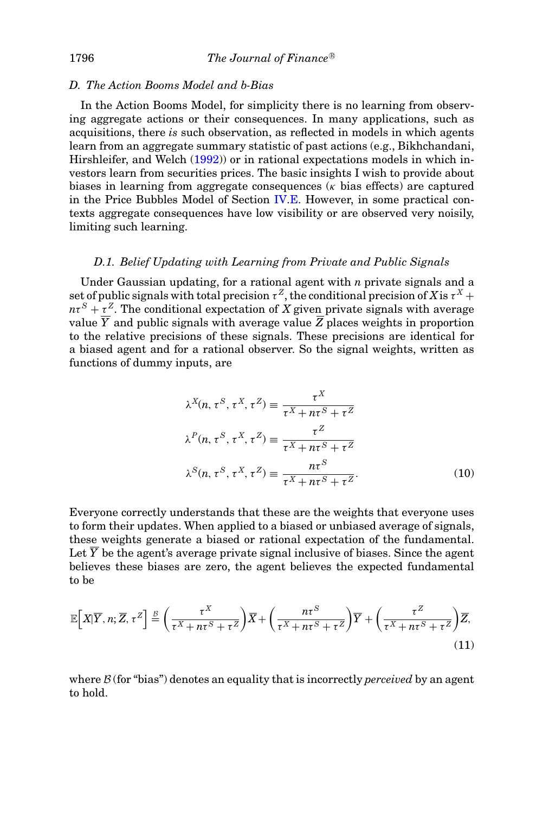## *D. The Action Booms Model and b-Bias*

In the Action Booms Model, for simplicity there is no learning from observing aggregate actions or their consequences. In many applications, such as acquisitions, there *is* such observation, as reflected in models in which agents learn from an aggregate summary statistic of past actions (e.g., Bikhchandani, Hirshleifer, and Welch [\(1992\)](#page-49-1)) or in rational expectations models in which investors learn from securities prices. The basic insights I wish to provide about biases in learning from aggregate consequences (κ bias effects) are captured in the Price Bubbles Model of Section IV.E. However, in some practical contexts aggregate consequences have low visibility or are observed very noisily, limiting such learning.

# *D.1. Belief Updating with Learning from Private and Public Signals*

Under Gaussian updating, for a rational agent with *n* private signals and a set of public signals with total precision  $\tau^Z$ , the conditional precision of *X* is  $\tau^X$  +  $n\tau^{S} + \tau^{Z}$ . The conditional expectation of *X* given private signals with average value  $\overline{Y}$  and public signals with average value  $\overline{Z}$  places weights in proportion to the relative precisions of these signals. These precisions are identical for a biased agent and for a rational observer. So the signal weights, written as functions of dummy inputs, are

$$
\lambda^{X}(n, \tau^{S}, \tau^{X}, \tau^{Z}) \equiv \frac{\tau^{X}}{\tau^{X} + n\tau^{S} + \tau^{Z}}
$$

$$
\lambda^{P}(n, \tau^{S}, \tau^{X}, \tau^{Z}) \equiv \frac{\tau^{Z}}{\tau^{X} + n\tau^{S} + \tau^{Z}}
$$

$$
\lambda^{S}(n, \tau^{S}, \tau^{X}, \tau^{Z}) \equiv \frac{n\tau^{S}}{\tau^{X} + n\tau^{S} + \tau^{Z}}.
$$
(10)

Everyone correctly understands that these are the weights that everyone uses to form their updates. When applied to a biased or unbiased average of signals, these weights generate a biased or rational expectation of the fundamental. Let *Y* be the agent's average private signal inclusive of biases. Since the agent believes these biases are zero, the agent believes the expected fundamental to be

$$
\mathbb{E}\Big[X|\overline{Y},n;\overline{Z},\tau^Z\Big]\stackrel{\text{B}}{=} \left(\frac{\tau^X}{\tau^X+n\tau^S+\tau^Z}\right)\overline{X}+\left(\frac{n\tau^S}{\tau^X+n\tau^S+\tau^Z}\right)\overline{Y}+\left(\frac{\tau^Z}{\tau^X+n\tau^S+\tau^Z}\right)\overline{Z},\tag{11}
$$

where *B* (for "bias") denotes an equality that is incorrectly *perceived* by an agent to hold.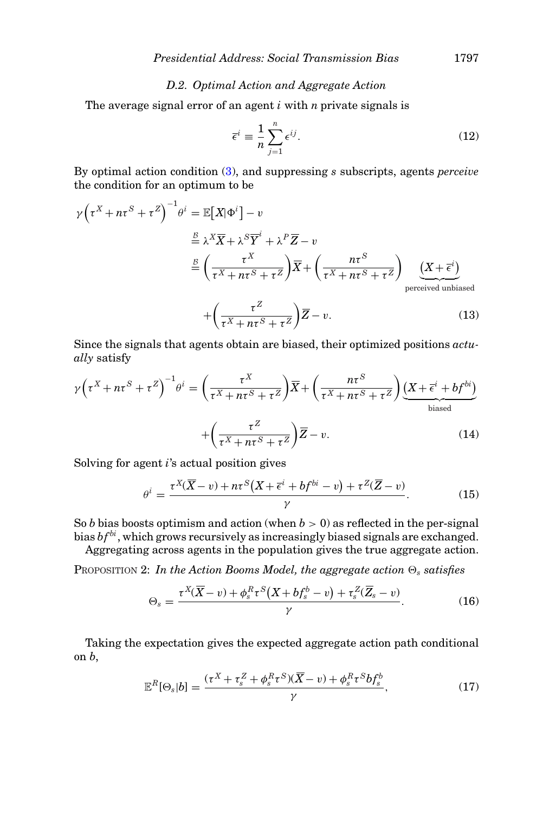# *D.2. Optimal Action and Aggregate Action*

The average signal error of an agent *i* with *n* private signals is

$$
\overline{\epsilon}^i \equiv \frac{1}{n} \sum_{j=1}^n \epsilon^{ij}.
$$
 (12)

By optimal action condition (3), and suppressing *s* subscripts, agents *perceive* the condition for an optimum to be

$$
\gamma \left( \tau^X + n\tau^S + \tau^Z \right)^{-1} \theta^i = \mathbb{E}[X] \Phi^i] - v
$$
  
\n
$$
\stackrel{B}{=} \lambda^X \overline{X} + \lambda^S \overline{Y}^i + \lambda^P \overline{Z} - v
$$
  
\n
$$
\stackrel{B}{=} \left( \frac{\tau^X}{\tau^X + n\tau^S + \tau^Z} \right) \overline{X} + \left( \frac{n\tau^S}{\tau^X + n\tau^S + \tau^Z} \right) \underbrace{\left( X + \overline{\epsilon}^i \right)}_{\text{perceived unbiased}}
$$

$$
+\left(\frac{\tau^Z}{\tau^X + n\tau^S + \tau^Z}\right)\overline{Z} - v.
$$
 (13)

Since the signals that agents obtain are biased, their optimized positions *actually* satisfy

$$
\gamma \left(\tau^X + n\tau^S + \tau^Z\right)^{-1} \theta^i = \left(\frac{\tau^X}{\tau^X + n\tau^S + \tau^Z}\right) \overline{X} + \left(\frac{n\tau^S}{\tau^X + n\tau^S + \tau^Z}\right) \underbrace{\left(X + \overline{\epsilon}^i + bf^{bi}\right)}_{\text{biased}}
$$

$$
+ \left(\frac{\tau^Z}{\tau^X + n\tau^S + \tau^Z}\right) \overline{Z} - v. \tag{14}
$$

Solving for agent *i*'s actual position gives

$$
\theta^{i} = \frac{\tau^{X}(\overline{X} - v) + n\tau^{S}(X + \overline{\epsilon}^{i} + bf^{bi} - v) + \tau^{Z}(\overline{Z} - v)}{\gamma}.
$$
 (15)

So *b* bias boosts optimism and action (when  $b > 0$ ) as reflected in the per-signal bias  $bf^{bi}$ , which grows recursively as increasingly biased signals are exchanged.

Aggregating across agents in the population gives the true aggregate action.

PROPOSITION 2: *In the Action Booms Model, the aggregate action*  $\Theta_s$  *satisfies* 

<span id="page-19-0"></span>
$$
\Theta_s = \frac{\tau^X(\overline{X} - v) + \phi_s^R \tau^S \left(X + b f_s^b - v\right) + \tau_s^Z(\overline{Z}_s - v)}{\gamma}.
$$
\n(16)

Taking the expectation gives the expected aggregate action path conditional on *b*,

$$
\mathbb{E}^R[\Theta_s|b] = \frac{(\tau^X + \tau_s^Z + \phi_s^R \tau^S)(\overline{X} - v) + \phi_s^R \tau^S b f_s^b}{\gamma},\tag{17}
$$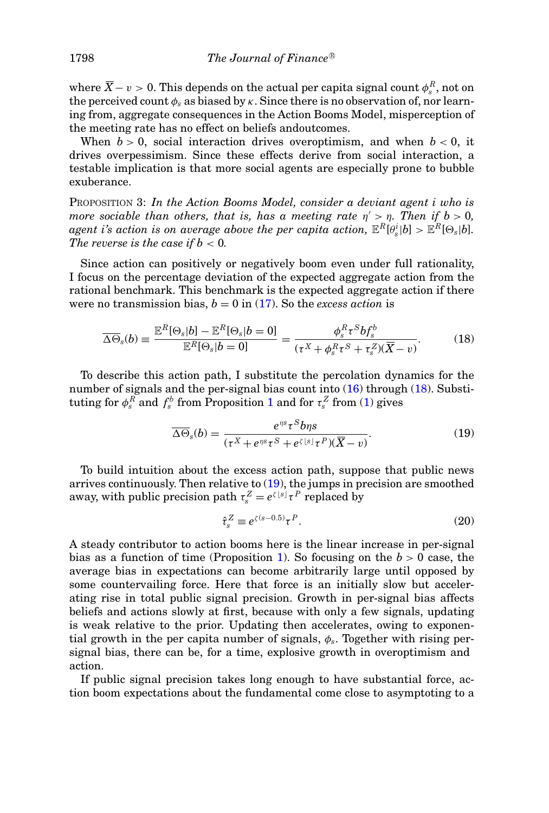where  $\overline{X}-v>0.$  This depends on the actual per capita signal count  $\phi^R_s$ , not on the perceived count  $\phi_s$  as biased by  $\kappa$ . Since there is no observation of, nor learning from, aggregate consequences in the Action Booms Model, misperception of the meeting rate has no effect on beliefs andoutcomes.

When  $b > 0$ , social interaction drives overoptimism, and when  $b < 0$ , it drives overpessimism. Since these effects derive from social interaction, a testable implication is that more social agents are especially prone to bubble exuberance.

<span id="page-20-0"></span>PROPOSITION 3: *In the Action Booms Model, consider a deviant agent i who is more sociable than others, that is, has a meeting rate*  $\eta' > \eta$ *. Then if b > 0,*  $a$ gent i's action is on average above the per capita action,  $\mathbb{E}^R[\theta_s^i|b] > \mathbb{E}^R[\Theta_s|b]$ . *The reverse is the case if b* < 0*.*

Since action can positively or negatively boom even under full rationality, I focus on the percentage deviation of the expected aggregate action from the rational benchmark. This benchmark is the expected aggregate action if there were no transmission bias,  $b = 0$  in (17). So the *excess action* is

$$
\overline{\Delta\Theta}_s(b) \equiv \frac{\mathbb{E}^R[\Theta_s|b] - \mathbb{E}^R[\Theta_s|b=0]}{\mathbb{E}^R[\Theta_s|b=0]} = \frac{\phi_s^R \tau^S b f_s^b}{(\tau^X + \phi_s^R \tau^S + \tau_s^Z)(\overline{X} - v)}.
$$
(18)

To describe this action path, I substitute the percolation dynamics for the number of signals and the per-signal bias count into (16) through (18). Substi- $\tau_s^Z$  from  $f_s^b$  from Proposition [1](#page-17-0) and for  $\tau_s^Z$  from (1) gives

$$
\overline{\Delta\Theta}_s(b) = \frac{e^{\eta s} \tau^S b \eta s}{(\tau^X + e^{\eta s} \tau^S + e^{\zeta \lfloor s \rfloor} \tau^P)(\overline{X} - v)}.
$$
\n(19)

To build intuition about the excess action path, suppose that public news arrives continuously. Then relative to (19), the jumps in precision are smoothed away, with public precision path  $\tau_s^Z = e^{\zeta \lfloor s \rfloor} \tau^P$  replaced by

$$
\hat{\tau}_s^Z \equiv e^{\zeta(s-0.5)} \tau^P. \tag{20}
$$

A steady contributor to action booms here is the linear increase in per-signal bias as a function of time (Proposition [1\)](#page-17-0). So focusing on the  $b > 0$  case, the average bias in expectations can become arbitrarily large until opposed by some countervailing force. Here that force is an initially slow but accelerating rise in total public signal precision. Growth in per-signal bias affects beliefs and actions slowly at first, because with only a few signals, updating is weak relative to the prior. Updating then accelerates, owing to exponential growth in the per capita number of signals, φ*s*. Together with rising persignal bias, there can be, for a time, explosive growth in overoptimism and action.

If public signal precision takes long enough to have substantial force, action boom expectations about the fundamental come close to asymptoting to a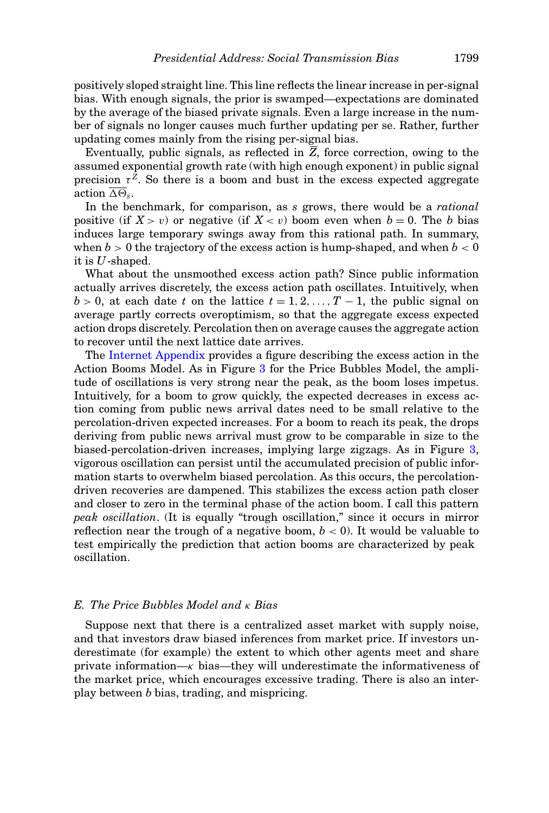positively sloped straight line. This line reflects the linear increase in per-signal bias. With enough signals, the prior is swamped—expectations are dominated by the average of the biased private signals. Even a large increase in the number of signals no longer causes much further updating per se. Rather, further updating comes mainly from the rising per-signal bias.

Eventually, public signals, as reflected in  $\overline{Z}$ , force correction, owing to the assumed exponential growth rate (with high enough exponent) in public signal precision  $\tau^Z$ . So there is a boom and bust in the excess expected aggregate action  $\Delta \Theta_s$ .

In the benchmark, for comparison, as *s* grows, there would be a *rational* positive (if  $X > v$ ) or negative (if  $X < v$ ) boom even when  $b = 0$ . The *b* bias induces large temporary swings away from this rational path. In summary, when  $b > 0$  the trajectory of the excess action is hump-shaped, and when  $b < 0$ it is *U*-shaped.

What about the unsmoothed excess action path? Since public information actually arrives discretely, the excess action path oscillates. Intuitively, when  $b > 0$ , at each date *t* on the lattice  $t = 1, 2, \ldots, T-1$ , the public signal on average partly corrects overoptimism, so that the aggregate excess expected action drops discretely. Percolation then on average causes the aggregate action to recover until the next lattice date arrives.

The Internet Appendix provides a figure describing the excess action in the Action Booms Model. As in Figure [3](#page-10-1) for the Price Bubbles Model, the amplitude of oscillations is very strong near the peak, as the boom loses impetus. Intuitively, for a boom to grow quickly, the expected decreases in excess action coming from public news arrival dates need to be small relative to the percolation-driven expected increases. For a boom to reach its peak, the drops deriving from public news arrival must grow to be comparable in size to the biased-percolation-driven increases, implying large zigzags. As in Figure [3,](#page-10-1) vigorous oscillation can persist until the accumulated precision of public information starts to overwhelm biased percolation. As this occurs, the percolationdriven recoveries are dampened. This stabilizes the excess action path closer and closer to zero in the terminal phase of the action boom. I call this pattern *peak oscillation*. (It is equally "trough oscillation," since it occurs in mirror reflection near the trough of a negative boom,  $b < 0$ ). It would be valuable to test empirically the prediction that action booms are characterized by peak oscillation.

# *E. The Price Bubbles Model and* κ *Bias*

Suppose next that there is a centralized asset market with supply noise, and that investors draw biased inferences from market price. If investors underestimate (for example) the extent to which other agents meet and share private information— $\kappa$  bias—they will underestimate the informativeness of the market price, which encourages excessive trading. There is also an interplay between *b* bias, trading, and mispricing.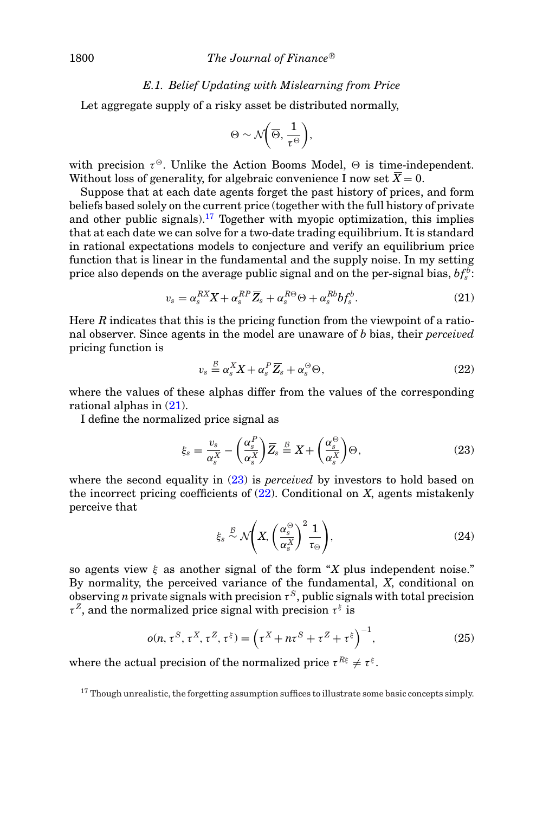# *E.1. Belief Updating with Mislearning from Price*

Let aggregate supply of a risky asset be distributed normally,

$$
\Theta \sim \mathcal{N}\left(\overline{\Theta}, \frac{1}{\tau^{\Theta}}\right),
$$

with precision  $\tau^{\Theta}$ . Unlike the Action Booms Model,  $\Theta$  is time-independent. Without loss of generality, for algebraic convenience I now set  $\overline{X} = 0$ .

Suppose that at each date agents forget the past history of prices, and form beliefs based solely on the current price (together with the full history of private and other public signals).<sup>17</sup> Together with myopic optimization, this implies that at each date we can solve for a two-date trading equilibrium. It is standard in rational expectations models to conjecture and verify an equilibrium price function that is linear in the fundamental and the supply noise. In my setting price also depends on the average public signal and on the per-signal bias,  $bf_{s}^{fb}$ :

$$
v_s = \alpha_s^{RX} X + \alpha_s^{RP} \overline{Z}_s + \alpha_s^{R\Theta} \Theta + \alpha_s^{Rb} b f_s^b. \tag{21}
$$

Here *R* indicates that this is the pricing function from the viewpoint of a rational observer. Since agents in the model are unaware of *b* bias, their *perceived* pricing function is

$$
v_s \stackrel{B}{=} \alpha_s^X X + \alpha_s^P \overline{Z}_s + \alpha_s^{\Theta} \Theta, \qquad (22)
$$

where the values of these alphas differ from the values of the corresponding rational alphas in  $(21)$ .

I define the normalized price signal as

$$
\xi_s \equiv \frac{v_s}{\alpha_s^X} - \left(\frac{\alpha_s^P}{\alpha_s^X}\right) \overline{Z}_s \stackrel{B}{=} X + \left(\frac{\alpha_s^{\Theta}}{\alpha_s^X}\right) \Theta,\tag{23}
$$

where the second equality in (23) is *perceived* by investors to hold based on the incorrect pricing coefficients of (22). Conditional on *X*, agents mistakenly perceive that

$$
\xi_s \stackrel{\mathcal{B}}{\sim} \mathcal{N}\left(X, \left(\frac{\alpha_s^{\Theta}}{\alpha_s^X}\right)^2 \frac{1}{\tau_{\Theta}}\right),\tag{24}
$$

so agents view  $\xi$  as another signal of the form " $X$  plus independent noise." By normality, the perceived variance of the fundamental, *X*, conditional on observing *n* private signals with precision  $\tau^S$ , public signals with total precision  $\tau^Z$ , and the normalized price signal with precision  $\tau^{\xi}$  is

$$
o(n, \tau^S, \tau^X, \tau^Z, \tau^{\xi}) \equiv \left(\tau^X + n\tau^S + \tau^Z + \tau^{\xi}\right)^{-1},\tag{25}
$$

where the actual precision of the normalized price  $\tau^{R\xi} \neq \tau^{\xi}$ .

<span id="page-22-0"></span><sup>&</sup>lt;sup>17</sup> Though unrealistic, the forgetting assumption suffices to illustrate some basic concepts simply.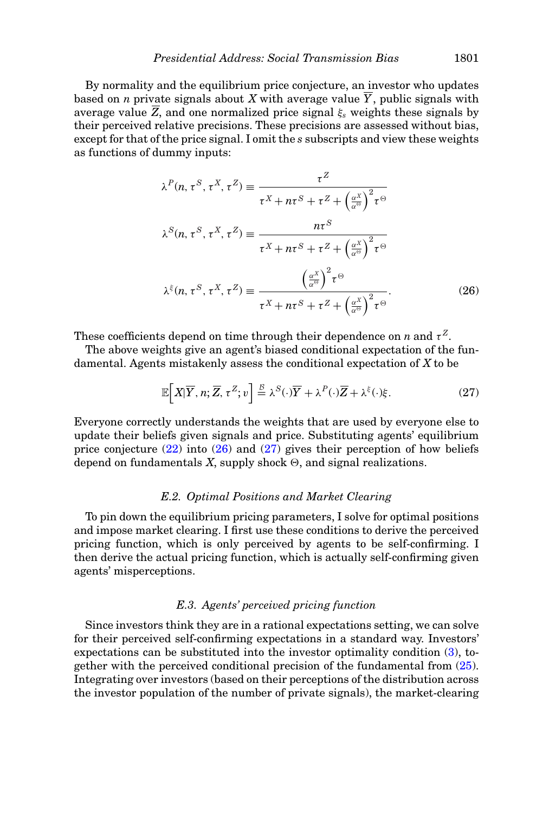By normality and the equilibrium price conjecture, an investor who updates based on *n* private signals about *X* with average value  $\overline{Y}$ , public signals with average value  $\overline{Z}$ , and one normalized price signal  $\xi$ <sub>s</sub> weights these signals by their perceived relative precisions. These precisions are assessed without bias, except for that of the price signal. I omit the *s* subscripts and view these weights as functions of dummy inputs:

$$
\lambda^{P}(n, \tau^{S}, \tau^{X}, \tau^{Z}) \equiv \frac{\tau^{Z}}{\tau^{X} + n\tau^{S} + \tau^{Z} + \left(\frac{\alpha^{X}}{\alpha^{\Theta}}\right)^{2} \tau^{\Theta}}
$$

$$
\lambda^{S}(n, \tau^{S}, \tau^{X}, \tau^{Z}) \equiv \frac{n\tau^{S}}{\tau^{X} + n\tau^{S} + \tau^{Z} + \left(\frac{\alpha^{X}}{\alpha^{\Theta}}\right)^{2} \tau^{\Theta}}
$$

$$
\lambda^{\xi}(n, \tau^{S}, \tau^{X}, \tau^{Z}) \equiv \frac{\left(\frac{\alpha^{X}}{\alpha^{\Theta}}\right)^{2} \tau^{\Theta}}{\tau^{X} + n\tau^{S} + \tau^{Z} + \left(\frac{\alpha^{X}}{\alpha^{\Theta}}\right)^{2} \tau^{\Theta}}.
$$
(26)

These coefficients depend on time through their dependence on *n* and  $\tau^2$ .

The above weights give an agent's biased conditional expectation of the fundamental. Agents mistakenly assess the conditional expectation of *X* to be

$$
\mathbb{E}\Big[X|\overline{Y},n;\overline{Z},\tau^Z;\nu\Big]\stackrel{\beta}{=}\lambda^S(\cdot)\overline{Y}+\lambda^P(\cdot)\overline{Z}+\lambda^{\xi}(\cdot)\xi.
$$
 (27)

Everyone correctly understands the weights that are used by everyone else to update their beliefs given signals and price. Substituting agents' equilibrium price conjecture  $(22)$  into  $(26)$  and  $(27)$  gives their perception of how beliefs depend on fundamentals  $X$ , supply shock  $\Theta$ , and signal realizations.

# *E.2. Optimal Positions and Market Clearing*

To pin down the equilibrium pricing parameters, I solve for optimal positions and impose market clearing. I first use these conditions to derive the perceived pricing function, which is only perceived by agents to be self-confirming. I then derive the actual pricing function, which is actually self-confirming given agents' misperceptions.

# *E.3. Agents' perceived pricing function*

Since investors think they are in a rational expectations setting, we can solve for their perceived self-confirming expectations in a standard way. Investors' expectations can be substituted into the investor optimality condition (3), together with the perceived conditional precision of the fundamental from (25). Integrating over investors (based on their perceptions of the distribution across the investor population of the number of private signals), the market-clearing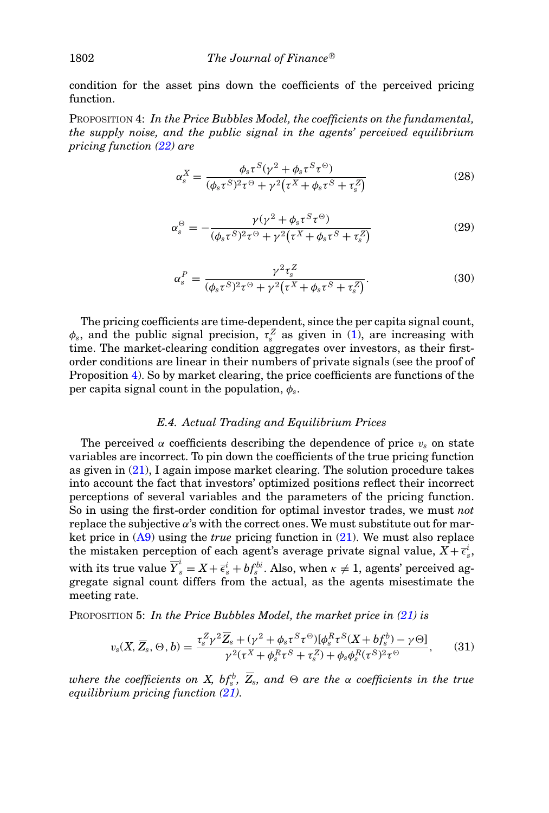condition for the asset pins down the coefficients of the perceived pricing function.

PROPOSITION 4: *In the Price Bubbles Model, the coefficients on the fundamental, the supply noise, and the public signal in the agents' perceived equilibrium pricing function (22) are*

<span id="page-24-0"></span>
$$
\alpha_s^X = \frac{\phi_s \tau^S (\gamma^2 + \phi_s \tau^S \tau^{\Theta})}{(\phi_s \tau^S)^2 \tau^{\Theta} + \gamma^2 (\tau^X + \phi_s \tau^S + \tau_s^Z)}
$$
(28)

$$
\alpha_s^{\Theta} = -\frac{\gamma(\gamma^2 + \phi_s \tau^S \tau^{\Theta})}{(\phi_s \tau^S)^2 \tau^{\Theta} + \gamma^2 (\tau^X + \phi_s \tau^S + \tau_s^Z)}
$$
(29)

$$
\alpha_s^P = \frac{\gamma^2 \tau_s^Z}{(\phi_s \tau^S)^2 \tau^{\Theta} + \gamma^2 (\tau^X + \phi_s \tau^S + \tau_s^Z)}.
$$
\n(30)

The pricing coefficients are time-dependent, since the per capita signal count,  $\phi_s$ , and the public signal precision,  $\tau_s^Z$  as given in (1), are increasing with time. The market-clearing condition aggregates over investors, as their firstorder conditions are linear in their numbers of private signals (see the proof of Proposition [4\)](#page-24-0). So by market clearing, the price coefficients are functions of the per capita signal count in the population, φ*s*.

#### *E.4. Actual Trading and Equilibrium Prices*

The perceived  $\alpha$  coefficients describing the dependence of price  $v_s$  on state variables are incorrect. To pin down the coefficients of the true pricing function as given in  $(21)$ , I again impose market clearing. The solution procedure takes into account the fact that investors' optimized positions reflect their incorrect perceptions of several variables and the parameters of the pricing function. So in using the first-order condition for optimal investor trades, we must *not* replace the subjective  $\alpha$ 's with the correct ones. We must substitute out for market price in (A9) using the *true* pricing function in (21). We must also replace the mistaken perception of each agent's average private signal value,  $X + \overline{\epsilon}^i_s$ , with its true value  $\overline{Y}_s^i = X + \overline{\epsilon}_s^i + bf_s^{bi}$  . Also, when  $\kappa \neq 1$ , agents' perceived aggregate signal count differs from the actual, as the agents misestimate the meeting rate.

PROPOSITION 5: *In the Price Bubbles Model, the market price in (21) is*

<span id="page-24-1"></span>
$$
v_s(X, \overline{Z}_s, \Theta, b) = \frac{\tau_s^Z \gamma^2 \overline{Z}_s + (\gamma^2 + \phi_s \tau^S \tau^{\Theta}) [\phi_s^R \tau^S (X + b f_s^b) - \gamma \Theta]}{\gamma^2 (\tau^X + \phi_s^R \tau^S + \tau_s^Z) + \phi_s \phi_s^R (\tau^S)^2 \tau^{\Theta}},
$$
(31)

 $where the coefficients on X, bf_s^b, \ \overline{Z}_s, \ and \ \Theta \ are \ the \ \alpha \ coefficients \ in \ the \ true$ *equilibrium pricing function (21).*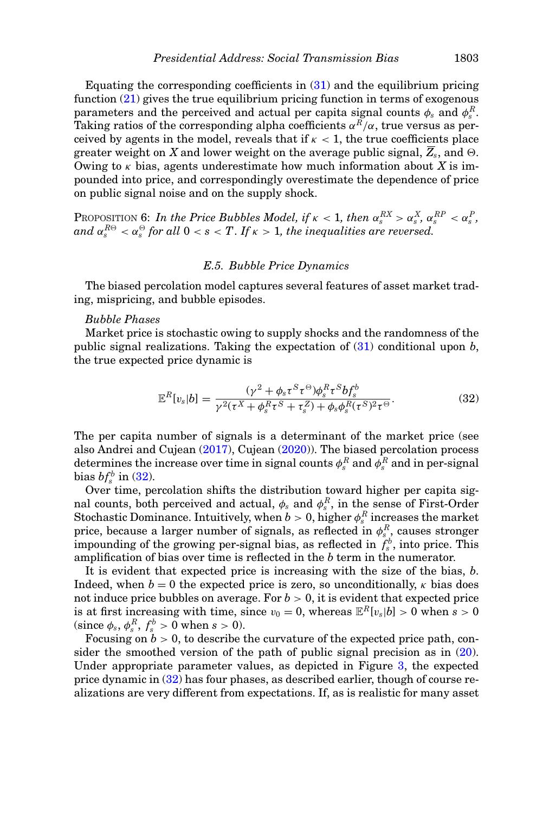Equating the corresponding coefficients in  $(31)$  and the equilibrium pricing function (21) gives the true equilibrium pricing function in terms of exogenous parameters and the perceived and actual per capita signal counts  $\phi_s$  and  $\phi_s^R$ . Taking ratios of the corresponding alpha coefficients  $\alpha^R/\alpha$ , true versus as perceived by agents in the model, reveals that if  $\kappa < 1$ , the true coefficients place greater weight on *X* and lower weight on the average public signal,  $Z_s$ , and  $\Theta$ . Owing to  $\kappa$  bias, agents underestimate how much information about X is impounded into price, and correspondingly overestimate the dependence of price on public signal noise and on the supply shock.

<span id="page-25-0"></span>PROPOSITION 6: *In the Price Bubbles Model, if*  $\kappa < 1$ *, then*  $\alpha_s^{RX} > \alpha_s^X$ ,  $\alpha_s^{RP} < \alpha_s^P$ , and  $\alpha_s^{R \Theta} < \alpha_s^{\Theta}$  for all  $0 < s < T$ . If  $\kappa > 1$ , the inequalities are reversed.

## *E.5. Bubble Price Dynamics*

The biased percolation model captures several features of asset market trading, mispricing, and bubble episodes.

# *Bubble Phases*

Market price is stochastic owing to supply shocks and the randomness of the public signal realizations. Taking the expectation of (31) conditional upon *b*, the true expected price dynamic is

$$
\mathbb{E}^R[v_s|b] = \frac{(\gamma^2 + \phi_s \tau^S \tau^{\Theta}) \phi_s^R \tau^S b f_s^b}{\gamma^2 (\tau^X + \phi_s^R \tau^S + \tau_s^Z) + \phi_s \phi_s^R (\tau^S)^2 \tau^{\Theta}}.
$$
\n(32)

The per capita number of signals is a determinant of the market price (see also Andrei and Cujean [\(2017\)](#page-48-4), Cujean [\(2020\)](#page-50-16)). The biased percolation process determines the increase over time in signal counts  $\phi_s^R$  and  $\phi_s^R$  and in per-signal  $\text{bias } bf_s^b$  in (32).

Over time, percolation shifts the distribution toward higher per capita signal counts, both perceived and actual,  $\phi_s$  and  $\phi_s^R$ , in the sense of First-Order Stochastic Dominance. Intuitively, when  $b > 0$ , higher  $\phi_s^R$  increases the market price, because a larger number of signals, as reflected in  $\phi_s^R$ , causes stronger impounding of the growing per-signal bias, as reflected in  $f_s^b$ , into price. This amplification of bias over time is reflected in the *b* term in the numerator.

It is evident that expected price is increasing with the size of the bias, *b*. Indeed, when  $b = 0$  the expected price is zero, so unconditionally,  $\kappa$  bias does not induce price bubbles on average. For  $b > 0$ , it is evident that expected price is at first increasing with time, since  $v_0 = 0$ , whereas  $\mathbb{E}^R[v_s|b] > 0$  when  $s > 0$ (since  $\phi_s$ ,  $\phi_s^R$ ,  $f_s^b > 0$  when  $s > 0$ ).

Focusing on  $b > 0$ , to describe the curvature of the expected price path, consider the smoothed version of the path of public signal precision as in (20). Under appropriate parameter values, as depicted in Figure [3,](#page-10-1) the expected price dynamic in (32) has four phases, as described earlier, though of course realizations are very different from expectations. If, as is realistic for many asset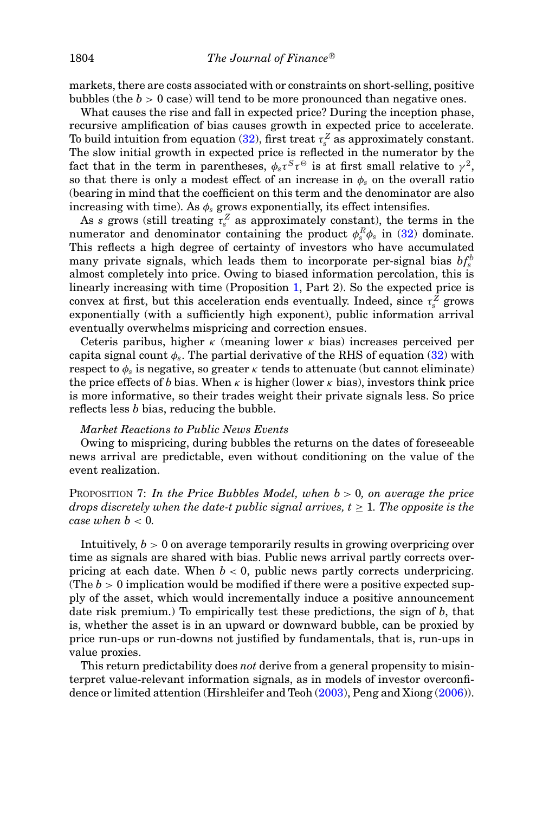markets, there are costs associated with or constraints on short-selling, positive bubbles (the  $b > 0$  case) will tend to be more pronounced than negative ones.

What causes the rise and fall in expected price? During the inception phase, recursive amplification of bias causes growth in expected price to accelerate. To build intuition from equation (32), first treat  $\tau_s^Z$  as approximately constant. The slow initial growth in expected price is reflected in the numerator by the fact that in the term in parentheses,  $\phi_s \tau^S \tau^{\Theta}$  is at first small relative to  $\gamma^2$ , so that there is only a modest effect of an increase in  $\phi_s$  on the overall ratio (bearing in mind that the coefficient on this term and the denominator are also increasing with time). As  $\phi_s$  grows exponentially, its effect intensifies.

As *s* grows (still treating  $\tau_s^Z$  as approximately constant), the terms in the numerator and denominator containing the product  $\phi_s^R \phi_s$  in (32) dominate. This reflects a high degree of certainty of investors who have accumulated many private signals, which leads them to incorporate per-signal bias  $bf_g^b$ almost completely into price. Owing to biased information percolation, this is linearly increasing with time (Proposition [1,](#page-17-0) Part 2). So the expected price is convex at first, but this acceleration ends eventually. Indeed, since  $\tau_s^Z$  grows exponentially (with a sufficiently high exponent), public information arrival eventually overwhelms mispricing and correction ensues.

Ceteris paribus, higher  $\kappa$  (meaning lower  $\kappa$  bias) increases perceived per capita signal count  $\phi_s$ . The partial derivative of the RHS of equation (32) with respect to  $\phi_s$  is negative, so greater  $\kappa$  tends to attenuate (but cannot eliminate) the price effects of *b* bias. When  $\kappa$  is higher (lower  $\kappa$  bias), investors think price is more informative, so their trades weight their private signals less. So price reflects less *b* bias, reducing the bubble.

# *Market Reactions to Public News Events*

Owing to mispricing, during bubbles the returns on the dates of foreseeable news arrival are predictable, even without conditioning on the value of the event realization.

<span id="page-26-0"></span>PROPOSITION 7: *In the Price Bubbles Model, when b* > 0*, on average the price drops discretely when the date-t public signal arrives,*  $t \geq 1$ *. The opposite is the case when*  $b < 0$ .

Intuitively,  $b > 0$  on average temporarily results in growing overpricing over time as signals are shared with bias. Public news arrival partly corrects overpricing at each date. When  $b < 0$ , public news partly corrects underpricing. (The  $b > 0$  implication would be modified if there were a positive expected supply of the asset, which would incrementally induce a positive announcement date risk premium.) To empirically test these predictions, the sign of *b*, that is, whether the asset is in an upward or downward bubble, can be proxied by price run-ups or run-downs not justified by fundamentals, that is, run-ups in value proxies.

This return predictability does *not* derive from a general propensity to misinterpret value-relevant information signals, as in models of investor overconfidence or limited attention (Hirshleifer and Teoh [\(2003\)](#page-51-14), Peng and Xiong [\(2006\)](#page-52-15)).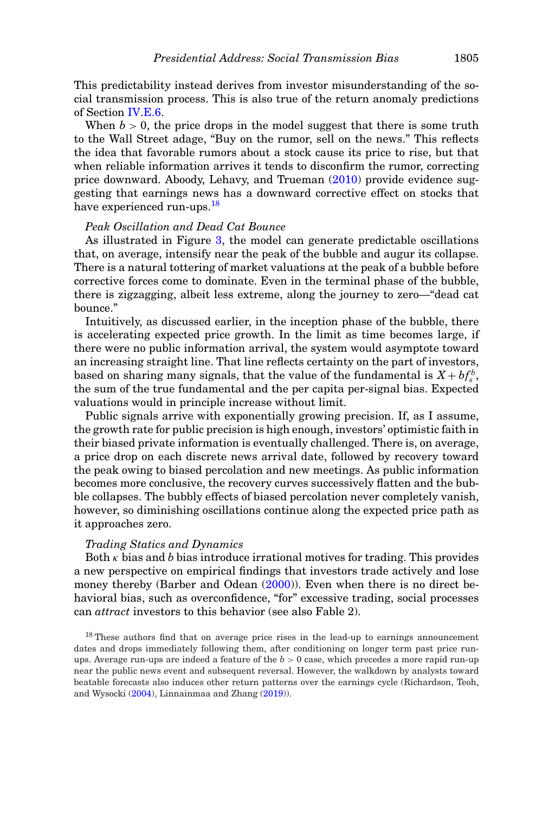This predictability instead derives from investor misunderstanding of the social transmission process. This is also true of the return anomaly predictions of Section IV.E.6.

When  $b > 0$ , the price drops in the model suggest that there is some truth to the Wall Street adage, "Buy on the rumor, sell on the news." This reflects the idea that favorable rumors about a stock cause its price to rise, but that when reliable information arrives it tends to disconfirm the rumor, correcting price downward. Aboody, Lehavy, and Trueman [\(2010\)](#page-48-5) provide evidence suggesting that earnings news has a downward corrective effect on stocks that have experienced run-ups.<sup>[18](#page-27-0)</sup>

# *Peak Oscillation and Dead Cat Bounce*

As illustrated in Figure [3,](#page-10-1) the model can generate predictable oscillations that, on average, intensify near the peak of the bubble and augur its collapse. There is a natural tottering of market valuations at the peak of a bubble before corrective forces come to dominate. Even in the terminal phase of the bubble, there is zigzagging, albeit less extreme, along the journey to zero—"dead cat bounce."

Intuitively, as discussed earlier, in the inception phase of the bubble, there is accelerating expected price growth. In the limit as time becomes large, if there were no public information arrival, the system would asymptote toward an increasing straight line. That line reflects certainty on the part of investors, based on sharing many signals, that the value of the fundamental is  $X + b f_s^b$ , the sum of the true fundamental and the per capita per-signal bias. Expected valuations would in principle increase without limit.

Public signals arrive with exponentially growing precision. If, as I assume, the growth rate for public precision is high enough, investors' optimistic faith in their biased private information is eventually challenged. There is, on average, a price drop on each discrete news arrival date, followed by recovery toward the peak owing to biased percolation and new meetings. As public information becomes more conclusive, the recovery curves successively flatten and the bubble collapses. The bubbly effects of biased percolation never completely vanish, however, so diminishing oscillations continue along the expected price path as it approaches zero.

# *Trading Statics and Dynamics*

Both κ bias and *b* bias introduce irrational motives for trading. This provides a new perspective on empirical findings that investors trade actively and lose money thereby (Barber and Odean [\(2000\)](#page-49-15)). Even when there is no direct behavioral bias, such as overconfidence, "for" excessive trading, social processes can *attract* investors to this behavior (see also Fable 2).

<span id="page-27-0"></span><sup>&</sup>lt;sup>18</sup> These authors find that on average price rises in the lead-up to earnings announcement dates and drops immediately following them, after conditioning on longer term past price runups. Average run-ups are indeed a feature of the *b* > 0 case, which precedes a more rapid run-up near the public news event and subsequent reversal. However, the walkdown by analysts toward beatable forecasts also induces other return patterns over the earnings cycle (Richardson, Teoh, and Wysocki [\(2004\)](#page-52-16), Linnainmaa and Zhang [\(2019\)](#page-52-17)).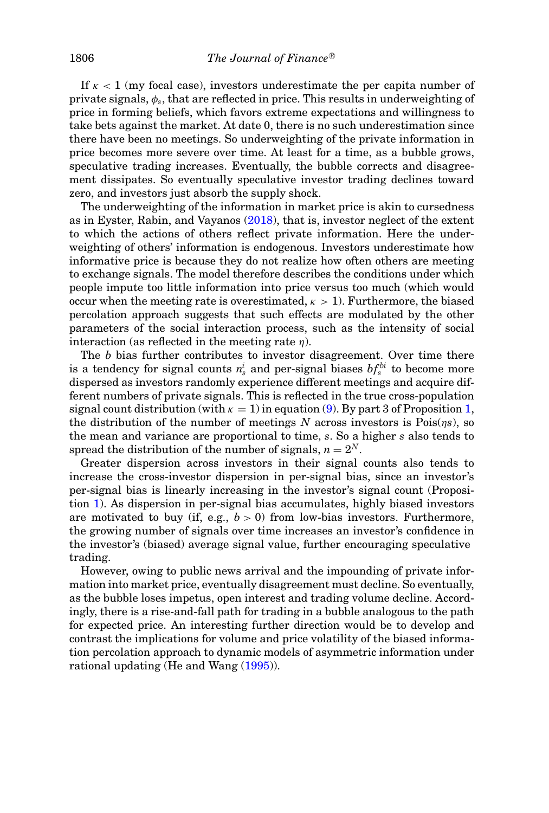If  $\kappa$  < 1 (my focal case), investors underestimate the per capita number of private signals, φ*s*, that are reflected in price. This results in underweighting of price in forming beliefs, which favors extreme expectations and willingness to take bets against the market. At date 0, there is no such underestimation since there have been no meetings. So underweighting of the private information in price becomes more severe over time. At least for a time, as a bubble grows, speculative trading increases. Eventually, the bubble corrects and disagreement dissipates. So eventually speculative investor trading declines toward zero, and investors just absorb the supply shock.

The underweighting of the information in market price is akin to cursedness as in Eyster, Rabin, and Vayanos [\(2018\)](#page-50-18), that is, investor neglect of the extent to which the actions of others reflect private information. Here the underweighting of others' information is endogenous. Investors underestimate how informative price is because they do not realize how often others are meeting to exchange signals. The model therefore describes the conditions under which people impute too little information into price versus too much (which would occur when the meeting rate is overestimated,  $\kappa > 1$ ). Furthermore, the biased percolation approach suggests that such effects are modulated by the other parameters of the social interaction process, such as the intensity of social interaction (as reflected in the meeting rate  $\eta$ ).

The *b* bias further contributes to investor disagreement. Over time there is a tendency for signal counts  $n_s^i$  and per-signal biases  $bf_s^{f^{bi}}$  to become more dispersed as investors randomly experience different meetings and acquire different numbers of private signals. This is reflected in the true cross-population signal count distribution (with  $\kappa = 1$ ) in equation (9). By part 3 of Proposition [1,](#page-17-0) the distribution of the number of meetings *N* across investors is Pois(η*s*), so the mean and variance are proportional to time, *s*. So a higher *s* also tends to spread the distribution of the number of signals,  $n = 2^N$ .

Greater dispersion across investors in their signal counts also tends to increase the cross-investor dispersion in per-signal bias, since an investor's per-signal bias is linearly increasing in the investor's signal count (Proposition [1\)](#page-17-0). As dispersion in per-signal bias accumulates, highly biased investors are motivated to buy (if, e.g.,  $b > 0$ ) from low-bias investors. Furthermore, the growing number of signals over time increases an investor's confidence in the investor's (biased) average signal value, further encouraging speculative trading.

However, owing to public news arrival and the impounding of private information into market price, eventually disagreement must decline. So eventually, as the bubble loses impetus, open interest and trading volume decline. Accordingly, there is a rise-and-fall path for trading in a bubble analogous to the path for expected price. An interesting further direction would be to develop and contrast the implications for volume and price volatility of the biased information percolation approach to dynamic models of asymmetric information under rational updating (He and Wang [\(1995\)](#page-51-15)).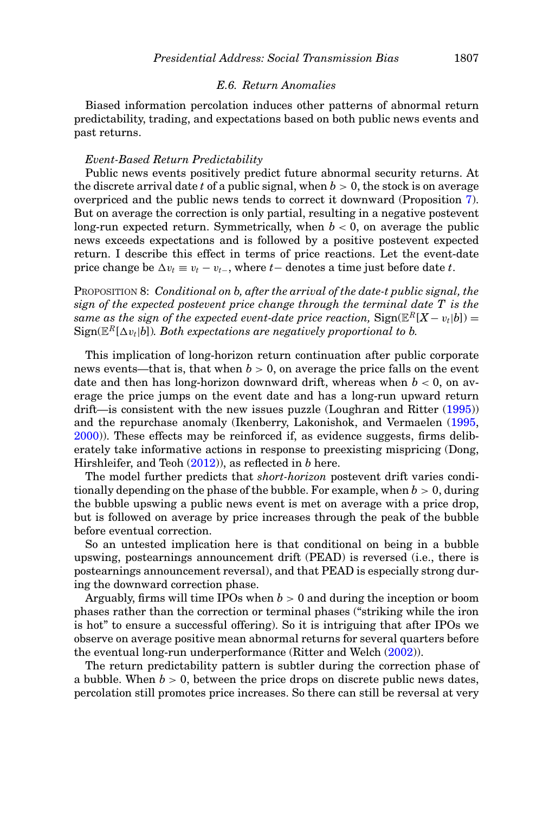#### *E.6. Return Anomalies*

Biased information percolation induces other patterns of abnormal return predictability, trading, and expectations based on both public news events and past returns.

#### *Event-Based Return Predictability*

Public news events positively predict future abnormal security returns. At the discrete arrival date  $t$  of a public signal, when  $b > 0$ , the stock is on average overpriced and the public news tends to correct it downward (Proposition [7\)](#page-26-0). But on average the correction is only partial, resulting in a negative postevent long-run expected return. Symmetrically, when  $b < 0$ , on average the public news exceeds expectations and is followed by a positive postevent expected return. I describe this effect in terms of price reactions. Let the event-date price change be  $\Delta v_t \equiv v_t - v_{t-}$ , where *t* − denotes a time just before date *t*.

<span id="page-29-0"></span>PROPOSITION 8: *Conditional on b, after the arrival of the date-t public signal, the sign of the expected postevent price change through the terminal date T is the same as the sign of the expected event-date price reaction,*  $Sign(\mathbb{E}^R[X - v_t|b]) =$  $Sign(\mathbb{E}^R[\Delta v_t|b])$ *. Both expectations are negatively proportional to b.* 

This implication of long-horizon return continuation after public corporate news events—that is, that when  $b > 0$ , on average the price falls on the event date and then has long-horizon downward drift, whereas when  $b < 0$ , on average the price jumps on the event date and has a long-run upward return drift—is consistent with the new issues puzzle (Loughran and Ritter [\(1995\)](#page-52-18)) and the repurchase anomaly (Ikenberry, Lakonishok, and Vermaelen [\(1995,](#page-51-16) [2000\)](#page-51-17)). These effects may be reinforced if, as evidence suggests, firms deliberately take informative actions in response to preexisting mispricing (Dong, Hirshleifer, and Teoh [\(2012\)](#page-50-19)), as reflected in *b* here.

The model further predicts that *short-horizon* postevent drift varies conditionally depending on the phase of the bubble. For example, when  $b > 0$ , during the bubble upswing a public news event is met on average with a price drop, but is followed on average by price increases through the peak of the bubble before eventual correction.

So an untested implication here is that conditional on being in a bubble upswing, postearnings announcement drift (PEAD) is reversed (i.e., there is postearnings announcement reversal), and that PEAD is especially strong during the downward correction phase.

Arguably, firms will time IPOs when  $b > 0$  and during the inception or boom phases rather than the correction or terminal phases ("striking while the iron is hot" to ensure a successful offering). So it is intriguing that after IPOs we observe on average positive mean abnormal returns for several quarters before the eventual long-run underperformance (Ritter and Welch [\(2002\)](#page-52-19)).

The return predictability pattern is subtler during the correction phase of a bubble. When  $b > 0$ , between the price drops on discrete public news dates, percolation still promotes price increases. So there can still be reversal at very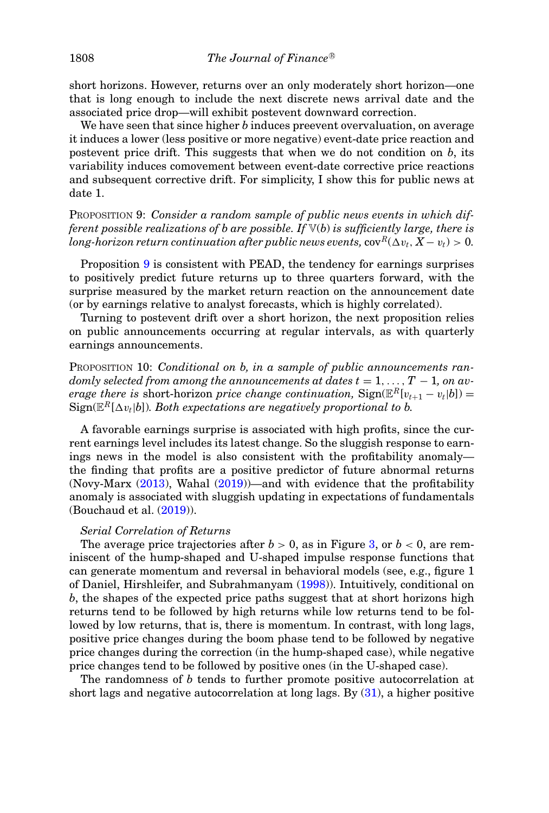short horizons. However, returns over an only moderately short horizon—one that is long enough to include the next discrete news arrival date and the associated price drop—will exhibit postevent downward correction.

We have seen that since higher *b* induces preevent overvaluation, on average it induces a lower (less positive or more negative) event-date price reaction and postevent price drift. This suggests that when we do not condition on *b*, its variability induces comovement between event-date corrective price reactions and subsequent corrective drift. For simplicity, I show this for public news at date 1.

<span id="page-30-0"></span>PROPOSITION 9: *Consider a random sample of public news events in which different possible realizations of b are possible. If* V(*b*) *is sufficiently large, there is*  $long\text{-}horizon \ return \ continuation \ after \ public \ news \ events, \ cov^R(\Delta v_t, X - v_t) > 0.$ 

Proposition [9](#page-30-0) is consistent with PEAD, the tendency for earnings surprises to positively predict future returns up to three quarters forward, with the surprise measured by the market return reaction on the announcement date (or by earnings relative to analyst forecasts, which is highly correlated).

Turning to postevent drift over a short horizon, the next proposition relies on public announcements occurring at regular intervals, as with quarterly earnings announcements.

<span id="page-30-1"></span>PROPOSITION 10: *Conditional on b, in a sample of public announcements randomly selected from among the announcements at dates t* = 1, ...,  $T-1$ , on av*erage there is* short-horizon *price change continuation*,  $Sign(\mathbb{E}^R[v_{t+1} - v_t|b]) =$  $Sign(\mathbb{E}^R[\Delta v_t|b])$ *. Both expectations are negatively proportional to b.* 

A favorable earnings surprise is associated with high profits, since the current earnings level includes its latest change. So the sluggish response to earnings news in the model is also consistent with the profitability anomaly the finding that profits are a positive predictor of future abnormal returns (Novy-Marx [\(2013\)](#page-52-20), Wahal [\(2019\)](#page-52-21))—and with evidence that the profitability anomaly is associated with sluggish updating in expectations of fundamentals (Bouchaud et al. [\(2019\)](#page-49-16)).

# *Serial Correlation of Returns*

The average price trajectories after  $b > 0$ , as in Figure [3,](#page-10-1) or  $b < 0$ , are reminiscent of the hump-shaped and U-shaped impulse response functions that can generate momentum and reversal in behavioral models (see, e.g., figure 1 of Daniel, Hirshleifer, and Subrahmanyam [\(1998\)](#page-50-15)). Intuitively, conditional on *b*, the shapes of the expected price paths suggest that at short horizons high returns tend to be followed by high returns while low returns tend to be followed by low returns, that is, there is momentum. In contrast, with long lags, positive price changes during the boom phase tend to be followed by negative price changes during the correction (in the hump-shaped case), while negative price changes tend to be followed by positive ones (in the U-shaped case).

The randomness of *b* tends to further promote positive autocorrelation at short lags and negative autocorrelation at long lags. By  $(31)$ , a higher positive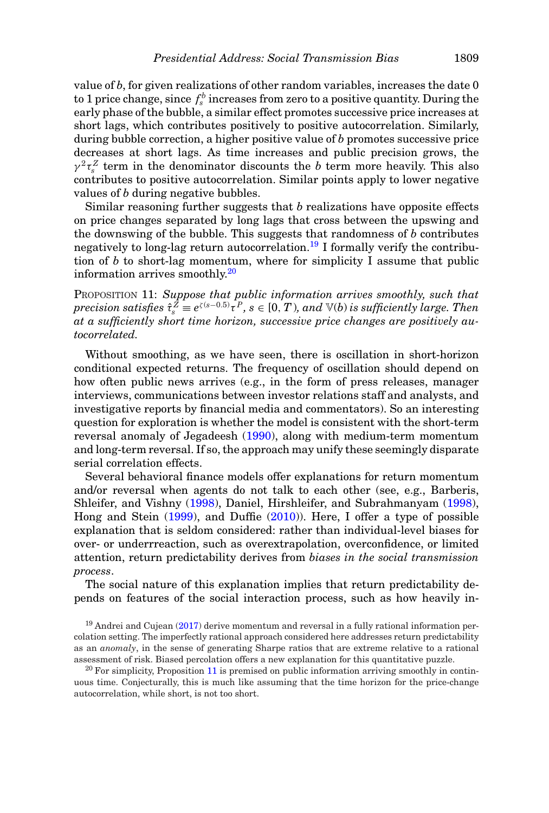value of *b*, for given realizations of other random variables, increases the date 0 to 1 price change, since  $f_s^b$  increases from zero to a positive quantity. During the early phase of the bubble, a similar effect promotes successive price increases at short lags, which contributes positively to positive autocorrelation. Similarly, during bubble correction, a higher positive value of *b* promotes successive price decreases at short lags. As time increases and public precision grows, the  $\gamma^2 \tau_s^Z$  term in the denominator discounts the *b* term more heavily. This also contributes to positive autocorrelation. Similar points apply to lower negative values of *b* during negative bubbles.

Similar reasoning further suggests that *b* realizations have opposite effects on price changes separated by long lags that cross between the upswing and the downswing of the bubble. This suggests that randomness of *b* contributes negatively to long-lag return autocorrelation.<sup>[19](#page-31-0)</sup> I formally verify the contribution of *b* to short-lag momentum, where for simplicity I assume that public information arrives smoothly.<sup>20</sup>

<span id="page-31-2"></span>PROPOSITION 11: *Suppose that public information arrives smoothly, such that precision satisfies*  $\hat{\tau}_s^Z \equiv e^{\zeta(s-0.5)} \tau^P$ ,  $s \in [0, T)$ , and  $\mathbb{V}(b)$  is sufficiently large. Then *at a sufficiently short time horizon, successive price changes are positively autocorrelated.*

Without smoothing, as we have seen, there is oscillation in short-horizon conditional expected returns. The frequency of oscillation should depend on how often public news arrives (e.g., in the form of press releases, manager interviews, communications between investor relations staff and analysts, and investigative reports by financial media and commentators). So an interesting question for exploration is whether the model is consistent with the short-term reversal anomaly of Jegadeesh [\(1990\)](#page-51-18), along with medium-term momentum and long-term reversal. If so, the approach may unify these seemingly disparate serial correlation effects.

Several behavioral finance models offer explanations for return momentum and/or reversal when agents do not talk to each other (see, e.g., Barberis, Shleifer, and Vishny [\(1998\)](#page-49-17), Daniel, Hirshleifer, and Subrahmanyam [\(1998\)](#page-50-15), Hong and Stein [\(1999\)](#page-51-19), and Duffie [\(2010\)](#page-50-20)). Here, I offer a type of possible explanation that is seldom considered: rather than individual-level biases for over- or underrreaction, such as overextrapolation, overconfidence, or limited attention, return predictability derives from *biases in the social transmission process*.

The social nature of this explanation implies that return predictability depends on features of the social interaction process, such as how heavily in-

<span id="page-31-0"></span><sup>19</sup> Andrei and Cujean  $(2017)$  derive momentum and reversal in a fully rational information percolation setting. The imperfectly rational approach considered here addresses return predictability as an *anomaly*, in the sense of generating Sharpe ratios that are extreme relative to a rational assessment of risk. Biased percolation offers a new explanation for this quantitative puzzle.

<span id="page-31-1"></span> $20$  For simplicity, Proposition [11](#page-31-2) is premised on public information arriving smoothly in continuous time. Conjecturally, this is much like assuming that the time horizon for the price-change autocorrelation, while short, is not too short.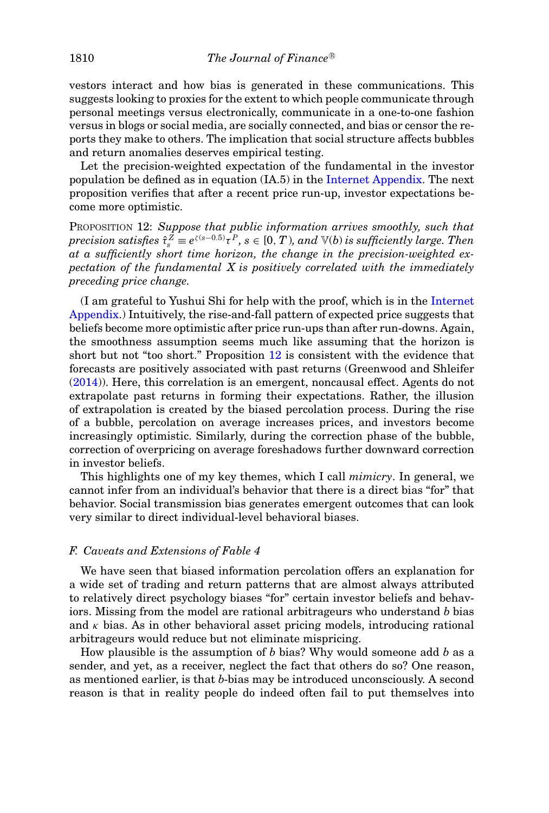vestors interact and how bias is generated in these communications. This suggests looking to proxies for the extent to which people communicate through personal meetings versus electronically, communicate in a one-to-one fashion versus in blogs or social media, are socially connected, and bias or censor the reports they make to others. The implication that social structure affects bubbles and return anomalies deserves empirical testing.

Let the precision-weighted expectation of the fundamental in the investor population be defined as in equation (IA.5) in the Internet Appendix. The next proposition verifies that after a recent price run-up, investor expectations become more optimistic.

<span id="page-32-0"></span>PROPOSITION 12: *Suppose that public information arrives smoothly, such that precision satisfies*  $\hat{\tau}_s^{\bar{Z}} \equiv e^{\zeta(s-0.5)} \tau^P$ ,  $s \in [0, T)$ , and  $\mathbb{V}(b)$  *is sufficiently large. Then at a sufficiently short time horizon, the change in the precision-weighted expectation of the fundamental X is positively correlated with the immediately preceding price change.*

(I am grateful to Yushui Shi for help with the proof, which is in the Internet Appendix.) Intuitively, the rise-and-fall pattern of expected price suggests that beliefs become more optimistic after price run-ups than after run-downs. Again, the smoothness assumption seems much like assuming that the horizon is short but not "too short." Proposition [12](#page-32-0) is consistent with the evidence that forecasts are positively associated with past returns (Greenwood and Shleifer [\(2014\)](#page-51-20)). Here, this correlation is an emergent, noncausal effect. Agents do not extrapolate past returns in forming their expectations. Rather, the illusion of extrapolation is created by the biased percolation process. During the rise of a bubble, percolation on average increases prices, and investors become increasingly optimistic. Similarly, during the correction phase of the bubble, correction of overpricing on average foreshadows further downward correction in investor beliefs.

This highlights one of my key themes, which I call *mimicry*. In general, we cannot infer from an individual's behavior that there is a direct bias "for" that behavior. Social transmission bias generates emergent outcomes that can look very similar to direct individual-level behavioral biases.

# *F. Caveats and Extensions of Fable 4*

We have seen that biased information percolation offers an explanation for a wide set of trading and return patterns that are almost always attributed to relatively direct psychology biases "for" certain investor beliefs and behaviors. Missing from the model are rational arbitrageurs who understand *b* bias and  $\kappa$  bias. As in other behavioral asset pricing models, introducing rational arbitrageurs would reduce but not eliminate mispricing.

How plausible is the assumption of *b* bias? Why would someone add *b* as a sender, and yet, as a receiver, neglect the fact that others do so? One reason, as mentioned earlier, is that *b*-bias may be introduced unconsciously. A second reason is that in reality people do indeed often fail to put themselves into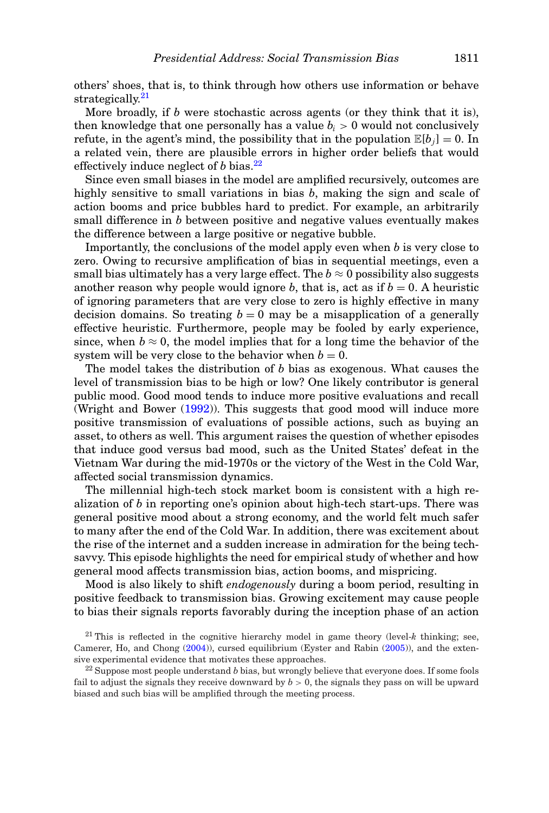others' shoes, that is, to think through how others use information or behave strategically.<sup>21</sup>

More broadly, if *b* were stochastic across agents (or they think that it is), then knowledge that one personally has a value  $b_i > 0$  would not conclusively refute, in the agent's mind, the possibility that in the population  $\mathbb{E}[b_j] = 0$ . In a related vein, there are plausible errors in higher order beliefs that would effectively induce neglect of *b* bias.<sup>22</sup>

Since even small biases in the model are amplified recursively, outcomes are highly sensitive to small variations in bias *b*, making the sign and scale of action booms and price bubbles hard to predict. For example, an arbitrarily small difference in *b* between positive and negative values eventually makes the difference between a large positive or negative bubble.

Importantly, the conclusions of the model apply even when *b* is very close to zero. Owing to recursive amplification of bias in sequential meetings, even a small bias ultimately has a very large effect. The  $b \approx 0$  possibility also suggests another reason why people would ignore  $b$ , that is, act as if  $b = 0$ . A heuristic of ignoring parameters that are very close to zero is highly effective in many decision domains. So treating  $b = 0$  may be a misapplication of a generally effective heuristic. Furthermore, people may be fooled by early experience, since, when  $b \approx 0$ , the model implies that for a long time the behavior of the system will be very close to the behavior when  $b = 0$ .

The model takes the distribution of *b* bias as exogenous. What causes the level of transmission bias to be high or low? One likely contributor is general public mood. Good mood tends to induce more positive evaluations and recall (Wright and Bower [\(1992\)](#page-53-0)). This suggests that good mood will induce more positive transmission of evaluations of possible actions, such as buying an asset, to others as well. This argument raises the question of whether episodes that induce good versus bad mood, such as the United States' defeat in the Vietnam War during the mid-1970s or the victory of the West in the Cold War, affected social transmission dynamics.

The millennial high-tech stock market boom is consistent with a high realization of *b* in reporting one's opinion about high-tech start-ups. There was general positive mood about a strong economy, and the world felt much safer to many after the end of the Cold War. In addition, there was excitement about the rise of the internet and a sudden increase in admiration for the being techsavvy. This episode highlights the need for empirical study of whether and how general mood affects transmission bias, action booms, and mispricing.

Mood is also likely to shift *endogenously* during a boom period, resulting in positive feedback to transmission bias. Growing excitement may cause people to bias their signals reports favorably during the inception phase of an action

<span id="page-33-0"></span><sup>21</sup> This is reflected in the cognitive hierarchy model in game theory (level- $k$  thinking; see, Camerer, Ho, and Chong [\(2004\)](#page-49-18)), cursed equilibrium (Eyster and Rabin [\(2005\)](#page-50-21)), and the extensive experimental evidence that motivates these approaches.

<span id="page-33-1"></span><sup>22</sup> Suppose most people understand *b* bias, but wrongly believe that everyone does. If some fools fail to adjust the signals they receive downward by  $b > 0$ , the signals they pass on will be upward biased and such bias will be amplified through the meeting process.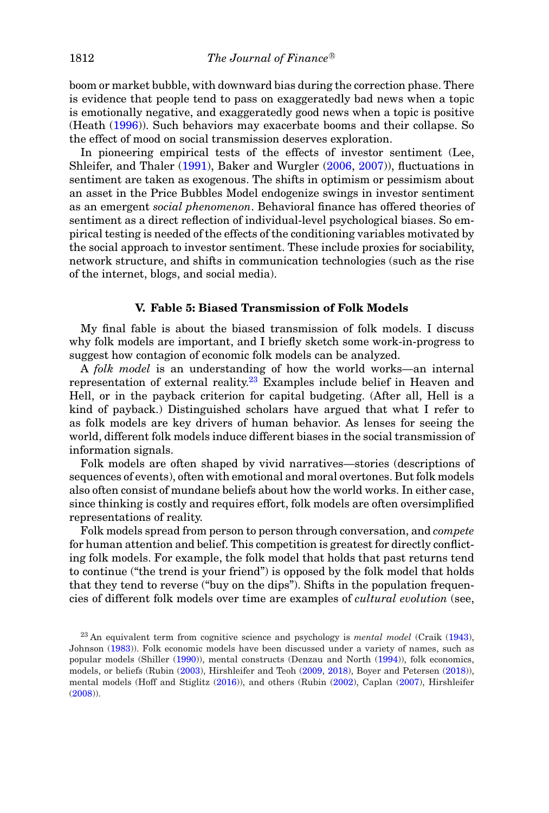boom or market bubble, with downward bias during the correction phase. There is evidence that people tend to pass on exaggeratedly bad news when a topic is emotionally negative, and exaggeratedly good news when a topic is positive (Heath [\(1996\)](#page-51-21)). Such behaviors may exacerbate booms and their collapse. So the effect of mood on social transmission deserves exploration.

In pioneering empirical tests of the effects of investor sentiment (Lee, Shleifer, and Thaler [\(1991\)](#page-52-22), Baker and Wurgler [\(2006,](#page-48-6) [2007\)](#page-49-19)), fluctuations in sentiment are taken as exogenous. The shifts in optimism or pessimism about an asset in the Price Bubbles Model endogenize swings in investor sentiment as an emergent *social phenomenon*. Behavioral finance has offered theories of sentiment as a direct reflection of individual-level psychological biases. So empirical testing is needed of the effects of the conditioning variables motivated by the social approach to investor sentiment. These include proxies for sociability, network structure, and shifts in communication technologies (such as the rise of the internet, blogs, and social media).

# **V. Fable 5: Biased Transmission of Folk Models**

My final fable is about the biased transmission of folk models. I discuss why folk models are important, and I briefly sketch some work-in-progress to suggest how contagion of economic folk models can be analyzed.

A *folk model* is an understanding of how the world works—an internal representation of external reality.[23](#page-34-0) Examples include belief in Heaven and Hell, or in the payback criterion for capital budgeting. (After all, Hell is a kind of payback.) Distinguished scholars have argued that what I refer to as folk models are key drivers of human behavior. As lenses for seeing the world, different folk models induce different biases in the social transmission of information signals.

Folk models are often shaped by vivid narratives—stories (descriptions of sequences of events), often with emotional and moral overtones. But folk models also often consist of mundane beliefs about how the world works. In either case, since thinking is costly and requires effort, folk models are often oversimplified representations of reality.

Folk models spread from person to person through conversation, and *compete* for human attention and belief. This competition is greatest for directly conflicting folk models. For example, the folk model that holds that past returns tend to continue ("the trend is your friend") is opposed by the folk model that holds that they tend to reverse ("buy on the dips"). Shifts in the population frequencies of different folk models over time are examples of *cultural evolution* (see,

<span id="page-34-0"></span><sup>23</sup> An equivalent term from cognitive science and psychology is *mental model* (Craik [\(1943\)](#page-50-22), Johnson [\(1983\)](#page-52-23)). Folk economic models have been discussed under a variety of names, such as popular models (Shiller [\(1990\)](#page-52-24)), mental constructs (Denzau and North [\(1994\)](#page-50-23)), folk economics, models, or beliefs (Rubin [\(2003\)](#page-52-25), Hirshleifer and Teoh [\(2009,](#page-51-22) [2018\)](#page-51-23), Boyer and Petersen [\(2018\)](#page-49-20)), mental models (Hoff and Stiglitz [\(2016\)](#page-51-24)), and others (Rubin [\(2002\)](#page-52-26), Caplan [\(2007\)](#page-49-21), Hirshleifer [\(2008\)](#page-51-25)).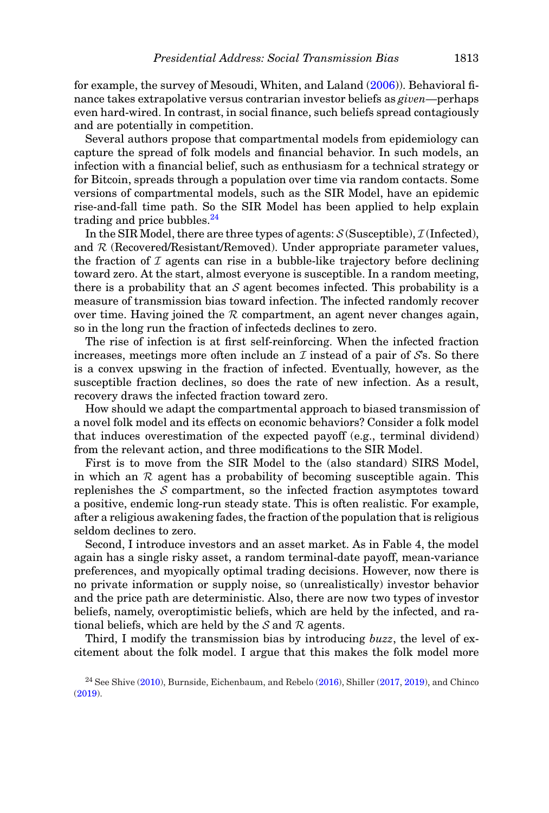for example, the survey of Mesoudi, Whiten, and Laland [\(2006\)](#page-52-27)). Behavioral finance takes extrapolative versus contrarian investor beliefs as *given*—perhaps even hard-wired. In contrast, in social finance, such beliefs spread contagiously and are potentially in competition.

Several authors propose that compartmental models from epidemiology can capture the spread of folk models and financial behavior. In such models, an infection with a financial belief, such as enthusiasm for a technical strategy or for Bitcoin, spreads through a population over time via random contacts. Some versions of compartmental models, such as the SIR Model, have an epidemic rise-and-fall time path. So the SIR Model has been applied to help explain trading and price bubbles.<sup>[24](#page-35-0)</sup>

In the SIR Model, there are three types of agents:  $S$  (Susceptible),  $\mathcal{I}$  (Infected), and  $R$  (Recovered/Resistant/Removed). Under appropriate parameter values, the fraction of *I* agents can rise in a bubble-like trajectory before declining toward zero. At the start, almost everyone is susceptible. In a random meeting, there is a probability that an *S* agent becomes infected. This probability is a measure of transmission bias toward infection. The infected randomly recover over time. Having joined the  $R$  compartment, an agent never changes again, so in the long run the fraction of infecteds declines to zero.

The rise of infection is at first self-reinforcing. When the infected fraction increases, meetings more often include an *I* instead of a pair of *S*'s. So there is a convex upswing in the fraction of infected. Eventually, however, as the susceptible fraction declines, so does the rate of new infection. As a result, recovery draws the infected fraction toward zero.

How should we adapt the compartmental approach to biased transmission of a novel folk model and its effects on economic behaviors? Consider a folk model that induces overestimation of the expected payoff (e.g., terminal dividend) from the relevant action, and three modifications to the SIR Model.

First is to move from the SIR Model to the (also standard) SIRS Model, in which an *R* agent has a probability of becoming susceptible again. This replenishes the *S* compartment, so the infected fraction asymptotes toward a positive, endemic long-run steady state. This is often realistic. For example, after a religious awakening fades, the fraction of the population that is religious seldom declines to zero.

Second, I introduce investors and an asset market. As in Fable 4, the model again has a single risky asset, a random terminal-date payoff, mean-variance preferences, and myopically optimal trading decisions. However, now there is no private information or supply noise, so (unrealistically) investor behavior and the price path are deterministic. Also, there are now two types of investor beliefs, namely, overoptimistic beliefs, which are held by the infected, and rational beliefs, which are held by the *S* and *R* agents.

Third, I modify the transmission bias by introducing *buzz*, the level of excitement about the folk model. I argue that this makes the folk model more

<span id="page-35-0"></span> $24$  See Shive [\(2010\)](#page-52-28), Burnside, Eichenbaum, and Rebelo [\(2016\)](#page-49-22), Shiller [\(2017,](#page-52-5) [2019\)](#page-52-6), and Chinco [\(2019\)](#page-49-23).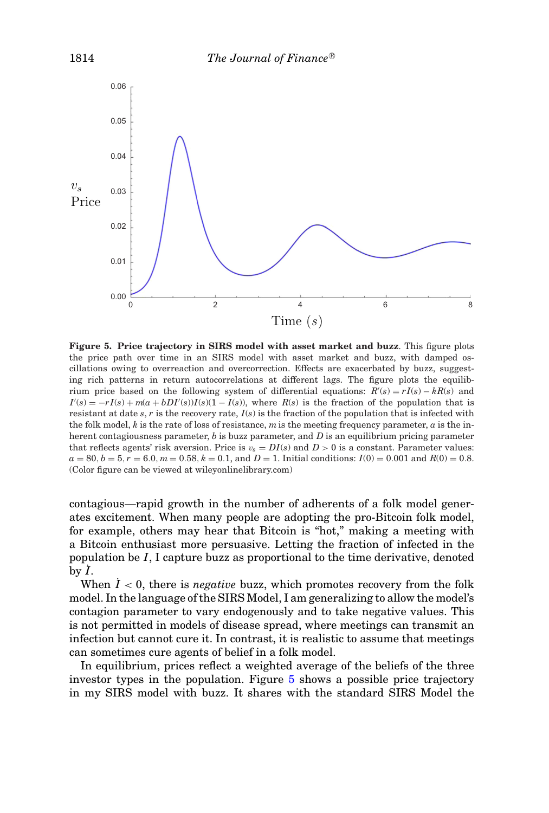<span id="page-36-0"></span>

**Figure 5. Price trajectory in SIRS model with asset market and buzz**. This figure plots the price path over time in an SIRS model with asset market and buzz, with damped oscillations owing to overreaction and overcorrection. Effects are exacerbated by buzz, suggesting rich patterns in return autocorrelations at different lags. The figure plots the equilibrium price based on the following system of differential equations:  $R'(s) = rI(s) - kR(s)$  and  $I'(s) = -rI(s) + m(a + bDI'(s)I(s)(1 - I(s))$ , where  $R(s)$  is the fraction of the population that is resistant at date  $s, r$  is the recovery rate,  $I(s)$  is the fraction of the population that is infected with the folk model, *k* is the rate of loss of resistance, *m* is the meeting frequency parameter, *a* is the inherent contagiousness parameter, *b* is buzz parameter, and *D* is an equilibrium pricing parameter that reflects agents' risk aversion. Price is  $v_s = DI(s)$  and  $D > 0$  is a constant. Parameter values:  $a = 80, b = 5, r = 6.0, m = 0.58, k = 0.1, \text{ and } D = 1.$  Initial conditions:  $I(0) = 0.001$  and  $R(0) = 0.8$ . (Color figure can be viewed at wileyonlinelibrary.com)

contagious—rapid growth in the number of adherents of a folk model generates excitement. When many people are adopting the pro-Bitcoin folk model, for example, others may hear that Bitcoin is "hot," making a meeting with a Bitcoin enthusiast more persuasive. Letting the fraction of infected in the population be *I*, I capture buzz as proportional to the time derivative, denoted by ˙ *I*.

When  $\dot{I}$  < 0, there is *negative* buzz, which promotes recovery from the folk model. In the language of the SIRS Model, I am generalizing to allow the model's contagion parameter to vary endogenously and to take negative values. This is not permitted in models of disease spread, where meetings can transmit an infection but cannot cure it. In contrast, it is realistic to assume that meetings can sometimes cure agents of belief in a folk model.

In equilibrium, prices reflect a weighted average of the beliefs of the three investor types in the population. Figure [5](#page-36-0) shows a possible price trajectory in my SIRS model with buzz. It shares with the standard SIRS Model the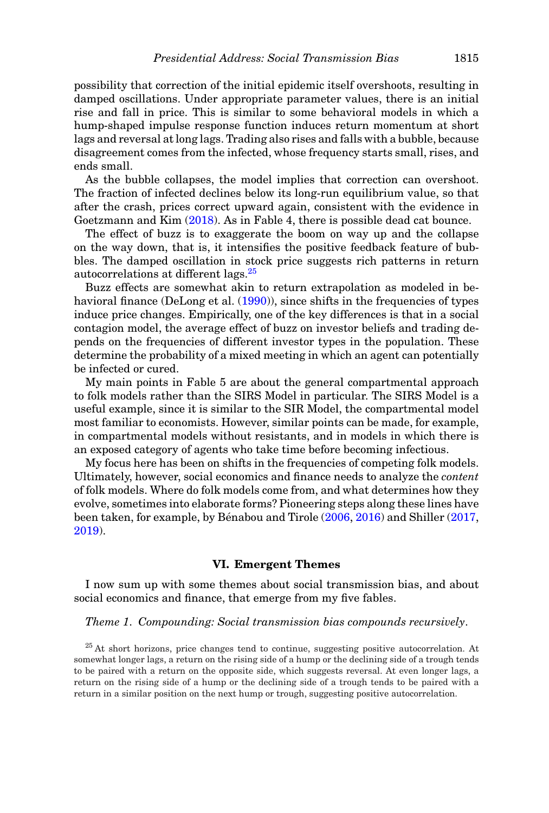possibility that correction of the initial epidemic itself overshoots, resulting in damped oscillations. Under appropriate parameter values, there is an initial rise and fall in price. This is similar to some behavioral models in which a hump-shaped impulse response function induces return momentum at short lags and reversal at long lags. Trading also rises and falls with a bubble, because disagreement comes from the infected, whose frequency starts small, rises, and ends small.

As the bubble collapses, the model implies that correction can overshoot. The fraction of infected declines below its long-run equilibrium value, so that after the crash, prices correct upward again, consistent with the evidence in Goetzmann and Kim [\(2018\)](#page-50-24). As in Fable 4, there is possible dead cat bounce.

The effect of buzz is to exaggerate the boom on way up and the collapse on the way down, that is, it intensifies the positive feedback feature of bubbles. The damped oscillation in stock price suggests rich patterns in return autocorrelations at different lags.[25](#page-37-0)

Buzz effects are somewhat akin to return extrapolation as modeled in be-havioral finance (DeLong et al. [\(1990\)](#page-50-25)), since shifts in the frequencies of types induce price changes. Empirically, one of the key differences is that in a social contagion model, the average effect of buzz on investor beliefs and trading depends on the frequencies of different investor types in the population. These determine the probability of a mixed meeting in which an agent can potentially be infected or cured.

My main points in Fable 5 are about the general compartmental approach to folk models rather than the SIRS Model in particular. The SIRS Model is a useful example, since it is similar to the SIR Model, the compartmental model most familiar to economists. However, similar points can be made, for example, in compartmental models without resistants, and in models in which there is an exposed category of agents who take time before becoming infectious.

My focus here has been on shifts in the frequencies of competing folk models. Ultimately, however, social economics and finance needs to analyze the *content* of folk models. Where do folk models come from, and what determines how they evolve, sometimes into elaborate forms? Pioneering steps along these lines have been taken, for example, by Bénabou and Tirole  $(2006, 2016)$  $(2006, 2016)$  $(2006, 2016)$  $(2006, 2016)$  and Shiller  $(2017, 1000)$  $(2017, 1000)$ [2019\)](#page-52-6).

# **VI. Emergent Themes**

I now sum up with some themes about social transmission bias, and about social economics and finance, that emerge from my five fables.

*Theme 1*. *Compounding: Social transmission bias compounds recursively*.

<span id="page-37-0"></span> $25$  At short horizons, price changes tend to continue, suggesting positive autocorrelation. At somewhat longer lags, a return on the rising side of a hump or the declining side of a trough tends to be paired with a return on the opposite side, which suggests reversal. At even longer lags, a return on the rising side of a hump or the declining side of a trough tends to be paired with a return in a similar position on the next hump or trough, suggesting positive autocorrelation.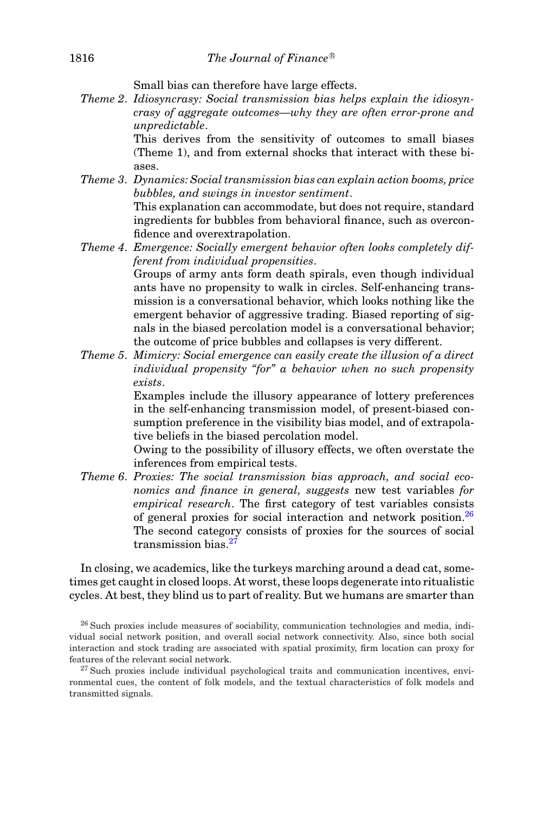Small bias can therefore have large effects.

*Theme 2*. *Idiosyncrasy: Social transmission bias helps explain the idiosyncrasy of aggregate outcomes—why they are often error-prone and unpredictable*.

> This derives from the sensitivity of outcomes to small biases (Theme 1), and from external shocks that interact with these biases.

*Theme 3*. *Dynamics: Social transmission bias can explain action booms, price bubbles, and swings in investor sentiment*. This explanation can accommodate, but does not require, standard

ingredients for bubbles from behavioral finance, such as overconfidence and overextrapolation.

- *Theme 4*. *Emergence: Socially emergent behavior often looks completely different from individual propensities*. Groups of army ants form death spirals, even though individual ants have no propensity to walk in circles. Self-enhancing transmission is a conversational behavior, which looks nothing like the emergent behavior of aggressive trading. Biased reporting of signals in the biased percolation model is a conversational behavior; the outcome of price bubbles and collapses is very different.
- *Theme 5*. *Mimicry: Social emergence can easily create the illusion of a direct individual propensity "for" a behavior when no such propensity exists*.

Examples include the illusory appearance of lottery preferences in the self-enhancing transmission model, of present-biased consumption preference in the visibility bias model, and of extrapolative beliefs in the biased percolation model.

Owing to the possibility of illusory effects, we often overstate the inferences from empirical tests.

*Theme 6*. *Proxies: The social transmission bias approach, and social economics and finance in general, suggests* new test variables *for empirical research*. The first category of test variables consists of general proxies for social interaction and network position.<sup>[26](#page-38-0)</sup> The second category consists of proxies for the sources of social transmission bias.<sup>[27](#page-38-1)</sup>

In closing, we academics, like the turkeys marching around a dead cat, sometimes get caught in closed loops. At worst, these loops degenerate into ritualistic cycles. At best, they blind us to part of reality. But we humans are smarter than

<span id="page-38-0"></span><sup>&</sup>lt;sup>26</sup> Such proxies include measures of sociability, communication technologies and media, individual social network position, and overall social network connectivity. Also, since both social interaction and stock trading are associated with spatial proximity, firm location can proxy for features of the relevant social network.

<span id="page-38-1"></span> $27$  Such proxies include individual psychological traits and communication incentives, environmental cues, the content of folk models, and the textual characteristics of folk models and transmitted signals.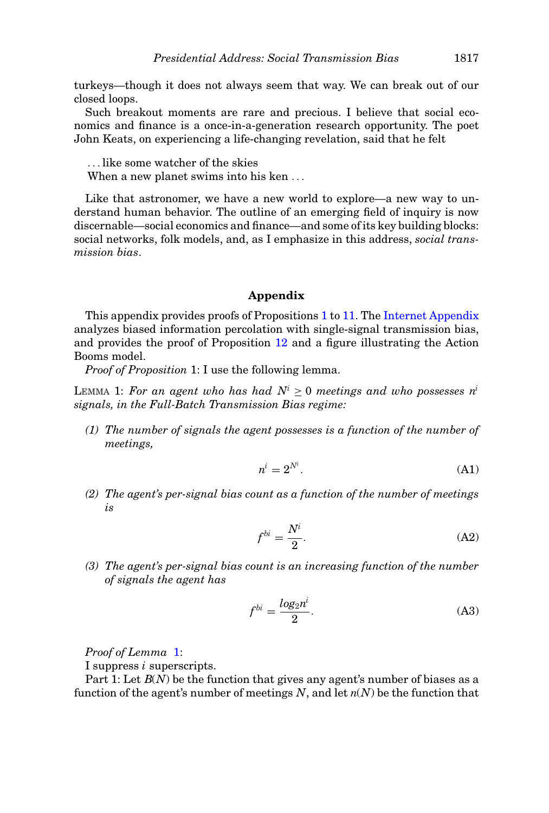turkeys—though it does not always seem that way. We can break out of our closed loops.

Such breakout moments are rare and precious. I believe that social economics and finance is a once-in-a-generation research opportunity. The poet John Keats, on experiencing a life-changing revelation, said that he felt

... like some watcher of the skies

When a new planet swims into his ken ...

Like that astronomer, we have a new world to explore—a new way to understand human behavior. The outline of an emerging field of inquiry is now discernable—social economics and finance—and some of its key building blocks: social networks, folk models, and, as I emphasize in this address, *social transmission bias*.

# **Appendix**

This appendix provides proofs of Propositions [1](#page-17-0) to [11.](#page-31-2) The Internet Appendix analyzes biased information percolation with single-signal transmission bias, and provides the proof of Proposition [12](#page-32-0) and a figure illustrating the Action Booms model.

*Proof of Proposition* 1: I use the following lemma.

<span id="page-39-0"></span>LEMMA 1: For an agent who has had  $N^i \geq 0$  meetings and who possesses  $n^i$ *signals, in the Full-Batch Transmission Bias regime:*

*(1) The number of signals the agent possesses is a function of the number of meetings,*

$$
n^i = 2^{N^i}.\tag{A1}
$$

*(2) The agent's per-signal bias count as a function of the number of meetings is*

$$
f^{bi} = \frac{N^i}{2}.
$$
 (A2)

*(3) The agent's per-signal bias count is an increasing function of the number of signals the agent has*

$$
f^{bi} = \frac{\log_2 n^i}{2}.
$$
 (A3)

*Proof of Lemma* [1:](#page-39-0)

I suppress *i* superscripts.

Part 1: Let  $B(N)$  be the function that gives any agent's number of biases as a function of the agent's number of meetings *N*, and let *n*(*N*) be the function that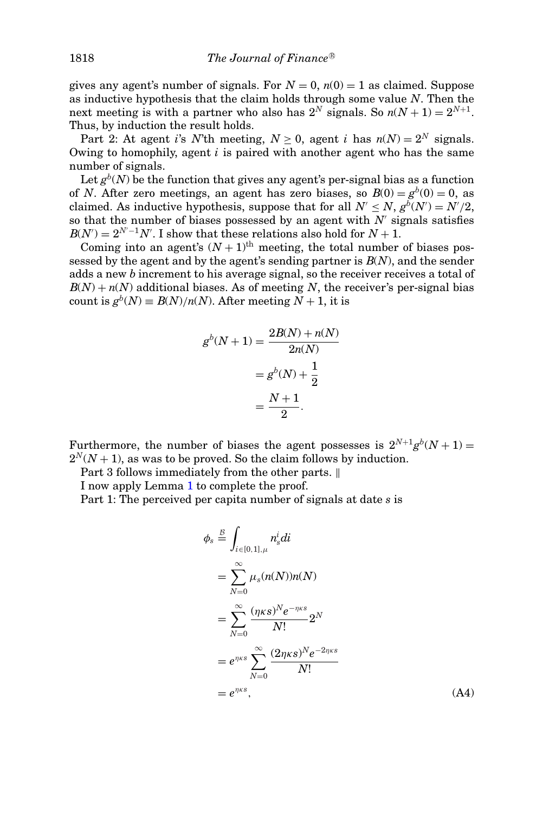gives any agent's number of signals. For  $N = 0$ ,  $n(0) = 1$  as claimed. Suppose as inductive hypothesis that the claim holds through some value *N*. Then the next meeting is with a partner who also has  $2^N$  signals. So  $n(N + 1) = 2^{N+1}$ . Thus, by induction the result holds.

Part 2: At agent *i*'s *N*'th meeting,  $N \ge 0$ , agent *i* has  $n(N) = 2^N$  signals. Owing to homophily, agent *i* is paired with another agent who has the same number of signals.

Let  $g<sup>b</sup>(N)$  be the function that gives any agent's per-signal bias as a function of *N*. After zero meetings, an agent has zero biases, so  $B(0) = g<sup>b</sup>(0) = 0$ , as claimed. As inductive hypothesis, suppose that for all  $N' \le N$ ,  $g^b(N') = N'/2$ , so that the number of biases possessed by an agent with  $N'$  signals satisfies  $B(N') = 2^{N'-1}N'$ . I show that these relations also hold for  $N+1$ .

Coming into an agent's  $(N+1)$ <sup>th</sup> meeting, the total number of biases possessed by the agent and by the agent's sending partner is *B*(*N*), and the sender adds a new *b* increment to his average signal, so the receiver receives a total of  $B(N) + n(N)$  additional biases. As of meeting N, the receiver's per-signal bias count is  $g^b(N) \equiv B(N)/n(N)$ . After meeting  $N+1$ , it is

$$
g^{b}(N+1) = \frac{2B(N) + n(N)}{2n(N)}
$$

$$
= g^{b}(N) + \frac{1}{2}
$$

$$
= \frac{N+1}{2}.
$$

Furthermore, the number of biases the agent possesses is  $2^{N+1}g^{b}(N+1)$  $2^N(N+1)$ , as was to be proved. So the claim follows by induction.

Part 3 follows immediately from the other parts.  $\parallel$ 

I now apply Lemma [1](#page-39-0) to complete the proof.

Part 1: The perceived per capita number of signals at date *s* is

$$
\phi_s \stackrel{B}{=} \int_{i \in [0,1],\mu} n_s^i di
$$
\n
$$
= \sum_{N=0}^{\infty} \mu_s(n(N))n(N)
$$
\n
$$
= \sum_{N=0}^{\infty} \frac{(n\kappa s)^N e^{-n\kappa s}}{N!} 2^N
$$
\n
$$
= e^{n\kappa s} \sum_{N=0}^{\infty} \frac{(2n\kappa s)^N e^{-2n\kappa s}}{N!}
$$
\n
$$
= e^{n\kappa s}, \tag{A4}
$$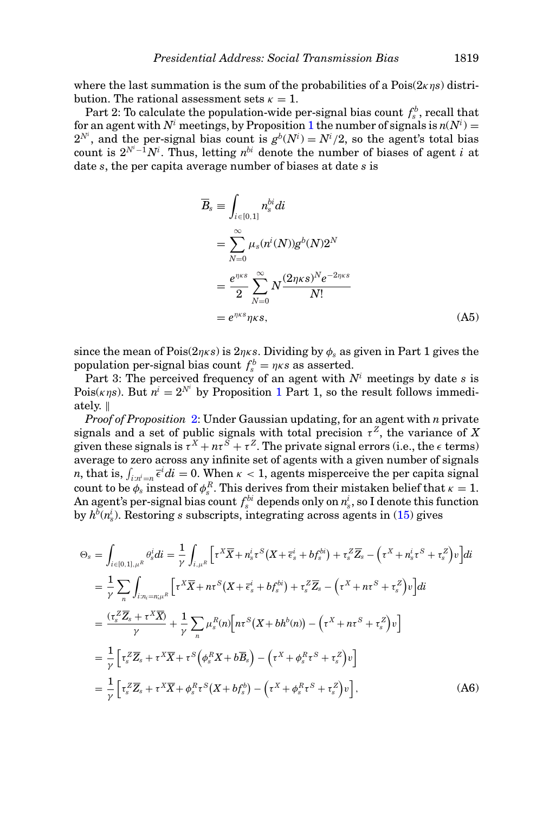where the last summation is the sum of the probabilities of a Pois(2κη*s*) distribution. The rational assessment sets  $\kappa = 1$ .

Part 2: To calculate the population-wide per-signal bias count  $f_s^b$ , recall that for an agent with  $N^i$  meetings, by Proposition [1](#page-39-0) the number of signals is  $n(N^i)$  =  $2^{N^i}$ , and the per-signal bias count is  $g^b(N^i) = N^i/2$ , so the agent's total bias count is  $2^{N^i-1}N^i$ . Thus, letting  $n^{bi}$  denote the number of biases of agent *i* at date *s*, the per capita average number of biases at date *s* is

$$
\overline{B}_{s} = \int_{i \in [0,1]} n_s^{bi} di
$$
  
= 
$$
\sum_{N=0}^{\infty} \mu_s(n^i(N))g^b(N)2^N
$$
  
= 
$$
\frac{e^{\eta \kappa s}}{2} \sum_{N=0}^{\infty} N \frac{(2\eta \kappa s)^N e^{-2\eta \kappa s}}{N!}
$$
  
= 
$$
e^{\eta \kappa s} \eta \kappa s,
$$
 (A5)

since the mean of  $Pois(2\eta\kappa s)$  is  $2\eta\kappa s$ . Dividing by  $\phi_s$  as given in Part 1 gives the population per-signal bias count  $f_s^b = \eta \kappa s$  as asserted.

Part 3: The perceived frequency of an agent with *N<sup>i</sup>* meetings by date *s* is Pois( $\kappa \eta s$ ). But  $n^i = 2^{N^i}$  by Proposition [1](#page-39-0) Part 1, so the result follows immediately.

*Proof of Proposition* [2:](#page-19-0) Under Gaussian updating, for an agent with *n* private signals and a set of public signals with total precision  $\tau^Z$ , the variance of X given these signals is  $\tau^X + n\tau^S + \tau^Z$ . The private signal errors (i.e., the  $\epsilon$  terms) average to zero across any infinite set of agents with a given number of signals *n*, that is,  $\int_{i:ni=n} \overline{\epsilon}^i di = 0$ . When  $\kappa < 1$ , agents misperceive the per capita signal count to be  $\phi_s$  instead of  $\phi_s^R$ . This derives from their mistaken belief that  $\kappa = 1$ . An agent's per-signal bias count  $f_s^{bi}$  depends only on  $n_s^i$ , so I denote this function by  $h^b(n_s^i)$ . Restoring *s* subscripts, integrating across agents in (15) gives

$$
\Theta_{s} = \int_{i \in [0,1], \mu^{R}} \theta_{s}^{i} di = \frac{1}{\gamma} \int_{i, \mu^{R}} \left[ \tau^{X} \overline{X} + n_{s}^{i} \tau^{S} (X + \overline{\epsilon}_{s}^{i} + b f_{s}^{bi}) + \tau_{s}^{Z} \overline{Z}_{s} - (\tau^{X} + n_{s}^{i} \tau^{S} + \tau_{s}^{Z}) v \right] di
$$
  
\n
$$
= \frac{1}{\gamma} \sum_{n} \int_{i:n_{i}=n; \mu^{R}} \left[ \tau^{X} \overline{X} + n \tau^{S} (X + \overline{\epsilon}_{s}^{i} + b f_{s}^{bi}) + \tau_{s}^{Z} \overline{Z}_{s} - (\tau^{X} + n \tau^{S} + \tau_{s}^{Z}) v \right] di
$$
  
\n
$$
= \frac{(\tau_{s}^{Z} \overline{Z}_{s} + \tau^{X} \overline{X})}{\gamma} + \frac{1}{\gamma} \sum_{n} \mu_{s}^{R}(n) \left[ n \tau^{S} (X + bh^{b}(n)) - (\tau^{X} + n \tau^{S} + \tau_{s}^{Z}) v \right]
$$
  
\n
$$
= \frac{1}{\gamma} \left[ \tau_{s}^{Z} \overline{Z}_{s} + \tau^{X} \overline{X} + \tau^{S} (\phi_{s}^{R} X + b \overline{B}_{s}) - (\tau^{X} + \phi_{s}^{R} \tau^{S} + \tau_{s}^{Z}) v \right]
$$
  
\n
$$
= \frac{1}{\gamma} \left[ \tau_{s}^{Z} \overline{Z}_{s} + \tau^{X} \overline{X} + \phi_{s}^{R} \tau^{S} (X + b f_{s}^{b}) - (\tau^{X} + \phi_{s}^{R} \tau^{S} + \tau_{s}^{Z}) v \right],
$$
 (A6)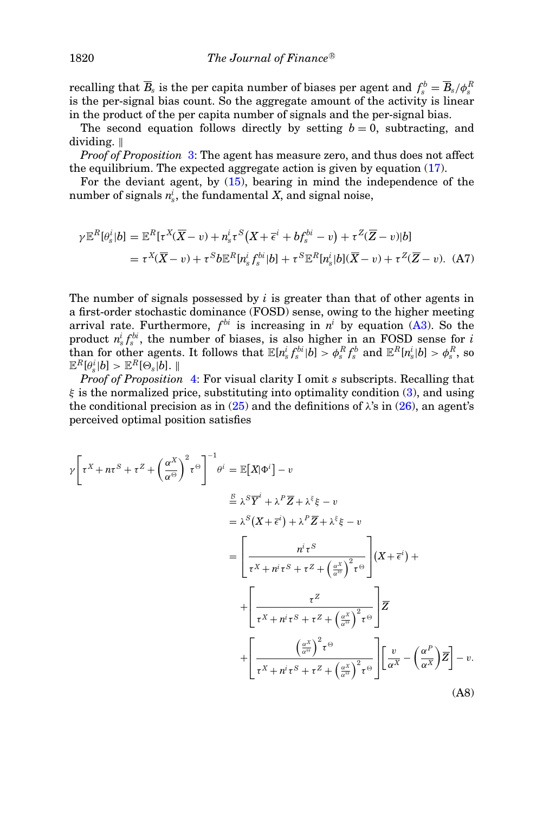recalling that  $\overline{B}_s$  is the per capita number of biases per agent and  $f_s^b = \overline{B}_s / \phi_s^R$ is the per-signal bias count. So the aggregate amount of the activity is linear in the product of the per capita number of signals and the per-signal bias.

The second equation follows directly by setting  $b = 0$ , subtracting, and dividing.

*Proof of Proposition* [3:](#page-20-0) The agent has measure zero, and thus does not affect the equilibrium. The expected aggregate action is given by equation  $(17)$ .

For the deviant agent, by (15), bearing in mind the independence of the number of signals  $n_s^i$ , the fundamental *X*, and signal noise,

$$
\gamma \mathbb{E}^{R}[\theta_{s}^{i}|\boldsymbol{b}] = \mathbb{E}^{R}[\tau^{X}(\overline{X}-v) + n_{s}^{i}\tau^{S}(X+\overline{\epsilon}^{i}+b f_{s}^{bi}-v) + \tau^{Z}(\overline{Z}-v)|b]
$$
  
=  $\tau^{X}(\overline{X}-v) + \tau^{S}b\mathbb{E}^{R}[n_{s}^{i}f_{s}^{bi}|\boldsymbol{b}] + \tau^{S}\mathbb{E}^{R}[n_{s}^{i}|\boldsymbol{b}](\overline{X}-v) + \tau^{Z}(\overline{Z}-v).$  (A7)

The number of signals possessed by *i* is greater than that of other agents in a first-order stochastic dominance (FOSD) sense, owing to the higher meeting arrival rate. Furthermore,  $f^{bi}$  is increasing in  $n^i$  by equation (A3). So the product  $n_s^i f_s^{bi}$ , the number of biases, is also higher in an FOSD sense for *i* than for other agents. It follows that  $\mathbb{E}[n_s^i f_s^{bi} | b] > \phi_s^R f_s^b$  and  $\mathbb{E}^R[n_s^i|b] > \phi_s^R$ , so  $\mathbb{E}^R[\theta_s^i | b] > \mathbb{E}^R[\Theta_s | b]$ .  $\parallel$ 

*Proof of Proposition* [4:](#page-24-0) For visual clarity I omit *s* subscripts. Recalling that  $\xi$  is the normalized price, substituting into optimality condition (3), and using the conditional precision as in (25) and the definitions of  $\lambda$ 's in (26), an agent's perceived optimal position satisfies

$$
\gamma \left[ \tau^{X} + n\tau^{S} + \tau^{Z} + \left(\frac{\alpha^{X}}{\alpha^{\Theta}}\right)^{2} \tau^{\Theta} \right]^{-1} \theta^{i} = \mathbb{E}[X|\Phi^{i}] - \nu
$$
\n
$$
\stackrel{B}{=} \lambda^{S} \overline{Y}^{i} + \lambda^{P} \overline{Z} + \lambda^{\xi} \xi - \nu
$$
\n
$$
= \lambda^{S} (X + \overline{\epsilon}^{i}) + \lambda^{P} \overline{Z} + \lambda^{\xi} \xi - \nu
$$
\n
$$
= \left[ \frac{n^{i} \tau^{S}}{\tau^{X} + n^{i} \tau^{S} + \tau^{Z} + \left(\frac{\alpha^{X}}{\alpha^{\Theta}}\right)^{2} \tau^{\Theta}} \right] (X + \overline{\epsilon}^{i}) + \left[ \frac{\tau^{Z}}{\tau^{X} + n^{i} \tau^{S} + \tau^{Z} + \left(\frac{\alpha^{X}}{\alpha^{\Theta}}\right)^{2} \tau^{\Theta}} \right] \overline{Z}
$$
\n
$$
+ \left[ \frac{\left(\frac{\alpha^{X}}{\alpha^{\Theta}}\right)^{2} \tau^{\Theta}}{\tau^{X} + n^{i} \tau^{S} + \tau^{Z} + \left(\frac{\alpha^{X}}{\alpha^{\Theta}}\right)^{2} \tau^{\Theta}} \right] \left[ \frac{v}{\alpha^{X}} - \left(\frac{\alpha^{P}}{\alpha^{X}}\right) \overline{Z} \right] - v.
$$
\n(A8)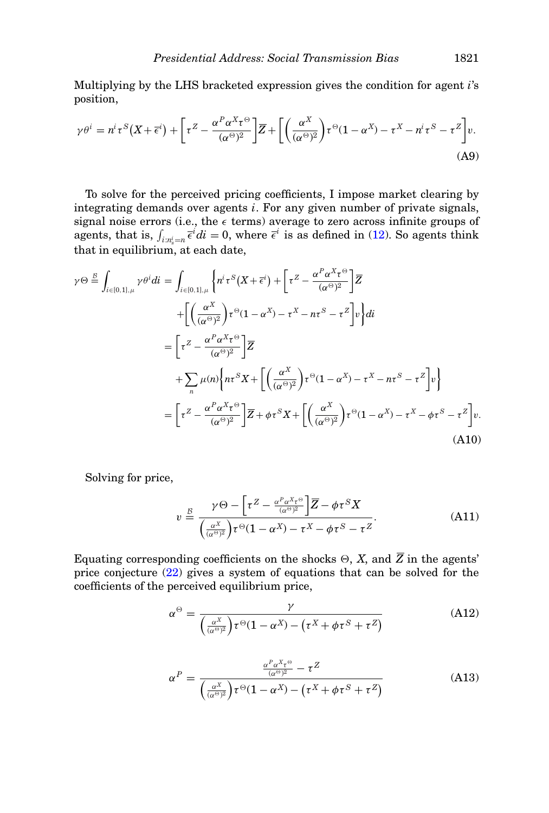Multiplying by the LHS bracketed expression gives the condition for agent *i*'s position,

$$
\gamma \theta^{i} = n^{i} \tau^{S} \left( X + \bar{\epsilon}^{i} \right) + \left[ \tau^{Z} - \frac{\alpha^{P} \alpha^{X} \tau^{\Theta}}{(\alpha^{\Theta})^{2}} \right] \overline{Z} + \left[ \left( \frac{\alpha^{X}}{(\alpha^{\Theta})^{2}} \right) \tau^{\Theta} (1 - \alpha^{X}) - \tau^{X} - n^{i} \tau^{S} - \tau^{Z} \right] v. \tag{A9}
$$

To solve for the perceived pricing coefficients, I impose market clearing by integrating demands over agents *i*. For any given number of private signals, signal noise errors (i.e., the  $\epsilon$  terms) average to zero across infinite groups of agents, that is,  $\int_{i:n_s^i=n} \bar{\epsilon}^i d\bar{\i} = 0$ , where  $\bar{\epsilon}^i$  is as defined in (12). So agents think that in equilibrium, at each date,

$$
\gamma \Theta \stackrel{B}{=} \int_{i \in [0,1], \mu} \gamma \theta^i di = \int_{i \in [0,1], \mu} \left\{ n^i \tau^S (X + \bar{\epsilon}^i) + \left[ \tau^Z - \frac{\alpha^P \alpha^X \tau^{\Theta}}{(\alpha^{\Theta})^2} \right] \overline{Z} \right\} \n+ \left[ \left( \frac{\alpha^X}{(\alpha^{\Theta})^2} \right) \tau^{\Theta} (1 - \alpha^X) - \tau^X - n \tau^S - \tau^Z \right] v \right\} di \n= \left[ \tau^Z - \frac{\alpha^P \alpha^X \tau^{\Theta}}{(\alpha^{\Theta})^2} \right] \overline{Z} \n+ \sum_n \mu(n) \left\{ n \tau^S X + \left[ \left( \frac{\alpha^X}{(\alpha^{\Theta})^2} \right) \tau^{\Theta} (1 - \alpha^X) - \tau^X - n \tau^S - \tau^Z \right] v \right\} \n= \left[ \tau^Z - \frac{\alpha^P \alpha^X \tau^{\Theta}}{(\alpha^{\Theta})^2} \right] \overline{Z} + \phi \tau^S X + \left[ \left( \frac{\alpha^X}{(\alpha^{\Theta})^2} \right) \tau^{\Theta} (1 - \alpha^X) - \tau^X - \phi \tau^S - \tau^Z \right] v.
$$
\n(A10)

Solving for price,

$$
v \stackrel{B}{=} \frac{\gamma \Theta - \left[\tau^Z - \frac{\alpha^P \alpha^X \tau^{\Theta}}{(\alpha^{\Theta})^2}\right] \overline{Z} - \phi \tau^S X}{\left(\frac{\alpha^X}{(\alpha^{\Theta})^2}\right) \tau^{\Theta} (1 - \alpha^X) - \tau^X - \phi \tau^S - \tau^Z}.
$$
\n(A11)

Equating corresponding coefficients on the shocks  $\Theta$ , *X*, and  $\overline{Z}$  in the agents' price conjecture (22) gives a system of equations that can be solved for the coefficients of the perceived equilibrium price,

$$
\alpha^{\Theta} = \frac{\gamma}{\left(\frac{\alpha^{X}}{(\alpha^{\Theta})^{2}}\right) \tau^{\Theta}(1 - \alpha^{X}) - \left(\tau^{X} + \phi \tau^{S} + \tau^{Z}\right)}
$$
(A12)

$$
\alpha^{P} = \frac{\frac{\alpha^{P} \alpha^{X} \tau^{\Theta}}{(\alpha^{\Theta})^{2}} - \tau^{Z}}{\left(\frac{\alpha^{X}}{(\alpha^{\Theta})^{2}}\right) \tau^{\Theta} (1 - \alpha^{X}) - \left(\tau^{X} + \phi \tau^{S} + \tau^{Z}\right)}
$$
(A13)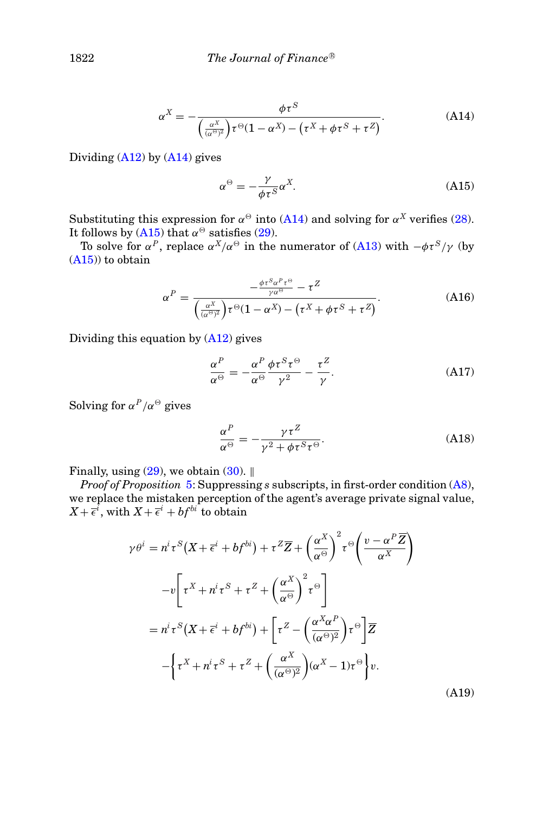$$
\alpha^X = -\frac{\phi \tau^S}{\left(\frac{\alpha^X}{(\alpha^{\Theta})^2}\right) \tau^{\Theta} (1 - \alpha^X) - \left(\tau^X + \phi \tau^S + \tau^Z\right)}.
$$
 (A14)

Dividing  $(A12)$  by  $(A14)$  gives

$$
\alpha^{\Theta} = -\frac{\gamma}{\phi \tau^S} \alpha^X. \tag{A15}
$$

Substituting this expression for  $\alpha^{\Theta}$  into (A14) and solving for  $\alpha^X$  verifies (28). It follows by (A15) that  $\alpha^{\Theta}$  satisfies (29).

To solve for  $\alpha^P$ , replace  $\alpha^X/\alpha^\Theta$  in the numerator of (A13) with  $-\phi\tau^S/\gamma$  (by  $(A15)$  to obtain

$$
\alpha^P = \frac{-\frac{\phi \tau^S \alpha^P \tau^{\Theta}}{\gamma \alpha^{\Theta}} - \tau^Z}{\left(\frac{\alpha^X}{(\alpha^{\Theta})^2}\right) \tau^{\Theta} (1 - \alpha^X) - \left(\tau^X + \phi \tau^S + \tau^Z\right)}.
$$
(A16)

Dividing this equation by (A12) gives

$$
\frac{\alpha^P}{\alpha^{\Theta}} = -\frac{\alpha^P}{\alpha^{\Theta}} \frac{\phi \tau^S \tau^{\Theta}}{\gamma^2} - \frac{\tau^Z}{\gamma}.
$$
 (A17)

Solving for  $\alpha^P/\alpha^{\Theta}$  gives

$$
\frac{\alpha^P}{\alpha^\Theta} = -\frac{\gamma \tau^Z}{\gamma^2 + \phi \tau^S \tau^\Theta}.
$$
 (A18)

Finally, using  $(29)$ , we obtain  $(30)$ .

*Proof of Proposition* [5:](#page-24-1) Suppressing *s* subscripts, in first-order condition (A8), we replace the mistaken perception of the agent's average private signal value,  $X + \overline{\epsilon}^i$ , with  $X + \overline{\epsilon}^i + bf^{bi}$  to obtain

$$
\gamma \theta^{i} = n^{i} \tau^{S} (X + \overline{\epsilon}^{i} + b f^{bi}) + \tau^{Z} \overline{Z} + \left(\frac{\alpha^{X}}{\alpha^{\Theta}}\right)^{2} \tau^{\Theta} \left(\frac{v - \alpha^{P} \overline{Z}}{\alpha^{X}}\right)
$$

$$
-v \left[\tau^{X} + n^{i} \tau^{S} + \tau^{Z} + \left(\frac{\alpha^{X}}{\alpha^{\Theta}}\right)^{2} \tau^{\Theta}\right]
$$

$$
= n^{i} \tau^{S} (X + \overline{\epsilon}^{i} + b f^{bi}) + \left[\tau^{Z} - \left(\frac{\alpha^{X} \alpha^{P}}{(\alpha^{\Theta})^{2}}\right) \tau^{\Theta}\right] \overline{Z}
$$

$$
- \left\{\tau^{X} + n^{i} \tau^{S} + \tau^{Z} + \left(\frac{\alpha^{X}}{(\alpha^{\Theta})^{2}}\right) (\alpha^{X} - 1) \tau^{\Theta}\right\} v.
$$
(A19)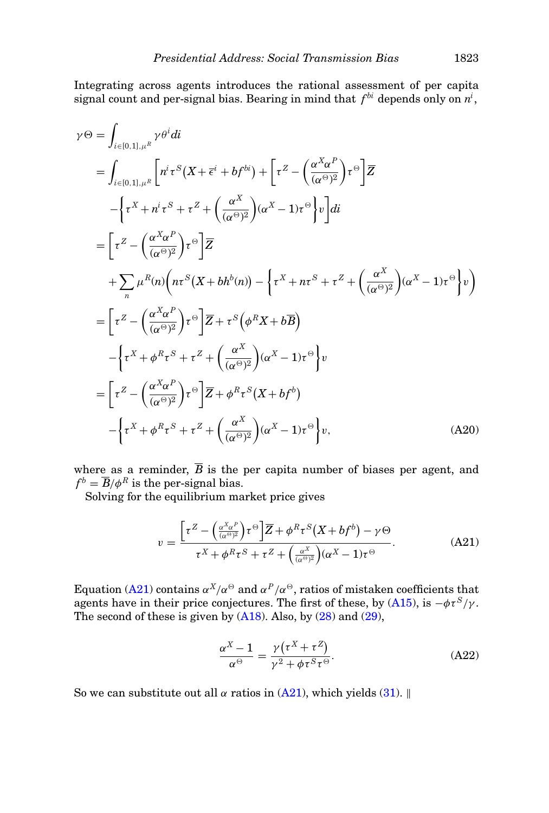Integrating across agents introduces the rational assessment of per capita signal count and per-signal bias. Bearing in mind that  $f^{bi}$  depends only on  $n^{i}$ ,

$$
\gamma \Theta = \int_{i \in [0,1], \mu^{R}} \gamma \theta^{i} di
$$
  
\n
$$
= \int_{i \in [0,1], \mu^{R}} \left[ n^{i} \tau^{S} (X + \bar{\epsilon}^{i} + b f^{bi}) + \left[ \tau^{Z} - \left( \frac{\alpha^{X} \alpha^{P}}{(\alpha^{\Theta})^{2}} \right) \tau^{\Theta} \right] \overline{Z} \right]
$$
  
\n
$$
- \left\{ \tau^{X} + n^{i} \tau^{S} + \tau^{Z} + \left( \frac{\alpha^{X}}{(\alpha^{\Theta})^{2}} \right) (\alpha^{X} - 1) \tau^{\Theta} \right\} v \right] di
$$
  
\n
$$
= \left[ \tau^{Z} - \left( \frac{\alpha^{X} \alpha^{P}}{(\alpha^{\Theta})^{2}} \right) \tau^{\Theta} \right] \overline{Z}
$$
  
\n
$$
+ \sum_{n} \mu^{R}(n) \left( n \tau^{S} (X + bh^{b}(n)) - \left\{ \tau^{X} + n \tau^{S} + \tau^{Z} + \left( \frac{\alpha^{X}}{(\alpha^{\Theta})^{2}} \right) (\alpha^{X} - 1) \tau^{\Theta} \right\} v \right)
$$
  
\n
$$
= \left[ \tau^{Z} - \left( \frac{\alpha^{X} \alpha^{P}}{(\alpha^{\Theta})^{2}} \right) \tau^{\Theta} \right] \overline{Z} + \tau^{S} (\phi^{R} X + b \overline{B})
$$
  
\n
$$
- \left\{ \tau^{X} + \phi^{R} \tau^{S} + \tau^{Z} + \left( \frac{\alpha^{X}}{(\alpha^{\Theta})^{2}} \right) (\alpha^{X} - 1) \tau^{\Theta} \right\} v
$$
  
\n
$$
= \left[ \tau^{Z} - \left( \frac{\alpha^{X} \alpha^{P}}{(\alpha^{\Theta})^{2}} \right) \tau^{\Theta} \right] \overline{Z} + \phi^{R} \tau^{S} (X + b f^{b})
$$
  
\n
$$
- \left\{ \tau^{X} + \phi^{R} \tau^{S} + \tau^{Z} + \left( \frac{\alpha^{X}}{(\alpha^{\Theta})^{2}} \right) (\alpha^{X} - 1) \tau^{\Theta} \right\} v,
$$
  
\n(A20)

where as a reminder,  $\overline{B}$  is the per capita number of biases per agent, and  $f^b = \overline{B}/\phi^R$  is the per-signal bias.

Solving for the equilibrium market price gives

$$
v = \frac{\left[\tau^Z - \left(\frac{\alpha^X \alpha^P}{(\alpha^{\Theta})^2}\right) \tau^{\Theta}\right] \overline{Z} + \phi^R \tau^S (X + b f^b) - \gamma \Theta}{\tau^X + \phi^R \tau^S + \tau^Z + \left(\frac{\alpha^X}{(\alpha^{\Theta})^2}\right) (\alpha^X - 1) \tau^{\Theta}}.
$$
 (A21)

Equation (A21) contains  $\alpha^X/\alpha^\Theta$  and  $\alpha^P/\alpha^\Theta$ , ratios of mistaken coefficients that agents have in their price conjectures. The first of these, by  $(A15)$ , is  $-\phi\tau^{S}/\gamma$ . The second of these is given by (A18). Also, by (28) and (29),

$$
\frac{\alpha^X - 1}{\alpha^{\Theta}} = \frac{\gamma(\tau^X + \tau^Z)}{\gamma^2 + \phi \tau^S \tau^{\Theta}}.
$$
\n(A22)

So we can substitute out all  $\alpha$  ratios in (A21), which yields (31).  $\parallel$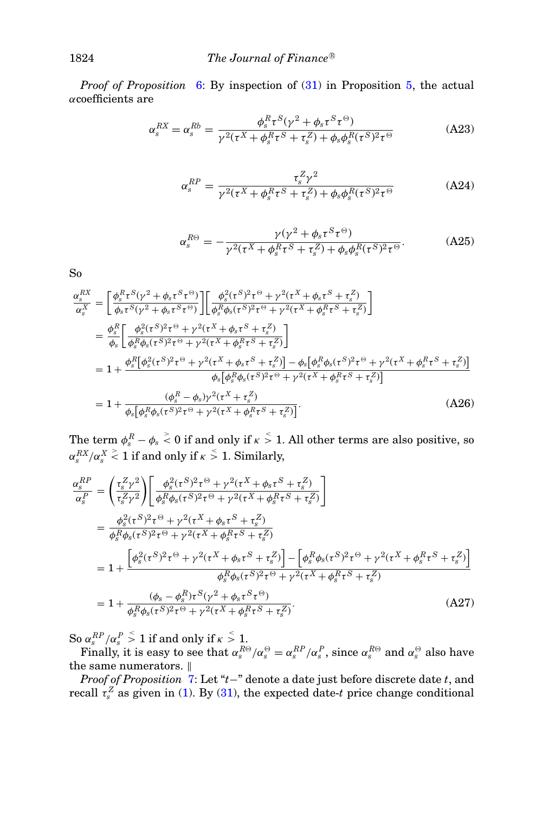*Proof of Proposition* [6:](#page-25-0) By inspection of (31) in Proposition [5,](#page-24-1) the actual αcoefficients are

$$
\alpha_s^{RX} = \alpha_s^{Rb} = \frac{\phi_s^R \tau^S (\gamma^2 + \phi_s \tau^S \tau^{\Theta})}{\gamma^2 (\tau^X + \phi_s^R \tau^S + \tau_s^Z) + \phi_s \phi_s^R (\tau^S)^2 \tau^{\Theta}}
$$
(A23)

$$
\alpha_s^{RP} = \frac{\tau_s^Z \gamma^2}{\gamma^2(\tau^X + \phi_s^R \tau^S + \tau_s^Z) + \phi_s \phi_s^R(\tau^S)^2 \tau^{\Theta}}
$$
(A24)

$$
\alpha_s^{R\Theta} = -\frac{\gamma(\gamma^2 + \phi_s \tau^S \tau^{\Theta})}{\gamma^2(\tau^X + \phi_s^R \tau^S + \tau_s^Z) + \phi_s \phi_s^R(\tau^S)^2 \tau^{\Theta}}.
$$
 (A25)

So

$$
\frac{\alpha_{s}^{RX}}{\alpha_{s}^{X}} = \left[ \frac{\phi_{s}^{R} \tau^{S} (\gamma^{2} + \phi_{s} \tau^{S} \tau^{\Theta})}{\phi_{s} \tau^{S} (\gamma^{2} + \phi_{s} \tau^{S} \tau^{\Theta})} \right] \left[ \frac{\phi_{s}^{2} (\tau^{S})^{2} \tau^{\Theta} + \gamma^{2} (\tau^{X} + \phi_{s} \tau^{S} + \tau_{s}^{Z})}{\phi_{s}^{R} \tau^{S} + \tau_{s}^{Z}} \right]
$$
\n
$$
= \frac{\phi_{s}^{R}}{\phi_{s}} \left[ \frac{\phi_{s}^{2} (\tau^{S})^{2} \tau^{\Theta} + \gamma^{2} (\tau^{X} + \phi_{s} \tau^{S} + \tau_{s}^{Z})}{\phi_{s}^{R} \phi_{s} (\tau^{S})^{2} \tau^{\Theta} + \gamma^{2} (\tau^{X} + \phi_{s}^{R} \tau^{S} + \tau_{s}^{Z})} \right]
$$
\n
$$
= 1 + \frac{\phi_{s}^{R} [\phi_{s}^{2} (\tau^{S})^{2} \tau^{\Theta} + \gamma^{2} (\tau^{X} + \phi_{s} \tau^{S} + \tau_{s}^{Z})] - \phi_{s} [\phi_{s}^{R} \phi_{s} (\tau^{S})^{2} \tau^{\Theta} + \gamma^{2} (\tau^{X} + \phi_{s}^{R} \tau^{S} + \tau_{s}^{Z})]}{\phi_{s} [\phi_{s}^{R} \phi_{s} (\tau^{S})^{2} \tau^{\Theta} + \gamma^{2} (\tau^{X} + \phi_{s}^{R} \tau^{S} + \tau_{s}^{Z})]}
$$
\n
$$
= 1 + \frac{(\phi_{s}^{R} - \phi_{s}) \gamma^{2} (\tau^{X} + \tau_{s}^{Z})}{\phi_{s} [\phi_{s}^{R} \phi_{s} (\tau^{S})^{2} \tau^{\Theta} + \gamma^{2} (\tau^{X} + \phi_{s}^{R} \tau^{S} + \tau_{s}^{Z})]}.
$$
\n(A26)

The term  $\phi_s^R - \phi_s \stackrel{>}{<} 0$  if and only if  $\kappa \stackrel{<}{>} 1$ . All other terms are also positive, so  $\alpha_s^{RX}/\alpha_s^{X}$  $\stackrel{\textstyle >}{\leq} 1$  if and only if  $\kappa \stackrel{\textstyle <}{\geq} 1$ . Similarly,

$$
\frac{\alpha_{s}^{RP}}{\alpha_{s}^{P}} = \left(\frac{\tau_{s}^{Z}\gamma^{2}}{\tau_{s}^{Z}\gamma^{2}}\right) \left[\frac{\phi_{s}^{2}(\tau^{S})^{2}\tau^{\Theta} + \gamma^{2}(\tau^{X} + \phi_{s}\tau^{S} + \tau_{s}^{Z})}{\phi_{s}^{R}\phi_{s}(\tau^{S})^{2}\tau^{\Theta} + \gamma^{2}(\tau^{X} + \phi_{s}^{R}\tau^{S} + \tau_{s}^{Z})}\right] \n= \frac{\phi_{s}^{2}(\tau^{S})^{2}\tau^{\Theta} + \gamma^{2}(\tau^{X} + \phi_{s}\tau^{S} + \tau_{s}^{Z})}{\phi_{s}^{R}\phi_{s}(\tau^{S})^{2}\tau^{\Theta} + \gamma^{2}(\tau^{X} + \phi_{s}^{R}\tau^{S} + \tau_{s}^{Z})} \n= 1 + \frac{\left[\phi_{s}^{2}(\tau^{S})^{2}\tau^{\Theta} + \gamma^{2}(\tau^{X} + \phi_{s}\tau^{S} + \tau_{s}^{Z})\right] - \left[\phi_{s}^{R}\phi_{s}(\tau^{S})^{2}\tau^{\Theta} + \gamma^{2}(\tau^{X} + \phi_{s}^{R}\tau^{S} + \tau_{s}^{Z})\right]}{\phi_{s}^{R}\phi_{s}(\tau^{S})^{2}\tau^{\Theta} + \gamma^{2}(\tau^{X} + \phi_{s}^{R}\tau^{S} + \tau_{s}^{Z})} \n= 1 + \frac{(\phi_{s} - \phi_{s}^{R})\tau^{S}(\gamma^{2} + \phi_{s}\tau^{S}\tau^{\Theta})}{\phi_{s}^{R}\phi_{s}(\tau^{S})^{2}\tau^{\Theta} + \gamma^{2}(\tau^{X} + \phi_{s}^{R}\tau^{S} + \tau_{s}^{Z})}.
$$
\n(A27)

 $\int$ So  $\alpha_s^{RP}/\alpha_s^{P}$  $\stackrel{<}{>}$  1 if and only if  $\kappa \stackrel{<}{>}$  1.

Finally, it is easy to see that  $\alpha_s^{R\Theta}/\alpha_s^{\Theta} = \alpha_s^{RP}/\alpha_s^P$ , since  $\alpha_s^{R\Theta}$  and  $\alpha_s^{\Theta}$  also have the same numerators.  $\parallel$ 

*Proof of Proposition* [7:](#page-26-0) Let "*t*−" denote a date just before discrete date *t*, and recall  $\tau_s^Z$  as given in (1). By (31), the expected date-*t* price change conditional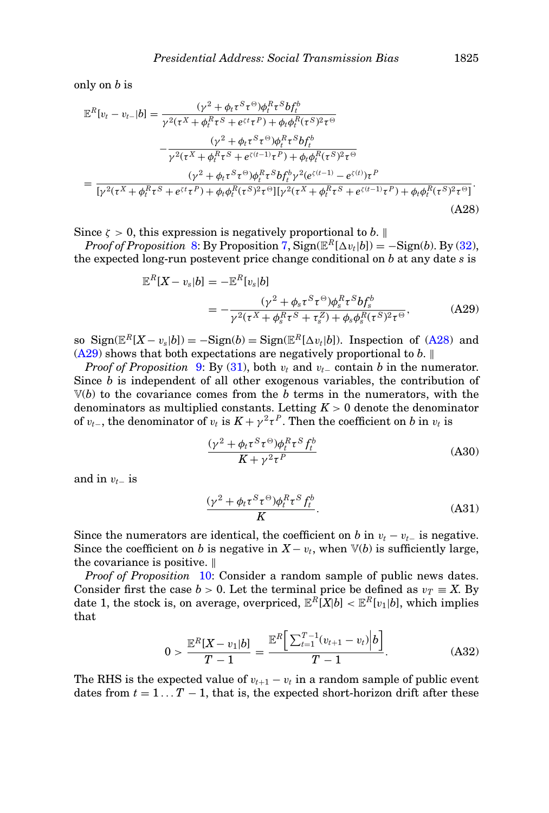only on *b* is

$$
\mathbb{E}^{R}[v_{t} - v_{t-}|b] = \frac{(\gamma^{2} + \phi_{t}\tau^{S}\tau^{\Theta})\phi_{t}^{R}\tau^{S}b f_{t}^{b}}{\gamma^{2}(\tau^{X} + \phi_{t}^{R}\tau^{S} + e^{\zeta t}\tau^{P}) + \phi_{t}\phi_{t}^{R}(\tau^{S})^{2}\tau^{\Theta}} - \frac{(\gamma^{2} + \phi_{t}\tau^{S}\tau^{\Theta})\phi_{t}^{R}\tau^{S}b f_{t}^{b}}{\gamma^{2}(\tau^{X} + \phi_{t}^{R}\tau^{S} + e^{\zeta(t-1)}\tau^{P}) + \phi_{t}\phi_{t}^{R}(\tau^{S})^{2}\tau^{\Theta}} = \frac{(\gamma^{2} + \phi_{t}\tau^{S}\tau^{\Theta})\phi_{t}^{R}\tau^{S}b f_{t}^{b}\gamma^{2}(e^{\zeta(t-1)} - e^{\zeta(t)})\tau^{P}}{[\gamma^{2}(\tau^{X} + \phi_{t}^{R}\tau^{S} + e^{\zeta t}\tau^{P}) + \phi_{t}\phi_{t}^{R}(\tau^{S})^{2}\tau^{\Theta}][\gamma^{2}(\tau^{X} + \phi_{t}^{R}\tau^{S} + e^{\zeta(t-1)}\tau^{P}) + \phi_{t}\phi_{t}^{R}(\tau^{S})^{2}\tau^{\Theta}]}.
$$
\n(A28)

Since  $\zeta > 0$ , this expression is negatively proportional to *b*.

*Proof of Proposition* [8:](#page-29-0) By Proposition [7,](#page-26-0)  $\text{Sign}(\mathbb{E}^R[\Delta v_t|b]) = -\text{Sign}(b)$ . By (32), the expected long-run postevent price change conditional on *b* at any date *s* is

$$
\mathbb{E}^{R}[X - v_{s}|b] = -\mathbb{E}^{R}[v_{s}|b]
$$
  
= 
$$
-\frac{(\gamma^{2} + \phi_{s}\tau^{S}\tau^{\Theta})\phi_{s}^{R}\tau^{S}bf_{s}^{b}}{\gamma^{2}(\tau^{X} + \phi_{s}^{R}\tau^{S} + \tau_{s}^{Z}) + \phi_{s}\phi_{s}^{R}(\tau^{S})^{2}\tau^{\Theta}},
$$
 (A29)

so  $Sign(\mathbb{E}^R[X - v_s|b]) = -Sign(b) = Sign(\mathbb{E}^R[\Delta v_t|b])$ . Inspection of (A28) and  $(A29)$  shows that both expectations are negatively proportional to *b*.

*Proof of Proposition* [9:](#page-30-0) By (31), both  $v_t$  and  $v_{t-}$  contain *b* in the numerator. Since *b* is independent of all other exogenous variables, the contribution of  $\mathbb{V}(b)$  to the covariance comes from the *b* terms in the numerators, with the denominators as multiplied constants. Letting *K* > 0 denote the denominator of  $v_t$ <sub>−</sub>, the denominator of  $v_t$  is  $K + \gamma^2 \tau^P$ . Then the coefficient on *b* in  $v_t$  is

$$
\frac{(\gamma^2 + \phi_t \tau^S \tau^{\Theta}) \phi_t^R \tau^S f_t^b}{K + \gamma^2 \tau^P}
$$
 (A30)

and in  $v_{t-}$  is

$$
\frac{(\gamma^2 + \phi_t \tau^S \tau^{\Theta}) \phi_t^R \tau^S f_t^b}{K}.
$$
 (A31)

Since the numerators are identical, the coefficient on *b* in  $v_t - v_t$  is negative. Since the coefficient on *b* is negative in  $X - v_t$ , when  $\mathbb{V}(b)$  is sufficiently large, the covariance is positive.

*Proof of Proposition* [10:](#page-30-1) Consider a random sample of public news dates. Consider first the case  $b > 0$ . Let the terminal price be defined as  $v_T \equiv X$ . By date 1, the stock is, on average, overpriced,  $\mathbb{E}^R[X|b] < \mathbb{E}^R[v_1|b]$ , which implies that

$$
0 > \frac{\mathbb{E}^R[X - v_1|b]}{T - 1} = \frac{\mathbb{E}^R\left[\sum_{t=1}^{T-1} (v_{t+1} - v_t)\middle|b\right]}{T - 1}.
$$
 (A32)

The RHS is the expected value of  $v_{t+1} - v_t$  in a random sample of public event dates from  $t = 1...T - 1$ , that is, the expected short-horizon drift after these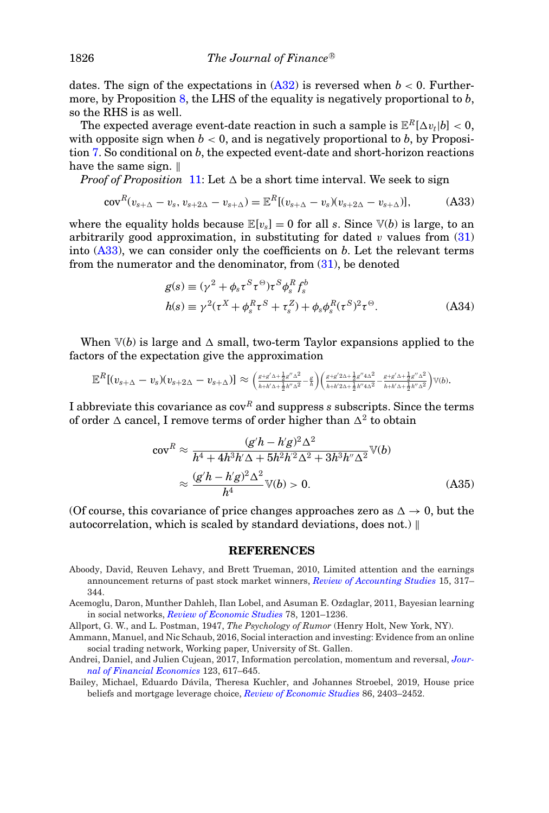dates. The sign of the expectations in  $(A32)$  is reversed when  $b < 0$ . Furthermore, by Proposition [8,](#page-29-0) the LHS of the equality is negatively proportional to *b*, so the RHS is as well.

The expected average event-date reaction in such a sample is  $\mathbb{E}^R[\Delta v_t|b] < 0,$ with opposite sign when  $b < 0$ , and is negatively proportional to  $b$ , by Proposition [7.](#page-26-0) So conditional on *b*, the expected event-date and short-horizon reactions have the same sign.  $\parallel$ 

*Proof of Proposition*  $\ket{11}$ : Let  $\Delta$  be a short time interval. We seek to sign

$$
cov^{R}(v_{s+\Delta}-v_{s},v_{s+2\Delta}-v_{s+\Delta})=\mathbb{E}^{R}[(v_{s+\Delta}-v_{s})(v_{s+2\Delta}-v_{s+\Delta})], \qquad (A33)
$$

where the equality holds because  $\mathbb{E}[v_s] = 0$  for all *s*. Since  $\mathbb{V}(b)$  is large, to an arbitrarily good approximation, in substituting for dated v values from  $(31)$ into (A33), we can consider only the coefficients on *b*. Let the relevant terms from the numerator and the denominator, from (31), be denoted

$$
g(s) \equiv (\gamma^2 + \phi_s \tau^S \tau^{\Theta}) \tau^S \phi_s^R f_s^b
$$
  
\n
$$
h(s) \equiv \gamma^2 (\tau^X + \phi_s^R \tau^S + \tau_s^Z) + \phi_s \phi_s^R (\tau^S)^2 \tau^{\Theta}.
$$
\n(A34)

When  $\mathbb{V}(b)$  is large and  $\Delta$  small, two-term Taylor expansions applied to the factors of the expectation give the approximation

$$
\mathbb{E}^{R}[(v_{s+\Delta}-v_s)(v_{s+2\Delta}-v_{s+\Delta})] \approx \left(\frac{s+s'\Delta+\frac{1}{2}s''\Delta^2}{h+h'\Delta+\frac{1}{2}h''\Delta^2} - \frac{s}{h}\right)\left(\frac{s+s'2\Delta+\frac{1}{2}s''4\Delta^2}{h+h'\Delta+\frac{1}{2}h''\Delta^2} - \frac{s+s'\Delta+\frac{1}{2}s''\Delta^2}{h+h'\Delta+\frac{1}{2}h''\Delta^2}\right)\mathbb{V}(b).
$$

I abbreviate this covariance as  $cov<sup>R</sup>$  and suppress *s* subscripts. Since the terms of order  $\Delta$  cancel, I remove terms of order higher than  $\Delta^2$  to obtain

$$
\operatorname{cov}^R \approx \frac{(g'h - h'g)^2 \Delta^2}{h^4 + 4h^3h'\Delta + 5h^2h'^2\Delta^2 + 3h^3h''\Delta^2} \mathbb{V}(b)
$$

$$
\approx \frac{(g'h - h'g)^2 \Delta^2}{h^4} \mathbb{V}(b) > 0. \tag{A35}
$$

(Of course, this covariance of price changes approaches zero as  $\Delta \to 0$ , but the autocorrelation, which is scaled by standard deviations, does not.)

# <span id="page-48-6"></span><span id="page-48-4"></span><span id="page-48-3"></span><span id="page-48-2"></span><span id="page-48-0"></span>**REFERENCES**

- <span id="page-48-5"></span>Aboody, David, Reuven Lehavy, and Brett Trueman, 2010, Limited attention and the earnings announcement returns of past stock market winners, *[Review of Accounting Studies](http://dx.doi.org/10.1007/s11142-009-9104-9)* 15, 317– 344.
- <span id="page-48-1"></span>Acemoglu, Daron, Munther Dahleh, Ilan Lobel, and Asuman E. Ozdaglar, 2011, Bayesian learning in social networks, *[Review of Economic Studies](http://dx.doi.org/10.1093/restud/rdr004)* 78, 1201–1236.
- Allport, G. W., and L. Postman, 1947, *The Psychology of Rumor* (Henry Holt, New York, NY).
- Ammann, Manuel, and Nic Schaub, 2016, Social interaction and investing: Evidence from an online social trading network, Working paper, University of St. Gallen.
- Andrei, Daniel, and Julien Cujean, 2017, Information percolation, momentum and reversal, *[Jour](http://dx.doi.org/10.1016/j.jfineco.2016.05.012)[nal of Financial Economics](http://dx.doi.org/10.1016/j.jfineco.2016.05.012)* 123, 617–645.
- Bailey, Michael, Eduardo Dávila, Theresa Kuchler, and Johannes Stroebel, 2019, House price beliefs and mortgage leverage choice, *[Review of Economic Studies](http://dx.doi.org/10.1093/restud/rdy068)* 86, 2403–2452.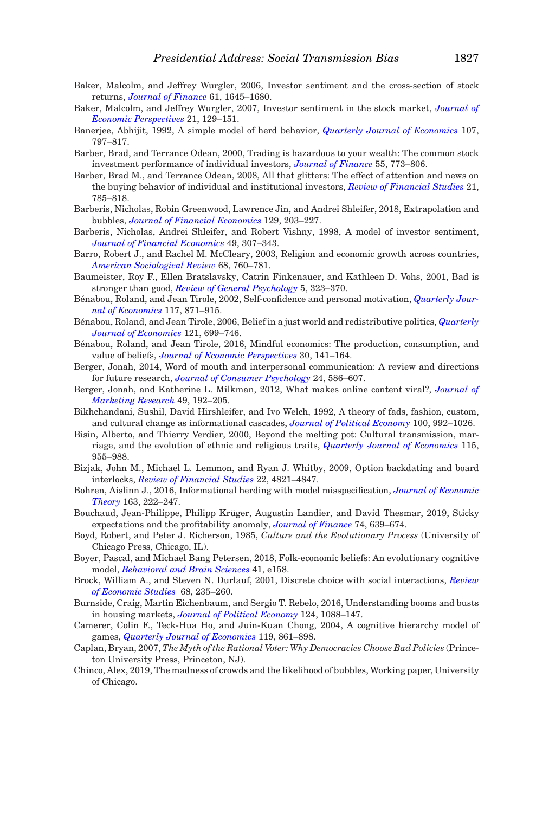- Baker, Malcolm, and Jeffrey Wurgler, 2006, Investor sentiment and the cross-section of stock returns, *[Journal of Finance](http://dx.doi.org/10.1111/j.1540-6261.2006.00885.x)* 61, 1645–1680.
- <span id="page-49-19"></span>Baker, Malcolm, and Jeffrey Wurgler, 2007, Investor sentiment in the stock market, *[Journal of](http://dx.doi.org/10.1257/jep.21.2.129) [Economic Perspectives](http://dx.doi.org/10.1257/jep.21.2.129)* 21, 129–151.
- <span id="page-49-0"></span>Banerjee, Abhijit, 1992, A simple model of herd behavior, *[Quarterly Journal of Economics](http://dx.doi.org/10.2307/2118364)* 107, 797–817.
- <span id="page-49-15"></span>Barber, Brad, and Terrance Odean, 2000, Trading is hazardous to your wealth: The common stock investment performance of individual investors, *[Journal of Finance](http://dx.doi.org/10.1111/0022-1082.00226)* 55, 773–806.
- <span id="page-49-11"></span>Barber, Brad M., and Terrance Odean, 2008, All that glitters: The effect of attention and news on the buying behavior of individual and institutional investors, *[Review of Financial Studies](http://dx.doi.org/10.1093/rfs/hhm079)* 21, 785–818.
- <span id="page-49-14"></span>Barberis, Nicholas, Robin Greenwood, Lawrence Jin, and Andrei Shleifer, 2018, Extrapolation and bubbles, *[Journal of Financial Economics](http://dx.doi.org/10.1016/j.jfineco.2018.04.007)* 129, 203–227.
- <span id="page-49-17"></span>Barberis, Nicholas, Andrei Shleifer, and Robert Vishny, 1998, A model of investor sentiment, *[Journal of Financial Economics](http://dx.doi.org/10.1016/S0304-405X(98)00027-0)* 49, 307–343.
- <span id="page-49-5"></span>Barro, Robert J., and Rachel M. McCleary, 2003, Religion and economic growth across countries, *[American Sociological Review](http://dx.doi.org/10.2307/1519761)* 68, 760–781.
- <span id="page-49-13"></span>Baumeister, Roy F., Ellen Bratslavsky, Catrin Finkenauer, and Kathleen D. Vohs, 2001, Bad is stronger than good, *[Review of General Psychology](http://dx.doi.org/10.1037/1089-2680.5.4.323)* 5, 323–370.
- Bénabou, Roland, and Jean Tirole, 2002, Self-confidence and personal motivation, *[Quarterly Jour](http://dx.doi.org/10.1162/003355302760193913)[nal of Economics](http://dx.doi.org/10.1162/003355302760193913)* 117, 871–915.
- <span id="page-49-24"></span><span id="page-49-12"></span>Bénabou, Roland, and Jean Tirole, 2006, Belief in a just world and redistributive politics, *[Quarterly](http://dx.doi.org/10.1162/qjec.2006.121.2.699) [Journal of Economics](http://dx.doi.org/10.1162/qjec.2006.121.2.699)* 121, 699–746.
- <span id="page-49-25"></span>Benabou, Roland, and Jean Tirole, 2016, Mindful economics: The production, consumption, and ´ value of beliefs, *[Journal of Economic Perspectives](http://dx.doi.org/10.1257/jep.30.3.141)* 30, 141–164.
- <span id="page-49-10"></span>Berger, Jonah, 2014, Word of mouth and interpersonal communication: A review and directions for future research, *[Journal of Consumer Psychology](http://dx.doi.org/10.1016/j.jcps.2014.05.002)* 24, 586–607.
- <span id="page-49-9"></span>Berger, Jonah, and Katherine L. Milkman, 2012, What makes online content viral?, *[Journal of](http://dx.doi.org/10.1509/jmr.10.0353) [Marketing Research](http://dx.doi.org/10.1509/jmr.10.0353)* 49, 192–205.
- <span id="page-49-1"></span>Bikhchandani, Sushil, David Hirshleifer, and Ivo Welch, 1992, A theory of fads, fashion, custom, and cultural change as informational cascades, *[Journal of Political Economy](http://dx.doi.org/10.1086/261849)* 100, 992–1026.
- <span id="page-49-4"></span>Bisin, Alberto, and Thierry Verdier, 2000, Beyond the melting pot: Cultural transmission, marriage, and the evolution of ethnic and religious traits, *[Quarterly Journal of Economics](http://dx.doi.org/10.1162/003355300554953)* 115, 955–988.
- <span id="page-49-7"></span>Bizjak, John M., Michael L. Lemmon, and Ryan J. Whitby, 2009, Option backdating and board interlocks, *[Review of Financial Studies](http://dx.doi.org/10.1093/rfs/hhn120)* 22, 4821–4847.
- <span id="page-49-3"></span>Bohren, Aislinn J., 2016, Informational herding with model misspecification, *[Journal of Economic](http://dx.doi.org/10.1016/j.jet.2016.01.011) [Theory](http://dx.doi.org/10.1016/j.jet.2016.01.011)* 163, 222–247.
- <span id="page-49-16"></span>Bouchaud, Jean-Philippe, Philipp Krüger, Augustin Landier, and David Thesmar, 2019, Sticky expectations and the profitability anomaly, *[Journal of Finance](http://dx.doi.org/10.1111/jofi.12734)* 74, 639–674.
- <span id="page-49-2"></span>Boyd, Robert, and Peter J. Richerson, 1985, *Culture and the Evolutionary Process* (University of Chicago Press, Chicago, IL).
- <span id="page-49-20"></span>Boyer, Pascal, and Michael Bang Petersen, 2018, Folk-economic beliefs: An evolutionary cognitive model, *[Behavioral and Brain Sciences](http://dx.doi.org/10.1017/S0140525X17001960)* 41, e158.
- <span id="page-49-6"></span>Brock, William A., and Steven N. Durlauf, 2001, Discrete choice with social interactions, *[Review](http://dx.doi.org/10.1111/1467-937X.00168) [of Economic Studies](http://dx.doi.org/10.1111/1467-937X.00168)* 68, 235–260.
- <span id="page-49-22"></span>Burnside, Craig, Martin Eichenbaum, and Sergio T. Rebelo, 2016, Understanding booms and busts in housing markets, *[Journal of Political Economy](http://dx.doi.org/10.1086/686732)* 124, 1088–147.
- <span id="page-49-18"></span>Camerer, Colin F., Teck-Hua Ho, and Juin-Kuan Chong, 2004, A cognitive hierarchy model of games, *[Quarterly Journal of Economics](http://dx.doi.org/10.1162/0033553041502225)* 119, 861–898.
- <span id="page-49-21"></span>Caplan, Bryan, 2007, *The Myth of the Rational Voter: Why Democracies Choose Bad Policies* (Princeton University Press, Princeton, NJ).
- <span id="page-49-23"></span><span id="page-49-8"></span>Chinco, Alex, 2019, The madness of crowds and the likelihood of bubbles, Working paper, University of Chicago.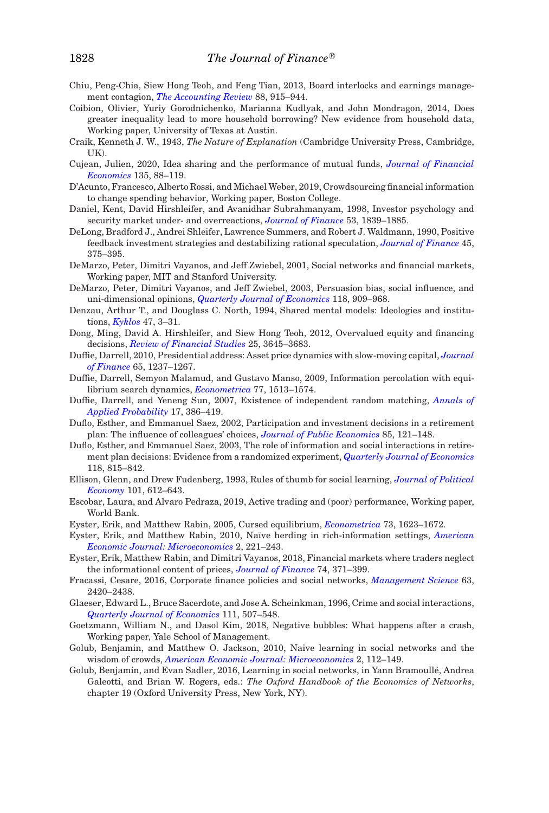- Chiu, Peng-Chia, Siew Hong Teoh, and Feng Tian, 2013, Board interlocks and earnings management contagion, *[The Accounting Review](http://dx.doi.org/10.2308/accr-50369)* 88, 915–944.
- <span id="page-50-12"></span>Coibion, Olivier, Yuriy Gorodnichenko, Marianna Kudlyak, and John Mondragon, 2014, Does greater inequality lead to more household borrowing? New evidence from household data, Working paper, University of Texas at Austin.
- <span id="page-50-22"></span>Craik, Kenneth J. W., 1943, *The Nature of Explanation* (Cambridge University Press, Cambridge, UK).
- <span id="page-50-16"></span>Cujean, Julien, 2020, Idea sharing and the performance of mutual funds, *[Journal of Financial](http://dx.doi.org/10.1016/j.jfineco.2019.05.015) [Economics](http://dx.doi.org/10.1016/j.jfineco.2019.05.015)* 135, 88–119.
- <span id="page-50-13"></span>D'Acunto, Francesco, Alberto Rossi, and Michael Weber, 2019, Crowdsourcing financial information to change spending behavior, Working paper, Boston College.
- <span id="page-50-15"></span>Daniel, Kent, David Hirshleifer, and Avanidhar Subrahmanyam, 1998, Investor psychology and security market under- and overreactions, *[Journal of Finance](http://dx.doi.org/10.1111/0022-1082.00077)* 53, 1839–1885.
- <span id="page-50-25"></span>DeLong, Bradford J., Andrei Shleifer, Lawrence Summers, and Robert J. Waldmann, 1990, Positive feedback investment strategies and destabilizing rational speculation, *[Journal of Finance](http://dx.doi.org/10.2307/2328662)* 45, 375–395.
- <span id="page-50-2"></span>DeMarzo, Peter, Dimitri Vayanos, and Jeff Zwiebel, 2001, Social networks and financial markets, Working paper, MIT and Stanford University.
- <span id="page-50-3"></span>DeMarzo, Peter, Dimitri Vayanos, and Jeff Zwiebel, 2003, Persuasion bias, social influence, and uni-dimensional opinions, *[Quarterly Journal of Economics](http://dx.doi.org/10.1162/00335530360698469)* 118, 909–968.
- <span id="page-50-23"></span>Denzau, Arthur T., and Douglass C. North, 1994, Shared mental models: Ideologies and institutions, *[Kyklos](http://dx.doi.org/10.1111/j.1467-6435.1994.tb02246.x)* 47, 3–31.
- <span id="page-50-19"></span>Dong, Ming, David A. Hirshleifer, and Siew Hong Teoh, 2012, Overvalued equity and financing decisions, *[Review of Financial Studies](http://dx.doi.org/10.1093/rfs/hhs112)* 25, 3645–3683.
- <span id="page-50-20"></span>Duffie, Darrell, 2010, Presidential address: Asset price dynamics with slow-moving capital, *[Journal](http://dx.doi.org/10.1111/j.1540-6261.2010.01569.x) [of Finance](http://dx.doi.org/10.1111/j.1540-6261.2010.01569.x)* 65, 1237–1267.
- <span id="page-50-14"></span>Duffie, Darrell, Semyon Malamud, and Gustavo Manso, 2009, Information percolation with equilibrium search dynamics, *[Econometrica](http://dx.doi.org/10.3982/ECTA8160)* 77, 1513–1574.
- <span id="page-50-17"></span>Duffie, Darrell, and Yeneng Sun, 2007, Existence of independent random matching, *[Annals of](http://dx.doi.org/10.1214/105051606000000673) [Applied Probability](http://dx.doi.org/10.1214/105051606000000673)* 17, 386–419.
- <span id="page-50-9"></span>Duflo, Esther, and Emmanuel Saez, 2002, Participation and investment decisions in a retirement plan: The influence of colleagues' choices, *[Journal of Public Economics](http://dx.doi.org/10.1016/S0047-2727(01)00098-6)* 85, 121–148.
- <span id="page-50-10"></span>Duflo, Esther, and Emmanuel Saez, 2003, The role of information and social interactions in retirement plan decisions: Evidence from a randomized experiment, *[Quarterly Journal of Economics](http://dx.doi.org/10.1162/00335530360698432)* 118, 815–842.
- <span id="page-50-1"></span>Ellison, Glenn, and Drew Fudenberg, 1993, Rules of thumb for social learning, *[Journal of Political](http://dx.doi.org/10.1086/261890) [Economy](http://dx.doi.org/10.1086/261890)* 101, 612–643.
- <span id="page-50-0"></span>Escobar, Laura, and Alvaro Pedraza, 2019, Active trading and (poor) performance, Working paper, World Bank.
- <span id="page-50-21"></span>Eyster, Erik, and Matthew Rabin, 2005, Cursed equilibrium, *[Econometrica](http://dx.doi.org/10.1111/j.1468-0262.2005.00631.x)* 73, 1623–1672.
- <span id="page-50-4"></span>Eyster, Erik, and Matthew Rabin, 2010, Na¨ıve herding in rich-information settings, *[American](http://dx.doi.org/10.1257/mic.2.4.221) [Economic Journal: Microeconomics](http://dx.doi.org/10.1257/mic.2.4.221)* 2, 221–243.
- <span id="page-50-18"></span>Eyster, Erik, Matthew Rabin, and Dimitri Vayanos, 2018, Financial markets where traders neglect the informational content of prices, *[Journal of Finance](http://dx.doi.org/10.1111/jofi.12729)* 74, 371–399.
- <span id="page-50-11"></span>Fracassi, Cesare, 2016, Corporate finance policies and social networks, *[Management Science](http://dx.doi.org/10.1287/mnsc.2016.2433)* 63, 2420–2438.
- <span id="page-50-8"></span>Glaeser, Edward L., Bruce Sacerdote, and Jose A. Scheinkman, 1996, Crime and social interactions, *[Quarterly Journal of Economics](http://dx.doi.org/10.2307/2946686)* 111, 507–548.
- <span id="page-50-24"></span>Goetzmann, William N., and Dasol Kim, 2018, Negative bubbles: What happens after a crash, Working paper, Yale School of Management.
- <span id="page-50-5"></span>Golub, Benjamin, and Matthew O. Jackson, 2010, Naive learning in social networks and the wisdom of crowds, *[American Economic Journal: Microeconomics](http://dx.doi.org/10.1257/mic.2.1.112)* 2, 112–149.
- <span id="page-50-7"></span><span id="page-50-6"></span>Golub, Benjamin, and Evan Sadler, 2016, Learning in social networks, in Yann Bramoulle, Andrea ´ Galeotti, and Brian W. Rogers, eds.: *The Oxford Handbook of the Economics of Networks*, chapter 19 (Oxford University Press, New York, NY).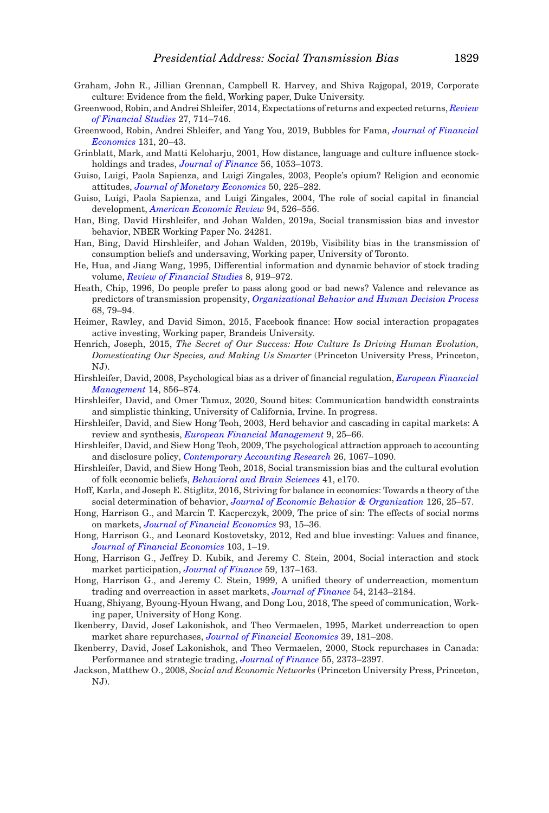- Graham, John R., Jillian Grennan, Campbell R. Harvey, and Shiva Rajgopal, 2019, Corporate culture: Evidence from the field, Working paper, Duke University.
- <span id="page-51-20"></span>Greenwood, Robin, and Andrei Shleifer, 2014, Expectations of returns and expected returns, *[Review](http://dx.doi.org/10.1093/rfs/hht082) [of Financial Studies](http://dx.doi.org/10.1093/rfs/hht082)* 27, 714–746.
- <span id="page-51-13"></span>Greenwood, Robin, Andrei Shleifer, and Yang You, 2019, Bubbles for Fama, *[Journal of Financial](http://dx.doi.org/10.1016/j.jfineco.2018.09.002) [Economics](http://dx.doi.org/10.1016/j.jfineco.2018.09.002)* 131, 20–43.
- <span id="page-51-5"></span>Grinblatt, Mark, and Matti Keloharju, 2001, How distance, language and culture influence stockholdings and trades, *[Journal of Finance](http://dx.doi.org/10.1111/0022-1082.00355)* 56, 1053–1073.
- <span id="page-51-6"></span>Guiso, Luigi, Paola Sapienza, and Luigi Zingales, 2003, People's opium? Religion and economic attitudes, *[Journal of Monetary Economics](http://dx.doi.org/10.1016/S0304-3932(02)00202-7)* 50, 225–282.
- <span id="page-51-7"></span>Guiso, Luigi, Paola Sapienza, and Luigi Zingales, 2004, The role of social capital in financial development, *[American Economic Review](http://dx.doi.org/10.1257/0002828041464498)* 94, 526–556.
- <span id="page-51-0"></span>Han, Bing, David Hirshleifer, and Johan Walden, 2019a, Social transmission bias and investor behavior, NBER Working Paper No. 24281.
- <span id="page-51-12"></span>Han, Bing, David Hirshleifer, and Johan Walden, 2019b, Visibility bias in the transmission of consumption beliefs and undersaving, Working paper, University of Toronto.
- <span id="page-51-15"></span>He, Hua, and Jiang Wang, 1995, Differential information and dynamic behavior of stock trading volume, *[Review of Financial Studies](http://dx.doi.org/10.1093/rfs/8.4.919)* 8, 919–972.
- <span id="page-51-21"></span>Heath, Chip, 1996, Do people prefer to pass along good or bad news? Valence and relevance as predictors of transmission propensity, *[Organizational Behavior and Human Decision Process](http://dx.doi.org/10.1006/obhd.1996.0091)* 68, 79–94.
- <span id="page-51-1"></span>Heimer, Rawley, and David Simon, 2015, Facebook finance: How social interaction propagates active investing, Working paper, Brandeis University.
- <span id="page-51-11"></span>Henrich, Joseph, 2015, *The Secret of Our Success: How Culture Is Driving Human Evolution, Domesticating Our Species, and Making Us Smarter* (Princeton University Press, Princeton, NJ).
- <span id="page-51-25"></span>Hirshleifer, David, 2008, Psychological bias as a driver of financial regulation, *[European Financial](http://dx.doi.org/10.1111/j.1468-036X.2007.00437.x) [Management](http://dx.doi.org/10.1111/j.1468-036X.2007.00437.x)* 14, 856–874.
- <span id="page-51-4"></span>Hirshleifer, David, and Omer Tamuz, 2020, Sound bites: Communication bandwidth constraints and simplistic thinking, University of California, Irvine. In progress.
- <span id="page-51-14"></span>Hirshleifer, David, and Siew Hong Teoh, 2003, Herd behavior and cascading in capital markets: A review and synthesis, *[European Financial Management](http://dx.doi.org/10.1111/1468-036X.00207)* 9, 25–66.
- <span id="page-51-22"></span>Hirshleifer, David, and Siew Hong Teoh, 2009, The psychological attraction approach to accounting and disclosure policy, *[Contemporary Accounting Research](http://dx.doi.org/10.1506/car.26.4.3)* 26, 1067–1090.
- Hirshleifer, David, and Siew Hong Teoh, 2018, Social transmission bias and the cultural evolution of folk economic beliefs, *[Behavioral and Brain Sciences](http://dx.doi.org/10.1017/S0140525X18000365)* 41, e170.
- <span id="page-51-24"></span><span id="page-51-23"></span>Hoff, Karla, and Joseph E. Stiglitz, 2016, Striving for balance in economics: Towards a theory of the social determination of behavior, *[Journal of Economic Behavior & Organization](http://dx.doi.org/10.1016/j.jebo.2016.01.005)* 126, 25–57.
- <span id="page-51-8"></span>Hong, Harrison G., and Marcin T. Kacperczyk, 2009, The price of sin: The effects of social norms on markets, *[Journal of Financial Economics](http://dx.doi.org/10.1016/j.jfineco.2008.09.001)* 93, 15–36.
- <span id="page-51-9"></span>Hong, Harrison G., and Leonard Kostovetsky, 2012, Red and blue investing: Values and finance, *[Journal of Financial Economics](http://dx.doi.org/10.1016/j.jfineco.2011.01.006)* 103, 1–19.
- <span id="page-51-10"></span>Hong, Harrison G., Jeffrey D. Kubik, and Jeremy C. Stein, 2004, Social interaction and stock market participation, *[Journal of Finance](http://dx.doi.org/10.1111/j.1540-6261.2004.00629.x)* 59, 137–163.
- <span id="page-51-19"></span>Hong, Harrison G., and Jeremy C. Stein, 1999, A unified theory of underreaction, momentum trading and overreaction in asset markets, *[Journal of Finance](http://dx.doi.org/10.1111/0022-1082.00184)* 54, 2143–2184.
- Huang, Shiyang, Byoung-Hyoun Hwang, and Dong Lou, 2018, The speed of communication, Working paper, University of Hong Kong.
- <span id="page-51-16"></span><span id="page-51-2"></span>Ikenberry, David, Josef Lakonishok, and Theo Vermaelen, 1995, Market underreaction to open market share repurchases, *[Journal of Financial Economics](http://dx.doi.org/10.1016/0304-405X(95)00826-Z)* 39, 181–208.
- <span id="page-51-17"></span>Ikenberry, David, Josef Lakonishok, and Theo Vermaelen, 2000, Stock repurchases in Canada: Performance and strategic trading, *[Journal of Finance](http://dx.doi.org/10.1111/0022-1082.00291)* 55, 2373–2397.
- <span id="page-51-18"></span><span id="page-51-3"></span>Jackson, Matthew O., 2008, *Social and Economic Networks* (Princeton University Press, Princeton, NJ).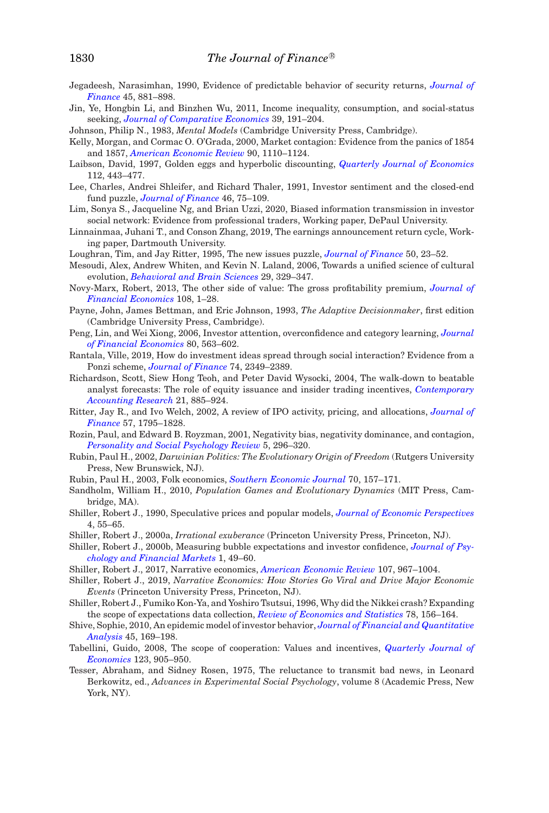- Jegadeesh, Narasimhan, 1990, Evidence of predictable behavior of security returns, *[Journal of](http://dx.doi.org/10.1111/j.1540-6261.1990.tb05110.x) [Finance](http://dx.doi.org/10.1111/j.1540-6261.1990.tb05110.x)* 45, 881–898.
- <span id="page-52-9"></span>Jin, Ye, Hongbin Li, and Binzhen Wu, 2011, Income inequality, consumption, and social-status seeking, *[Journal of Comparative Economics](http://dx.doi.org/10.1016/j.jce.2010.12.004)* 39, 191–204.
- <span id="page-52-23"></span><span id="page-52-7"></span>Johnson, Philip N., 1983, *Mental Models* (Cambridge University Press, Cambridge).
- Kelly, Morgan, and Cormac O. O'Grada, 2000, Market contagion: Evidence from the panics of 1854 and 1857, *[American Economic Review](http://dx.doi.org/10.1257/aer.90.5.1110)* 90, 1110–1124.
- <span id="page-52-10"></span>Laibson, David, 1997, Golden eggs and hyperbolic discounting, *[Quarterly Journal of Economics](http://dx.doi.org/10.1162/003355397555253)* 112, 443–477.
- <span id="page-52-22"></span>Lee, Charles, Andrei Shleifer, and Richard Thaler, 1991, Investor sentiment and the closed-end fund puzzle, *[Journal of Finance](http://dx.doi.org/10.1111/j.1540-6261.1991.tb03746.x)* 46, 75–109.
- <span id="page-52-0"></span>Lim, Sonya S., Jacqueline Ng, and Brian Uzzi, 2020, Biased information transmission in investor social network: Evidence from professional traders, Working paper, DePaul University.
- <span id="page-52-17"></span>Linnainmaa, Juhani T., and Conson Zhang, 2019, The earnings announcement return cycle, Working paper, Dartmouth University.
- <span id="page-52-18"></span>Loughran, Tim, and Jay Ritter, 1995, The new issues puzzle, *[Journal of Finance](http://dx.doi.org/10.1111/j.1540-6261.1995.tb05166.x)* 50, 23–52.
- <span id="page-52-27"></span>Mesoudi, Alex, Andrew Whiten, and Kevin N. Laland, 2006, Towards a unified science of cultural evolution, *[Behavioral and Brain Sciences](http://dx.doi.org/10.1017/S0140525X06009083)* 29, 329–347.
- <span id="page-52-20"></span>Novy-Marx, Robert, 2013, The other side of value: The gross profitability premium, *[Journal of](http://dx.doi.org/10.1016/j.jfineco.2013.01.003) [Financial Economics](http://dx.doi.org/10.1016/j.jfineco.2013.01.003)* 108, 1–28.
- <span id="page-52-14"></span>Payne, John, James Bettman, and Eric Johnson, 1993, *The Adaptive Decisionmaker*, first edition (Cambridge University Press, Cambridge).
- <span id="page-52-15"></span>Peng, Lin, and Wei Xiong, 2006, Investor attention, overconfidence and category learning, *[Journal](http://dx.doi.org/10.1016/j.jfineco.2005.05.003) [of Financial Economics](http://dx.doi.org/10.1016/j.jfineco.2005.05.003)* 80, 563–602.
- <span id="page-52-8"></span>Rantala, Ville, 2019, How do investment ideas spread through social interaction? Evidence from a Ponzi scheme, *[Journal of Finance](http://dx.doi.org/10.1111/jofi.12822)* 74, 2349–2389.
- <span id="page-52-16"></span>Richardson, Scott, Siew Hong Teoh, and Peter David Wysocki, 2004, The walk-down to beatable analyst forecasts: The role of equity issuance and insider trading incentives, *[Contemporary](http://dx.doi.org/10.1506/KHNW-PJYL-ADUB-0RP6) [Accounting Research](http://dx.doi.org/10.1506/KHNW-PJYL-ADUB-0RP6)* 21, 885–924.
- <span id="page-52-19"></span>Ritter, Jay R., and Ivo Welch, 2002, A review of IPO activity, pricing, and allocations, *[Journal of](http://dx.doi.org/10.1111/1540-6261.00478) [Finance](http://dx.doi.org/10.1111/1540-6261.00478)* 57, 1795–1828.
- <span id="page-52-13"></span>Rozin, Paul, and Edward B. Royzman, 2001, Negativity bias, negativity dominance, and contagion, *[Personality and Social Psychology Review](http://dx.doi.org/10.1207/S15327957PSPR0504_2)* 5, 296–320.
- <span id="page-52-26"></span>Rubin, Paul H., 2002, *Darwinian Politics: The Evolutionary Origin of Freedom* (Rutgers University Press, New Brunswick, NJ).
- <span id="page-52-25"></span>Rubin, Paul H., 2003, Folk economics, *[Southern Economic Journal](http://dx.doi.org/10.2307/1061637)* 70, 157–171.
- <span id="page-52-2"></span>Sandholm, William H., 2010, *Population Games and Evolutionary Dynamics* (MIT Press, Cambridge, MA).
- <span id="page-52-24"></span>Shiller, Robert J., 1990, Speculative prices and popular models, *[Journal of Economic Perspectives](http://dx.doi.org/10.1257/jep.4.2.55)* 4, 55–65.
- <span id="page-52-11"></span><span id="page-52-4"></span>Shiller, Robert J., 2000a, *Irrational exuberance* (Princeton University Press, Princeton, NJ).
- Shiller, Robert J., 2000b, Measuring bubble expectations and investor confidence, *[Journal of Psy](http://dx.doi.org/10.1207/S15327760JPFM0101_05)[chology and Financial Markets](http://dx.doi.org/10.1207/S15327760JPFM0101_05)* 1, 49–60.
- Shiller, Robert J., 2017, Narrative economics, *[American Economic Review](http://dx.doi.org/10.1257/aer.107.4.967)* 107, 967–1004.
- <span id="page-52-6"></span><span id="page-52-5"></span>Shiller, Robert J., 2019, *Narrative Economics: How Stories Go Viral and Drive Major Economic Events* (Princeton University Press, Princeton, NJ).
- <span id="page-52-3"></span>Shiller, Robert J., Fumiko Kon-Ya, and Yoshiro Tsutsui, 1996, Why did the Nikkei crash? Expanding the scope of expectations data collection, *[Review of Economics and Statistics](http://dx.doi.org/10.2307/2109855)* 78, 156–164.
- <span id="page-52-28"></span>Shive, Sophie, 2010, An epidemic model of investor behavior, *[Journal of Financial and Quantitative](http://dx.doi.org/10.1017/S0022109009990470) [Analysis](http://dx.doi.org/10.1017/S0022109009990470)* 45, 169–198.
- <span id="page-52-1"></span>Tabellini, Guido, 2008, The scope of cooperation: Values and incentives, *[Quarterly Journal of](http://dx.doi.org/10.1162/qjec.2008.123.3.905) [Economics](http://dx.doi.org/10.1162/qjec.2008.123.3.905)* 123, 905–950.
- <span id="page-52-21"></span><span id="page-52-12"></span>Tesser, Abraham, and Sidney Rosen, 1975, The reluctance to transmit bad news, in Leonard Berkowitz, ed., *Advances in Experimental Social Psychology*, volume 8 (Academic Press, New York, NY).